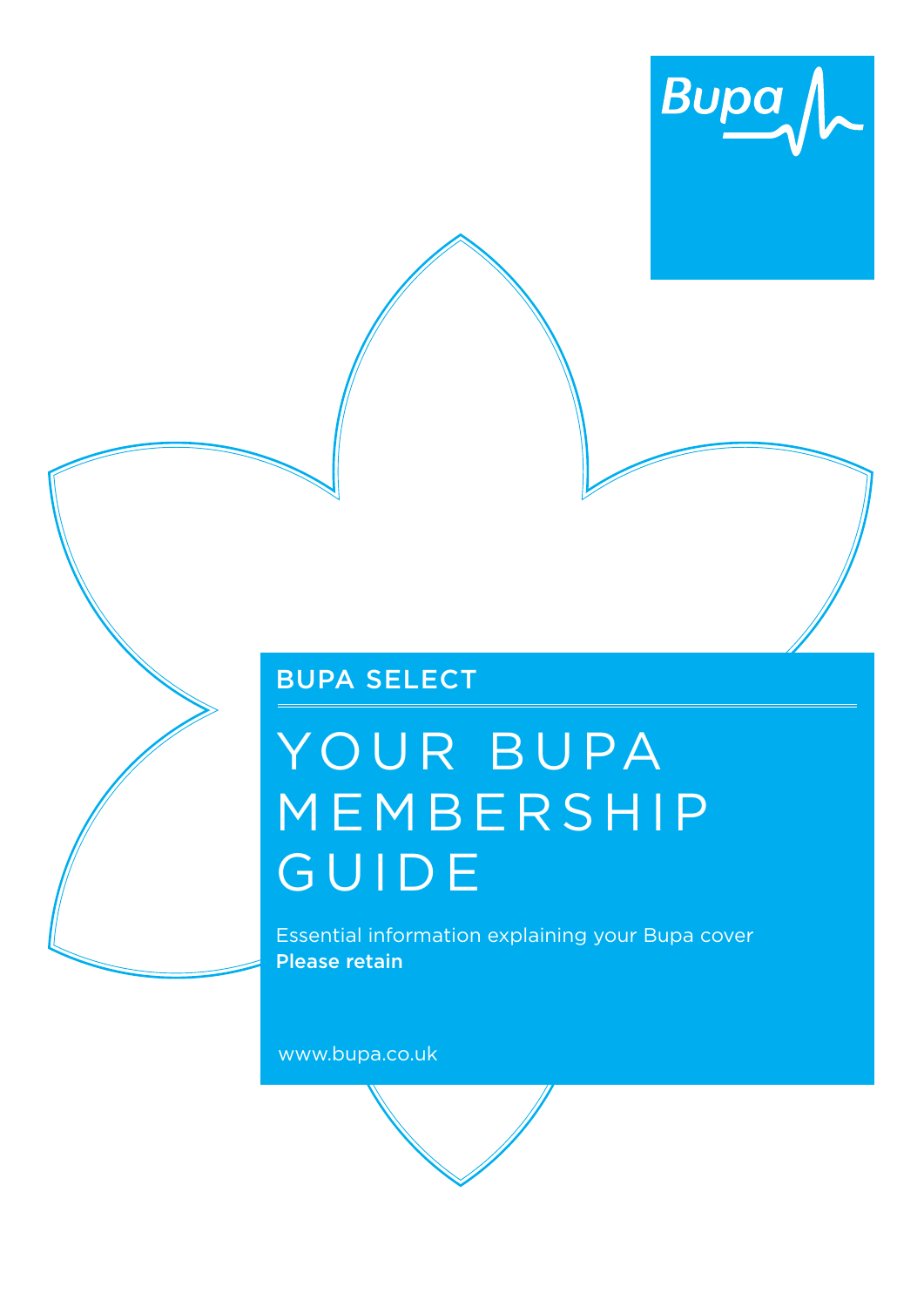

# Bupa select

# YOUR BUPA MEMBERSHIP guide

Essential information explaining your Bupa cover Please retain

www.bupa.co.uk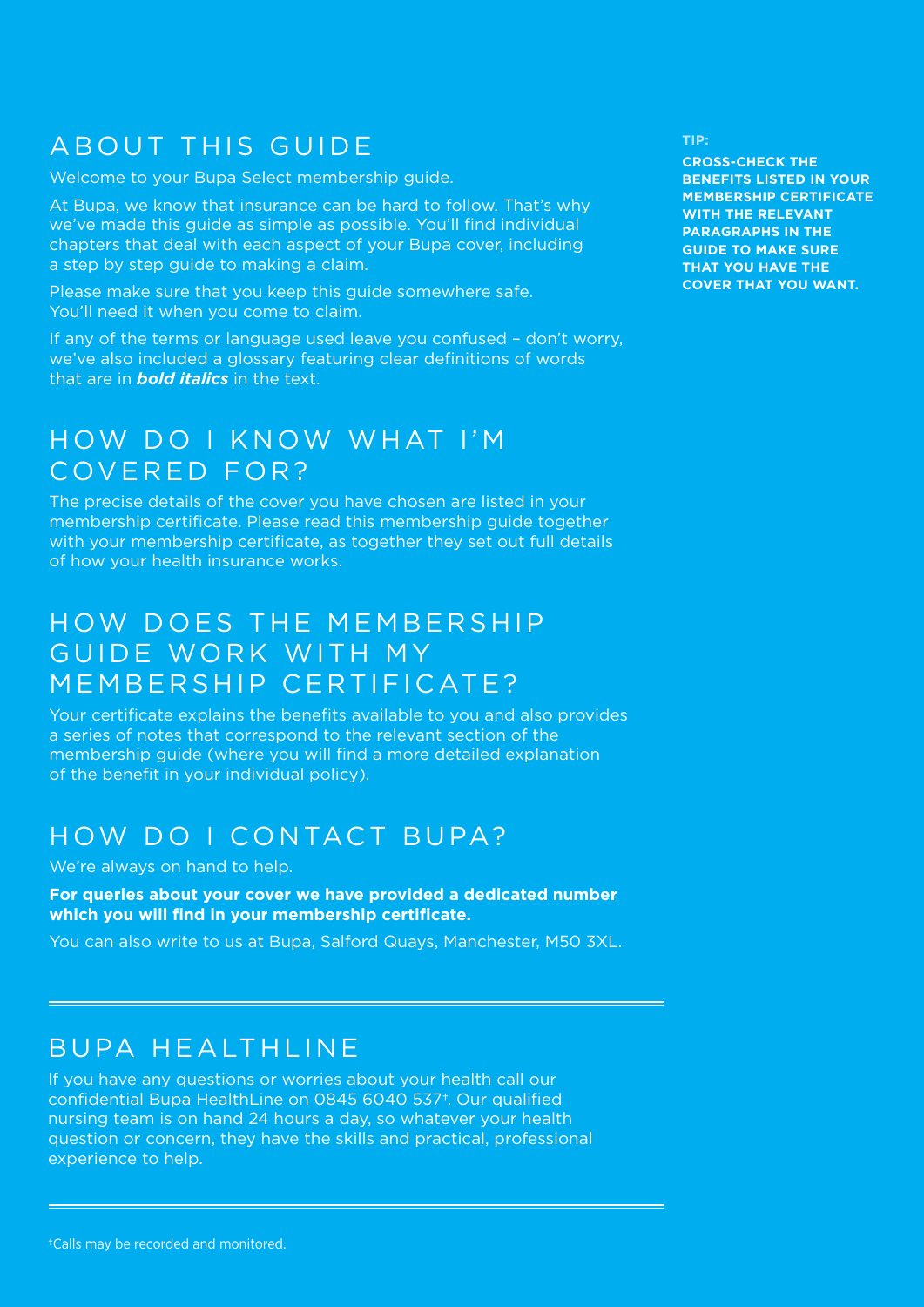# AB OUT THIS GUIDE

Welcome to your Bupa Select membership guide.

At Bupa, we know that insurance can be hard to follow. That's why we've made this guide as simple as possible. You'll find individual chapters that deal with each aspect of your Bupa cover, including a step by step guide to making a claim.

Please make sure that you keep this guide somewhere safe. You'll need it when you come to claim.

If any of the terms or language used leave you confused – don't worry, we've also included a glossary featuring clear definitions of words that are in *bold italics* in the text.

# HOW DO I KNOW WHAT I'M covered for?

The precise details of the cover you have chosen are listed in your membership certificate. Please read this membership guide together with your membership certificate, as together they set out full details of how your health insurance works.

# HOW DOES THE MEMBERSHIP GUIDE WORK WITH MY MEMBERSHIP CERTIFICATE?

Your certificate explains the benefits available to you and also provides a series of notes that correspond to the relevant section of the membership guide (where you will find a more detailed explanation of the benefit in your individual policy).

# HOW DO I CONTACT BUPA?

#### We're always on hand to help.

**For queries about your cover we have provided a dedicated number which you will find in your membership certificate.**

You can also write to us at Bupa, Salford Quays, Manchester, M50 3XL.

# BUPA HEALTHLINE

If you have any questions or worries about your health call our confidential Bupa HealthLine on 0845 6040 537†. Our qualified nursing team is on hand 24 hours a day, so whatever your health question or concern, they have the skills and practical, professional experience to help.

**CROSS-CHECK THE BENEFITS LISTED IN YOUR MEMBERSHIP CERTIFICATE WITH THE RELEVANT PARAGRAPHS IN THE GUIDE TO MAKE SURE THAT YOU HAVE THE COVER THAT YOU WANT.**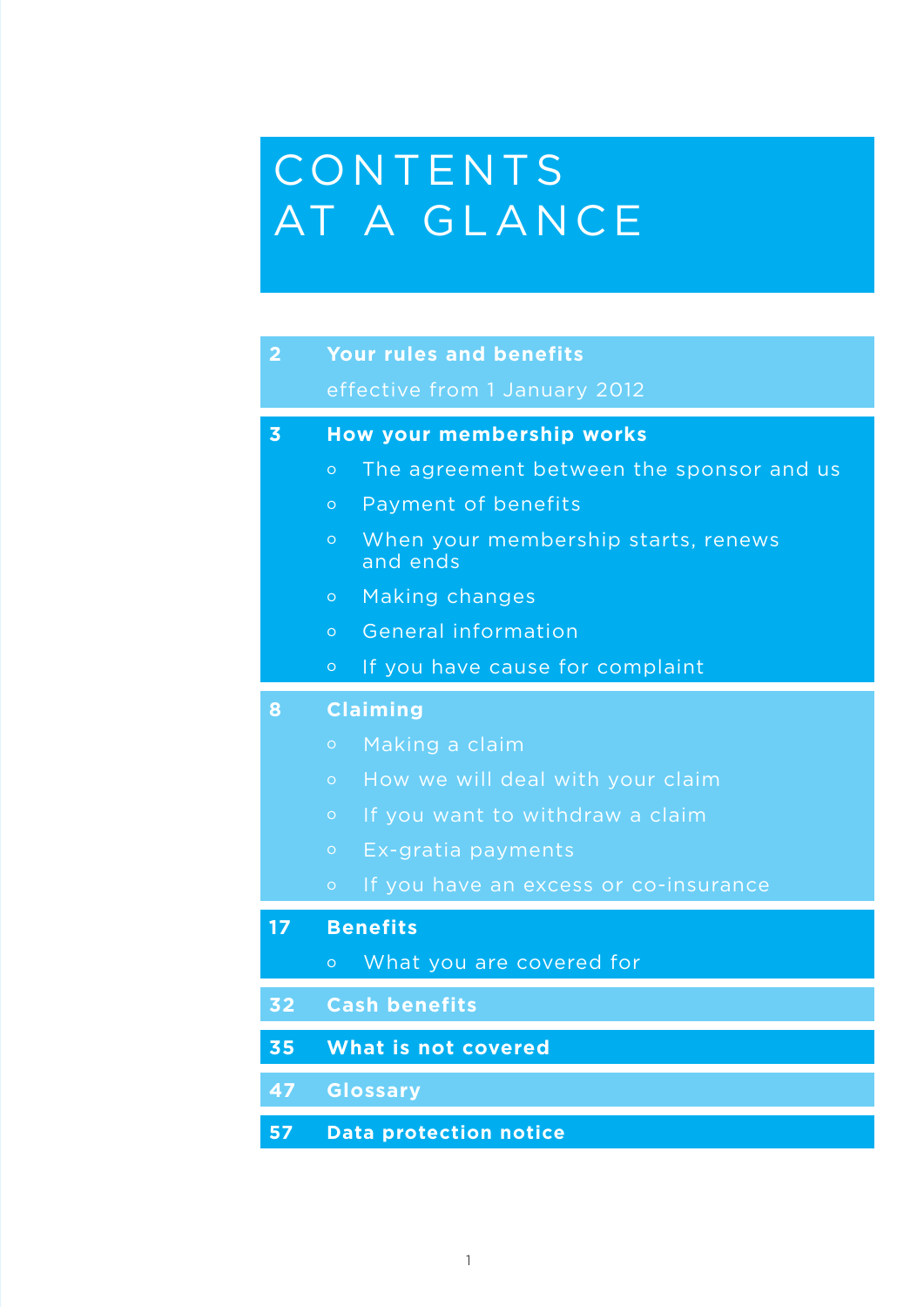# CONTENTS AT A GLANCE

| $\overline{2}$          | <b>Your rules and benefits</b>                             |  |
|-------------------------|------------------------------------------------------------|--|
|                         | effective from 1 January 2012                              |  |
| $\overline{\mathbf{3}}$ | <b>How your membership works</b>                           |  |
|                         | The agreement between the sponsor and us<br>$\circ$        |  |
|                         | Payment of benefits<br>$\circ$                             |  |
|                         | When your membership starts, renews<br>$\circ$<br>and ends |  |
|                         | Making changes<br>$\circ$                                  |  |
|                         | General information<br>$\hbox{O}$                          |  |
|                         | If you have cause for complaint<br>$\circ$                 |  |
| 8                       | <b>Claiming</b>                                            |  |
|                         | Making a claim<br>$\bullet$                                |  |
|                         | How we will deal with your claim<br>$\circ$                |  |
|                         | If you want to withdraw a claim<br>$\circ$                 |  |
|                         | Ex-gratia payments<br>$\circ$                              |  |
|                         | If you have an excess or co-insurance<br>$\hbox{O}$        |  |
| 17                      | <b>Benefits</b>                                            |  |
|                         | What you are covered for<br>$\circ$                        |  |
| 32                      | <b>Cash benefits</b>                                       |  |
| 35                      | What is not covered                                        |  |
| 47                      | <b>Glossary</b>                                            |  |
| 57                      | <b>Data protection notice</b>                              |  |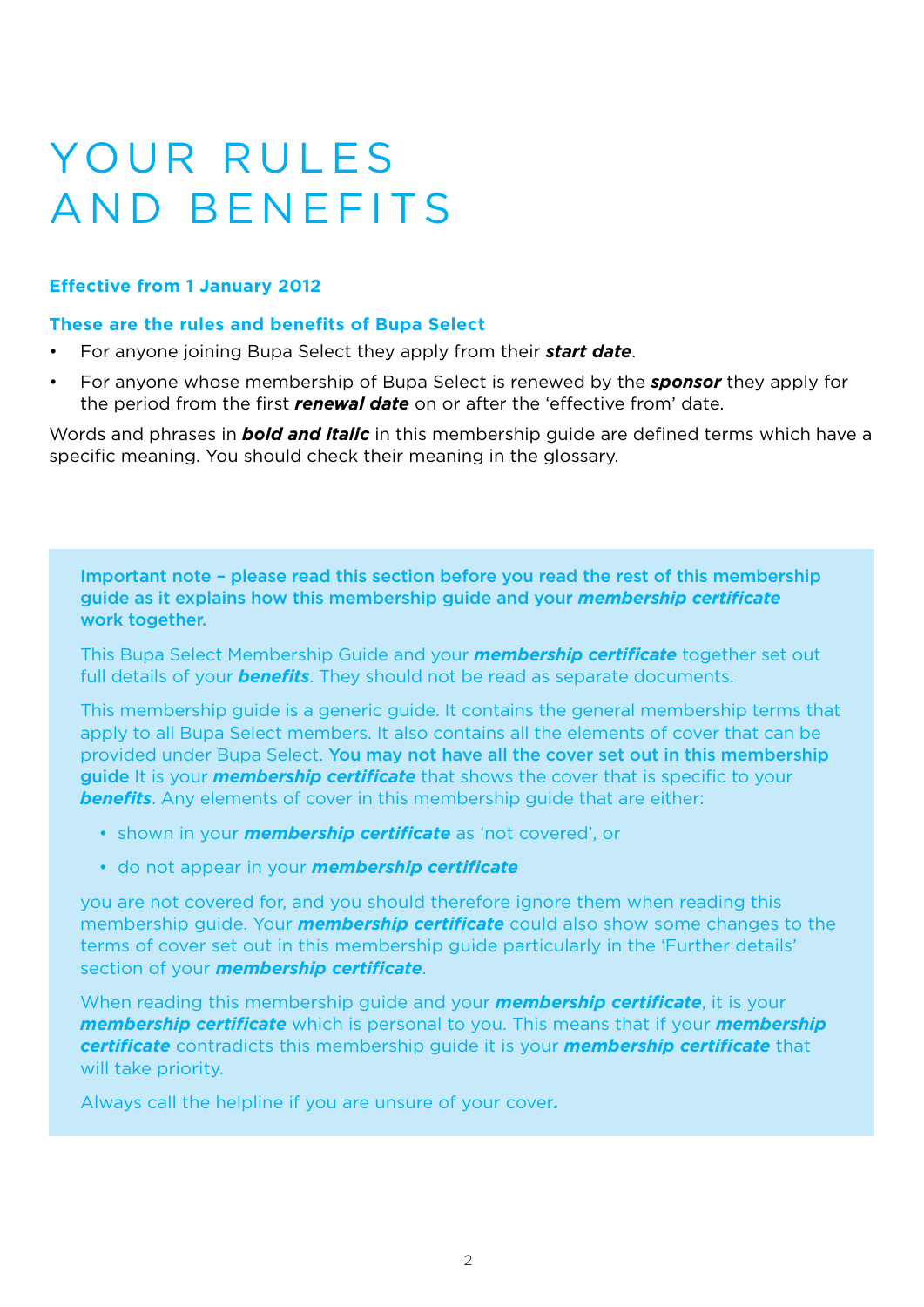# YOUR RULES **AND BENEFITS**

### **Effective from 1 January 2012**

#### **These are the rules and benefits of Bupa Select**

- For anyone joining Bupa Select they apply from their *start date*.
- For anyone whose membership of Bupa Select is renewed by the *sponsor* they apply for the period from the first *renewal date* on or after the 'effective from' date.

Words and phrases in *bold and italic* in this membership guide are defined terms which have a specific meaning. You should check their meaning in the glossary.

Important note – please read this section before you read the rest of this membership guide as it explains how this membership guide and your *membership certificate* work together.

This Bupa Select Membership Guide and your *membership certificate* together set out full details of your *benefits*. They should not be read as separate documents.

This membership guide is a generic guide. It contains the general membership terms that apply to all Bupa Select members. It also contains all the elements of cover that can be provided under Bupa Select. You may not have all the cover set out in this membership guide It is your *membership certificate* that shows the cover that is specific to your **benefits**. Any elements of cover in this membership guide that are either:

- shown in your *membership certificate* as 'not covered', or
- do not appear in your *membership certificate*

you are not covered for, and you should therefore ignore them when reading this membership guide. Your *membership certificate* could also show some changes to the terms of cover set out in this membership guide particularly in the 'Further details' section of your *membership certificate*.

When reading this membership guide and your *membership certificate*, it is your *membership certificate* which is personal to you. This means that if your *membership certificate* contradicts this membership guide it is your *membership certificate* that will take priority.

Always call the helpline if you are unsure of your cover*.*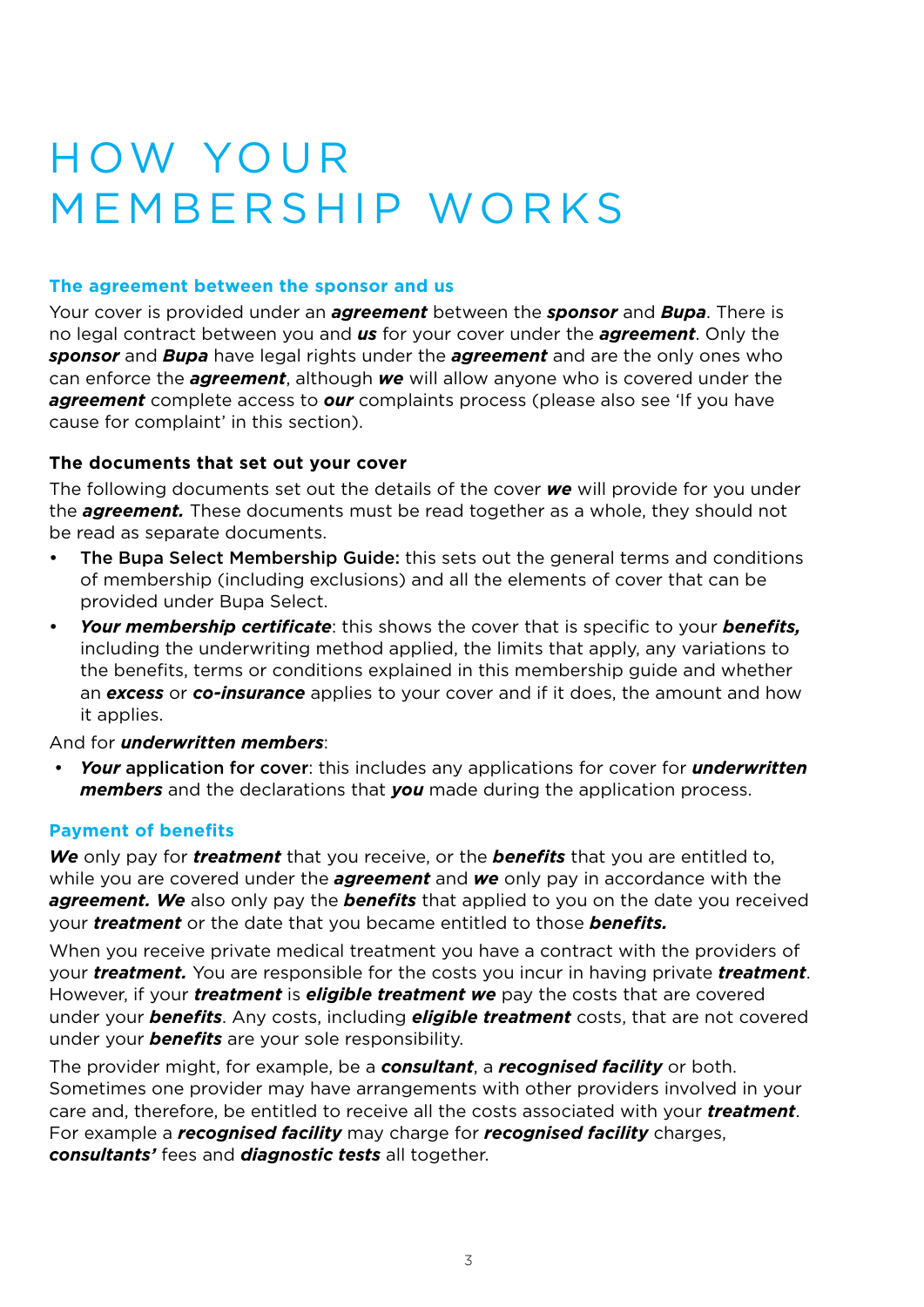# **HOW YOUR** MEMBERSHIP WORKS

#### **The agreement between the sponsor and us**

Your cover is provided under an *agreement* between the *sponsor* and *Bupa*. There is no legal contract between you and *us* for your cover under the *agreement*. Only the *sponsor* and *Bupa* have legal rights under the *agreement* and are the only ones who can enforce the *agreement*, although *we* will allow anyone who is covered under the *agreement* complete access to *our* complaints process (please also see 'If you have cause for complaint' in this section).

# **The documents that set out your cover**

The following documents set out the details of the cover *we* will provide for you under the *agreement.* These documents must be read together as a whole, they should not be read as separate documents.

- The Bupa Select Membership Guide: this sets out the general terms and conditions of membership (including exclusions) and all the elements of cover that can be provided under Bupa Select.
- *Your membership certificate*: this shows the cover that is specific to your *benefits,* including the underwriting method applied, the limits that apply, any variations to the benefits, terms or conditions explained in this membership guide and whether an *excess* or *co-insurance* applies to your cover and if it does, the amount and how it applies.

# And for *underwritten members*:

• *Your* application for cover: this includes any applications for cover for *underwritten members* and the declarations that *you* made during the application process.

### **Payment of benefits**

*We* only pay for *treatment* that you receive, or the *benefits* that you are entitled to, while you are covered under the *agreement* and *we* only pay in accordance with the *agreement.* We also only pay the **benefits** that applied to you on the date you received your *treatment* or the date that you became entitled to those *benefits.*

When you receive private medical treatment you have a contract with the providers of your *treatment.* You are responsible for the costs you incur in having private *treatment*. However, if your *treatment* is *eligible treatment we* pay the costs that are covered under your *benefits*. Any costs, including *eligible treatment* costs, that are not covered under your *benefits* are your sole responsibility.

The provider might, for example, be a *consultant*, a *recognised facility* or both. Sometimes one provider may have arrangements with other providers involved in your care and, therefore, be entitled to receive all the costs associated with your *treatment*. For example a *recognised facility* may charge for *recognised facility* charges, *consultants'* fees and *diagnostic tests* all together.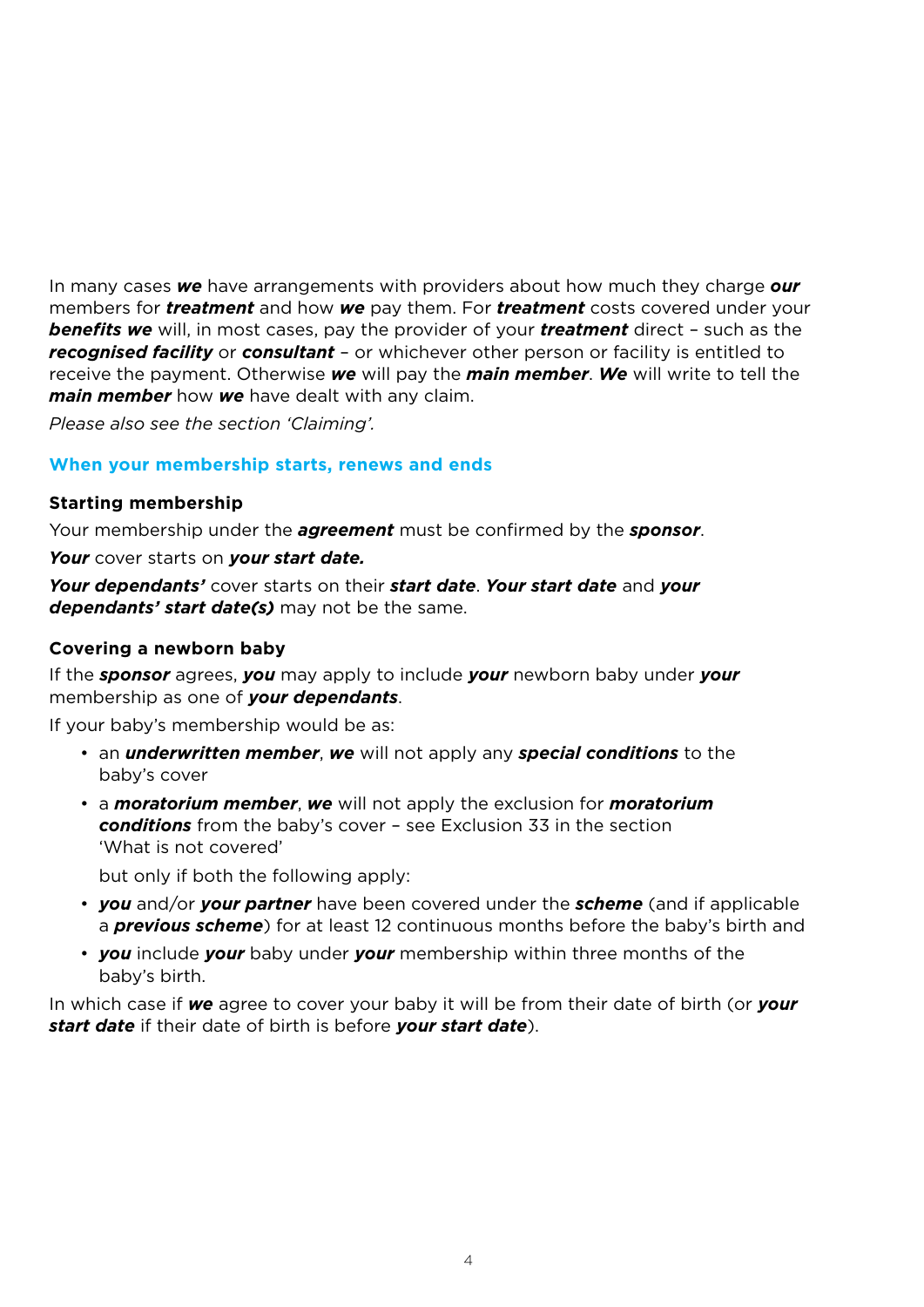In many cases *we* have arrangements with providers about how much they charge *our* members for *treatment* and how *we* pay them. For *treatment* costs covered under your *benefits we* will, in most cases, pay the provider of your *treatment* direct – such as the *recognised facility* or *consultant* – or whichever other person or facility is entitled to receive the payment. Otherwise *we* will pay the *main member*. *We* will write to tell the *main member* how *we* have dealt with any claim.

*Please also see the section 'Claiming'.*

#### **When your membership starts, renews and ends**

#### **Starting membership**

Your membership under the *agreement* must be confirmed by the *sponsor*.

*Your* cover starts on *your start date.* 

*Your dependants'* cover starts on their *start date*. *Your start date* and *your dependants' start date(s)* may not be the same.

#### **Covering a newborn baby**

If the *sponsor* agrees, *you* may apply to include *your* newborn baby under *your* membership as one of *your dependants*.

If your baby's membership would be as:

- an *underwritten member*, *we* will not apply any *special conditions* to the baby's cover
- a *moratorium member*, *we* will not apply the exclusion for *moratorium conditions* from the baby's cover – see Exclusion 33 in the section 'What is not covered'

but only if both the following apply:

- *you* and/or *your partner* have been covered under the *scheme* (and if applicable a *previous scheme*) for at least 12 continuous months before the baby's birth and
- *you* include *your* baby under *your* membership within three months of the baby's birth.

In which case if *we* agree to cover your baby it will be from their date of birth (or *your start date* if their date of birth is before *your start date*).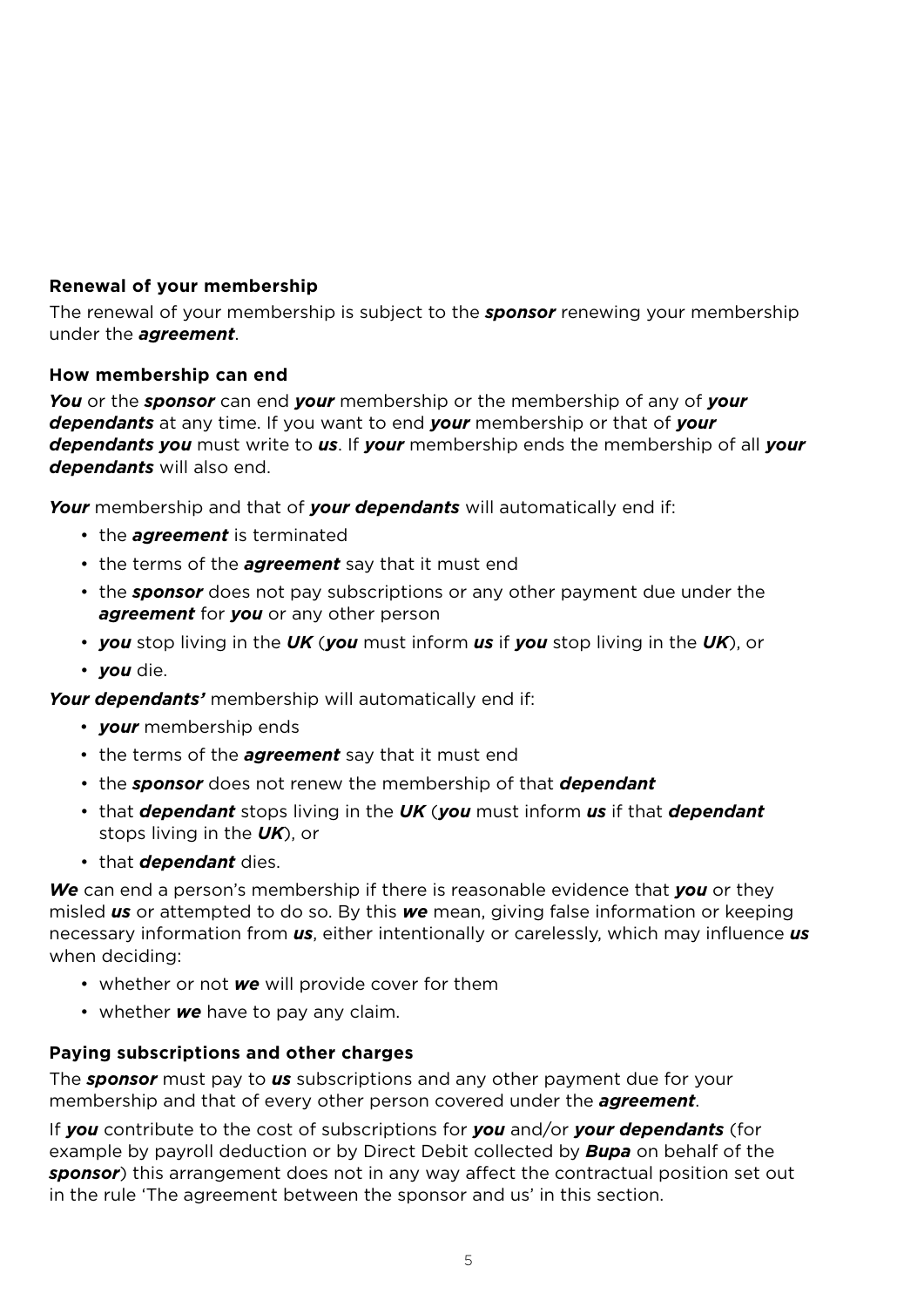# **Renewal of your membership**

The renewal of your membership is subject to the *sponsor* renewing your membership under the *agreement*.

### **How membership can end**

*You* or the *sponsor* can end *your* membership or the membership of any of *your dependants* at any time. If you want to end *your* membership or that of *your dependants you* must write to *us*. If *your* membership ends the membership of all *your dependants* will also end.

*Your* membership and that of *your dependants* will automatically end if:

- the *agreement* is terminated
- the terms of the *agreement* say that it must end
- the *sponsor* does not pay subscriptions or any other payment due under the *agreement* for *you* or any other person
- *you* stop living in the *UK* (*you* must inform *us* if *you* stop living in the *UK*), or
- *you* die.

*Your dependants'* membership will automatically end if:

- *your* membership ends
- the terms of the *agreement* say that it must end
- the *sponsor* does not renew the membership of that *dependant*
- that *dependant* stops living in the *UK* (*you* must inform *us* if that *dependant* stops living in the *UK*), or
- that *dependant* dies.

*We* can end a person's membership if there is reasonable evidence that *you* or they misled *us* or attempted to do so. By this *we* mean, giving false information or keeping necessary information from *us*, either intentionally or carelessly, which may influence *us* when deciding:

- whether or not *we* will provide cover for them
- whether *we* have to pay any claim.

# **Paying subscriptions and other charges**

The *sponsor* must pay to *us* subscriptions and any other payment due for your membership and that of every other person covered under the *agreement*.

If *you* contribute to the cost of subscriptions for *you* and/or *your dependants* (for example by payroll deduction or by Direct Debit collected by *Bupa* on behalf of the *sponsor*) this arrangement does not in any way affect the contractual position set out in the rule 'The agreement between the sponsor and us' in this section.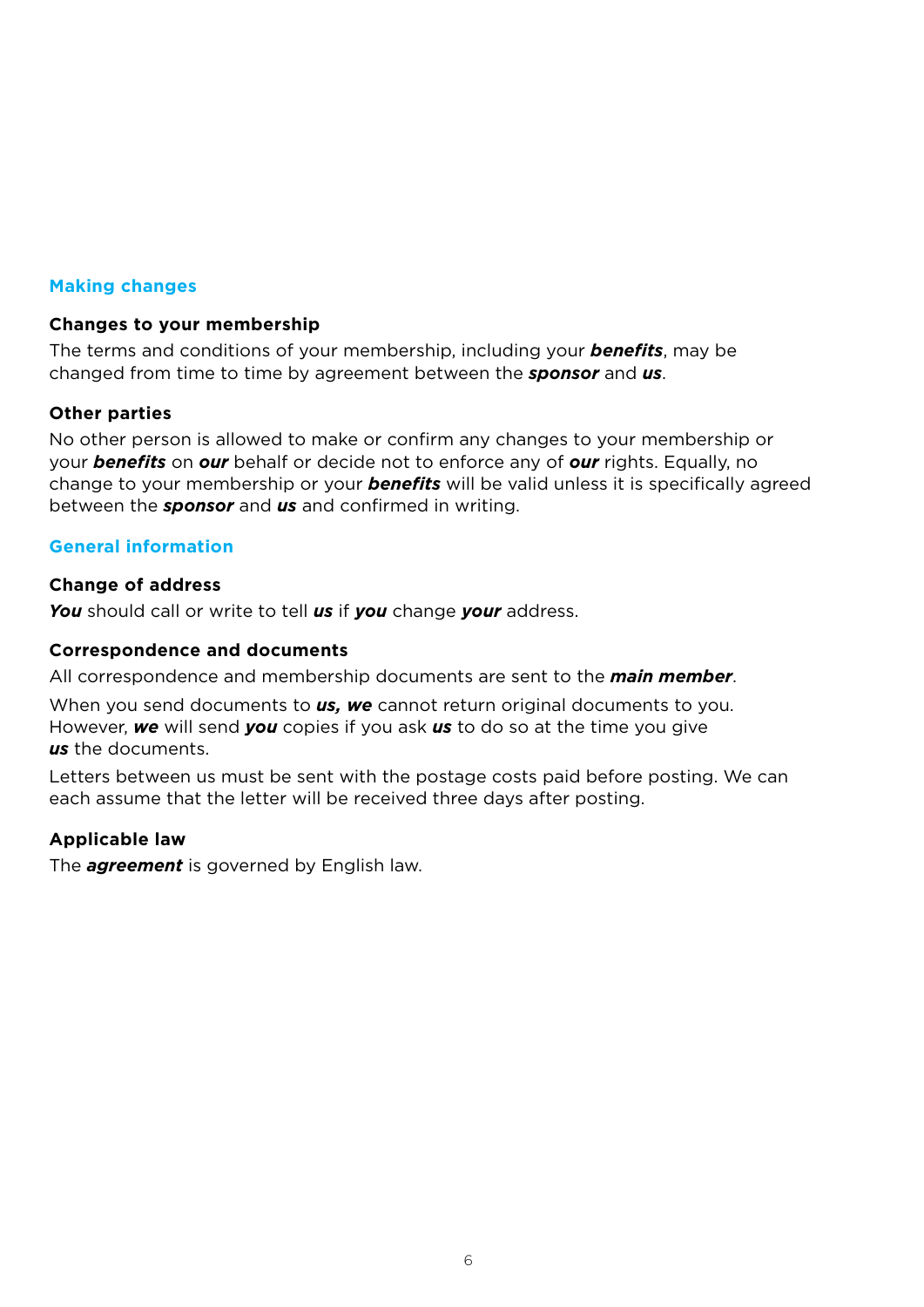#### **Making changes**

#### **Changes to your membership**

The terms and conditions of your membership, including your *benefits*, may be changed from time to time by agreement between the *sponsor* and *us*.

#### **Other parties**

No other person is allowed to make or confirm any changes to your membership or your *benefits* on *our* behalf or decide not to enforce any of *our* rights. Equally, no change to your membership or your *benefits* will be valid unless it is specifically agreed between the *sponsor* and *us* and confirmed in writing.

#### **General information**

#### **Change of address**

*You* should call or write to tell *us* if *you* change *your* address.

#### **Correspondence and documents**

All correspondence and membership documents are sent to the *main member*.

When you send documents to *us, we* cannot return original documents to you. However, *we* will send *you* copies if you ask *us* to do so at the time you give *us* the documents.

Letters between us must be sent with the postage costs paid before posting. We can each assume that the letter will be received three days after posting.

### **Applicable law**

The *agreement* is governed by English law.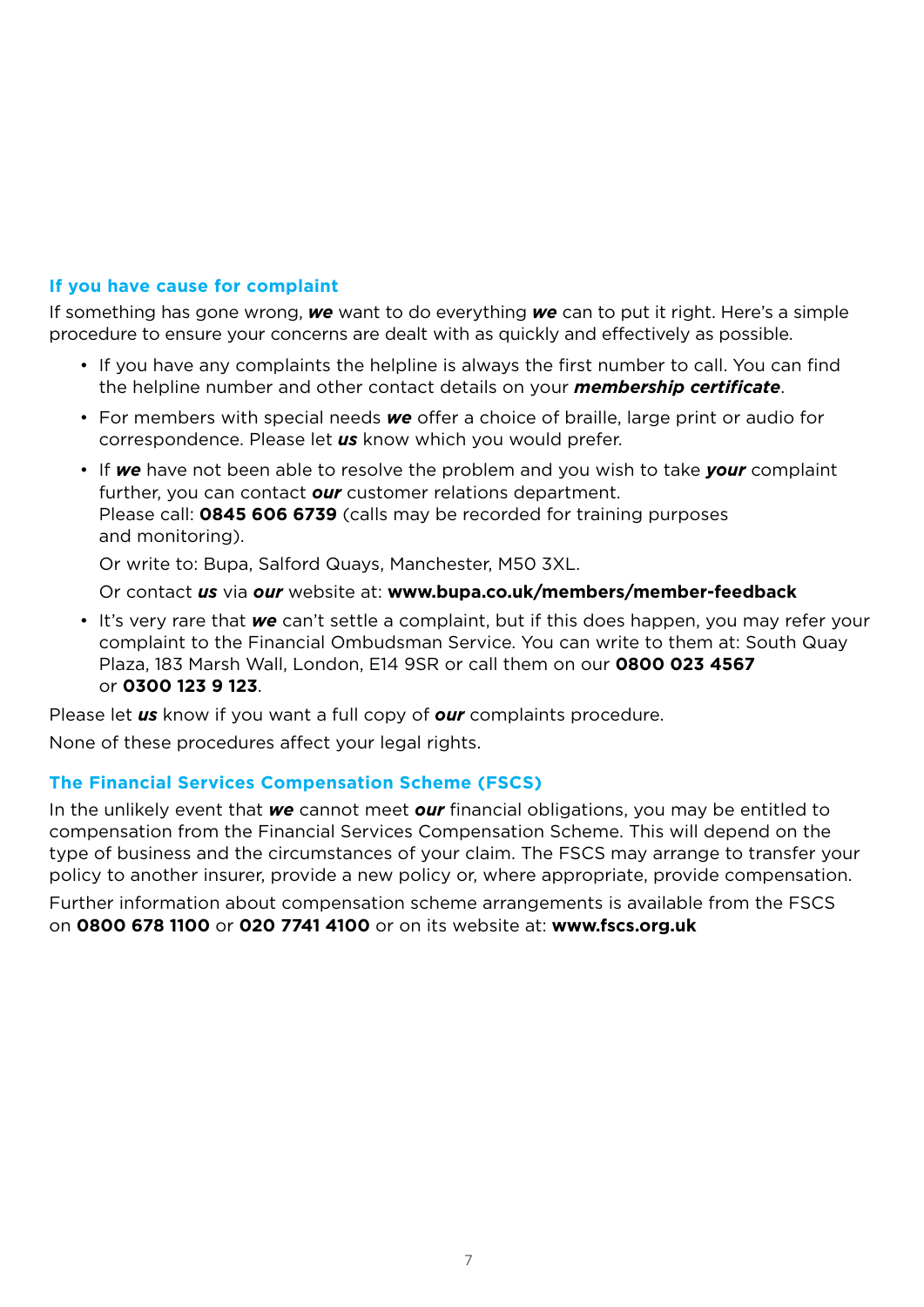### **If you have cause for complaint**

 If something has gone wrong, *we* want to do everything *we* can to put it right. Here's a simple procedure to ensure your concerns are dealt with as quickly and effectively as possible.

- If you have any complaints the helpline is always the first number to call. You can find the helpline number and other contact details on your *membership certificate*.
- For members with special needs *we* offer a choice of braille, large print or audio for correspondence. Please let *us* know which you would prefer.
- If *we* have not been able to resolve the problem and you wish to take *your* complaint further, you can contact *our* customer relations department. Please call: **0845 606 6739** (calls may be recorded for training purposes and monitoring).

Or write to: Bupa, Salford Quays, Manchester, M50 3XL.

Or contact *us* via *our* website at: **www.bupa.co.uk/members/member-feedback**

• It's very rare that *we* can't settle a complaint, but if this does happen, you may refer your complaint to the Financial Ombudsman Service. You can write to them at: South Quay Plaza, 183 Marsh Wall, London, E14 9SR or call them on our **0800 023 4567**  or **0300 123 9 123**.

Please let *us* know if you want a full copy of *our* complaints procedure.

None of these procedures affect your legal rights.

### **The Financial Services Compensation Scheme (FSCS)**

In the unlikely event that *we* cannot meet *our* financial obligations, you may be entitled to compensation from the Financial Services Compensation Scheme. This will depend on the type of business and the circumstances of your claim. The FSCS may arrange to transfer your policy to another insurer, provide a new policy or, where appropriate, provide compensation.

Further information about compensation scheme arrangements is available from the FSCS on **0800 678 1100** or **020 7741 4100** or on its website at: **www.fscs.org.uk**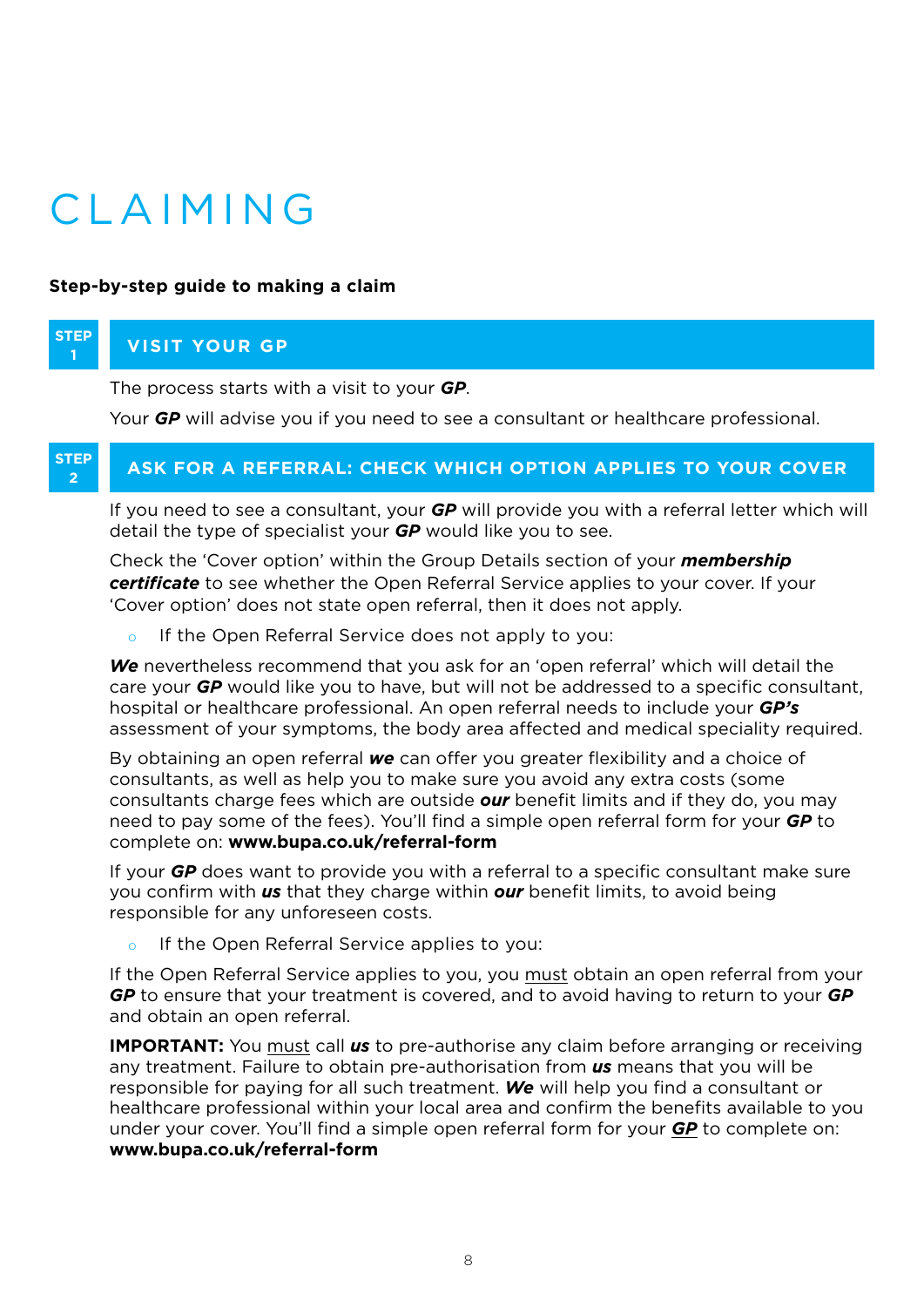# CLAIMING

#### **Step-by-step guide to making a claim**

#### **STEP <sup>1</sup> Visit your GP**

The process starts with a visit to your *GP*.

Your *GP* will advise you if you need to see a consultant or healthcare professional.

#### **STEP <sup>2</sup> ASK FOR A REFERRAL: CHECK WHICH OPTION APPLIES TO YOUR COVER**

If you need to see a consultant, your *GP* will provide you with a referral letter which will detail the type of specialist your *GP* would like you to see.

Check the 'Cover option' within the Group Details section of your *membership certificate* to see whether the Open Referral Service applies to your cover. If your 'Cover option' does not state open referral, then it does not apply.

o If the Open Referral Service does not apply to you:

*We* nevertheless recommend that you ask for an 'open referral' which will detail the care your *GP* would like you to have, but will not be addressed to a specific consultant, hospital or healthcare professional. An open referral needs to include your *GP's* assessment of your symptoms, the body area affected and medical speciality required.

By obtaining an open referral *we* can offer you greater flexibility and a choice of consultants, as well as help you to make sure you avoid any extra costs (some consultants charge fees which are outside *our* benefit limits and if they do, you may need to pay some of the fees). You'll find a simple open referral form for your *GP* to complete on: **www.bupa.co.uk/referral-form**

If your *GP* does want to provide you with a referral to a specific consultant make sure you confirm with *us* that they charge within *our* benefit limits, to avoid being responsible for any unforeseen costs.

o If the Open Referral Service applies to you:

If the Open Referral Service applies to you, you must obtain an open referral from your *GP* to ensure that your treatment is covered, and to avoid having to return to your *GP* and obtain an open referral.

**IMPORTANT:** You must call *us* to pre-authorise any claim before arranging or receiving any treatment. Failure to obtain pre-authorisation from *us* means that you will be responsible for paying for all such treatment. *We* will help you find a consultant or healthcare professional within your local area and confirm the benefits available to you under your cover. You'll find a simple open referral form for your *GP* to complete on: **www.bupa.co.uk/referral-form**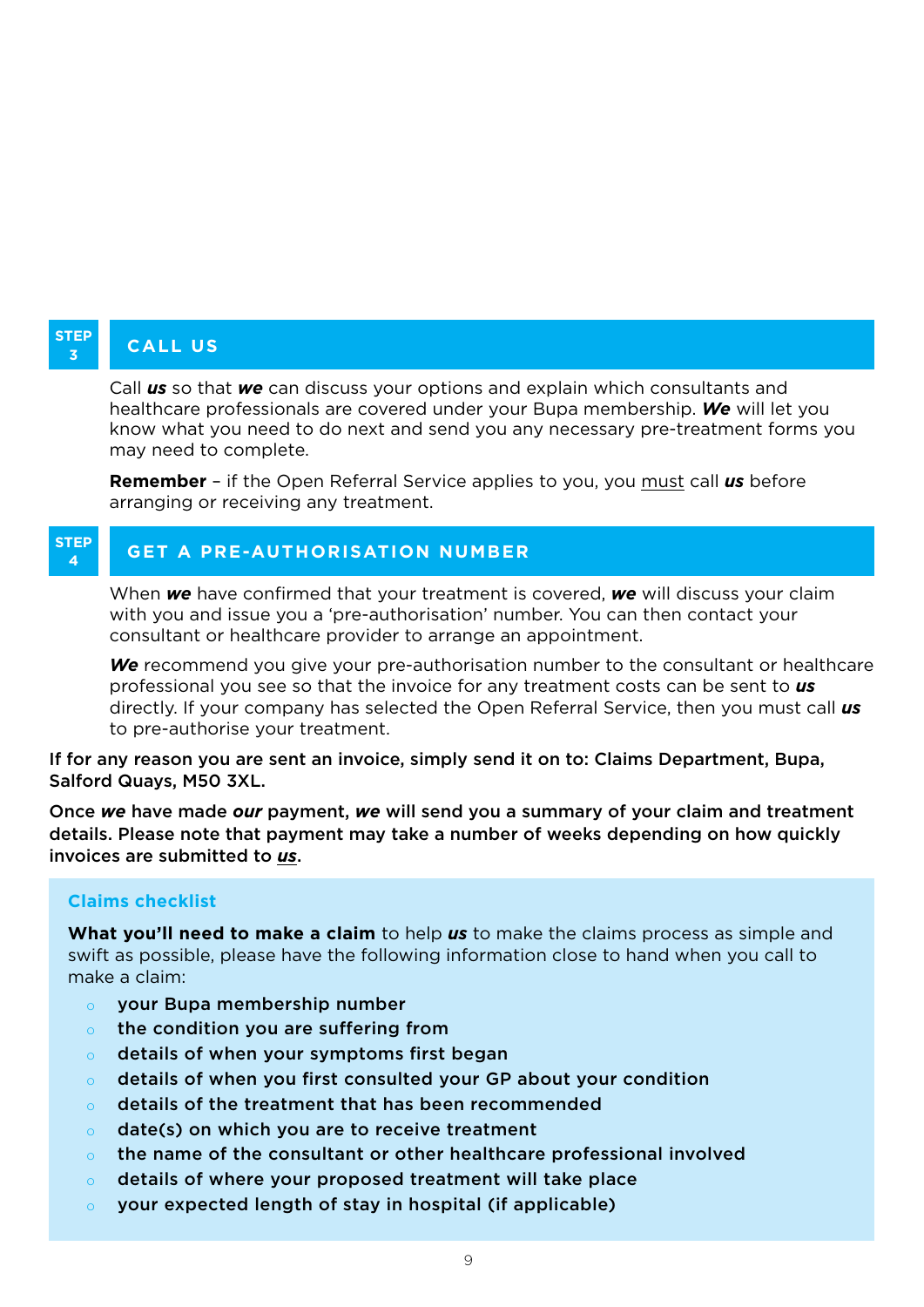# **STEP**

# **<sup>3</sup> call us**

Call *us* so that *we* can discuss your options and explain which consultants and healthcare professionals are covered under your Bupa membership. *We* will let you know what you need to do next and send you any necessary pre-treatment forms you may need to complete.

**Remember** – if the Open Referral Service applies to you, you must call *us* before arranging or receiving any treatment.

#### **STEP <sup>4</sup> Get a pre-authorisation number**

When *we* have confirmed that your treatment is covered, *we* will discuss your claim with you and issue you a 'pre-authorisation' number. You can then contact your consultant or healthcare provider to arrange an appointment.

*We* recommend you give your pre-authorisation number to the consultant or healthcare professional you see so that the invoice for any treatment costs can be sent to *us* directly. If your company has selected the Open Referral Service, then you must call *us* to pre-authorise your treatment.

If for any reason you are sent an invoice, simply send it on to: Claims Department, Bupa, Salford Quays, M50 3XL.

Once *we* have made *our* payment, *we* will send you a summary of your claim and treatment details. Please note that payment may take a number of weeks depending on how quickly invoices are submitted to *us*.

### **Claims checklist**

**What you'll need to make a claim** to help *us* to make the claims process as simple and swift as possible, please have the following information close to hand when you call to make a claim:

- your Bupa membership number
- o the condition you are suffering from
- details of when your symptoms first began
- details of when you first consulted your GP about your condition
- o details of the treatment that has been recommended
- o date(s) on which you are to receive treatment
- $\circ$  the name of the consultant or other healthcare professional involved
- o details of where your proposed treatment will take place
- o your expected length of stay in hospital (if applicable)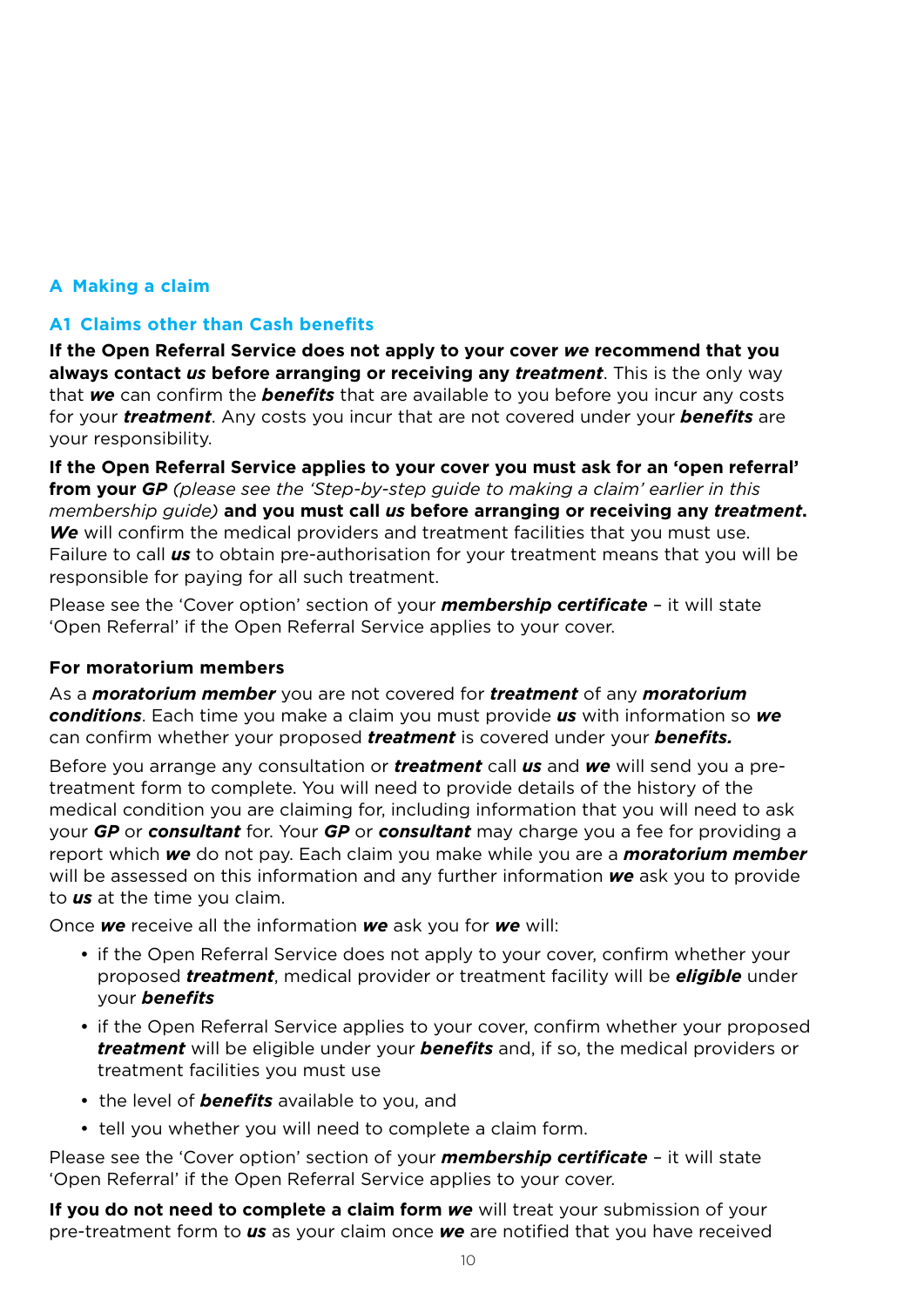# **A Making a claim**

### **A1 Claims other than Cash benefits**

**If the Open Referral Service does not apply to your cover** *we* **recommend that you always contact** *us* **before arranging or receiving any** *treatment*. This is the only way that *we* can confirm the *benefits* that are available to you before you incur any costs for your *treatment*. Any costs you incur that are not covered under your *benefits* are your responsibility.

**If the Open Referral Service applies to your cover you must ask for an 'open referral' from your** *GP (please see the 'Step-by-step guide to making a claim' earlier in this membership guide)* **and you must call** *us* **before arranging or receiving any** *treatment***.**  *We* will confirm the medical providers and treatment facilities that you must use. Failure to call *us* to obtain pre-authorisation for your treatment means that you will be responsible for paying for all such treatment.

Please see the 'Cover option' section of your *membership certificate* – it will state 'Open Referral' if the Open Referral Service applies to your cover.

#### **For moratorium members**

As a *moratorium member* you are not covered for *treatment* of any *moratorium conditions*. Each time you make a claim you must provide *us* with information so *we* can confirm whether your proposed *treatment* is covered under your *benefits.*

Before you arrange any consultation or *treatment* call *us* and *we* will send you a pretreatment form to complete. You will need to provide details of the history of the medical condition you are claiming for, including information that you will need to ask your *GP* or *consultant* for. Your *GP* or *consultant* may charge you a fee for providing a report which *we* do not pay. Each claim you make while you are a *moratorium member*  will be assessed on this information and any further information *we* ask you to provide to *us* at the time you claim.

Once *we* receive all the information *we* ask you for *we* will:

- if the Open Referral Service does not apply to your cover, confirm whether your proposed *treatment*, medical provider or treatment facility will be *eligible* under your *benefits*
- if the Open Referral Service applies to your cover, confirm whether your proposed *treatment* will be eligible under your *benefits* and, if so, the medical providers or treatment facilities you must use
- the level of *benefits* available to you, and
- tell you whether you will need to complete a claim form.

Please see the 'Cover option' section of your *membership certificate* – it will state 'Open Referral' if the Open Referral Service applies to your cover.

**If you do not need to complete a claim form** *we* will treat your submission of your pre-treatment form to *us* as your claim once *we* are notified that you have received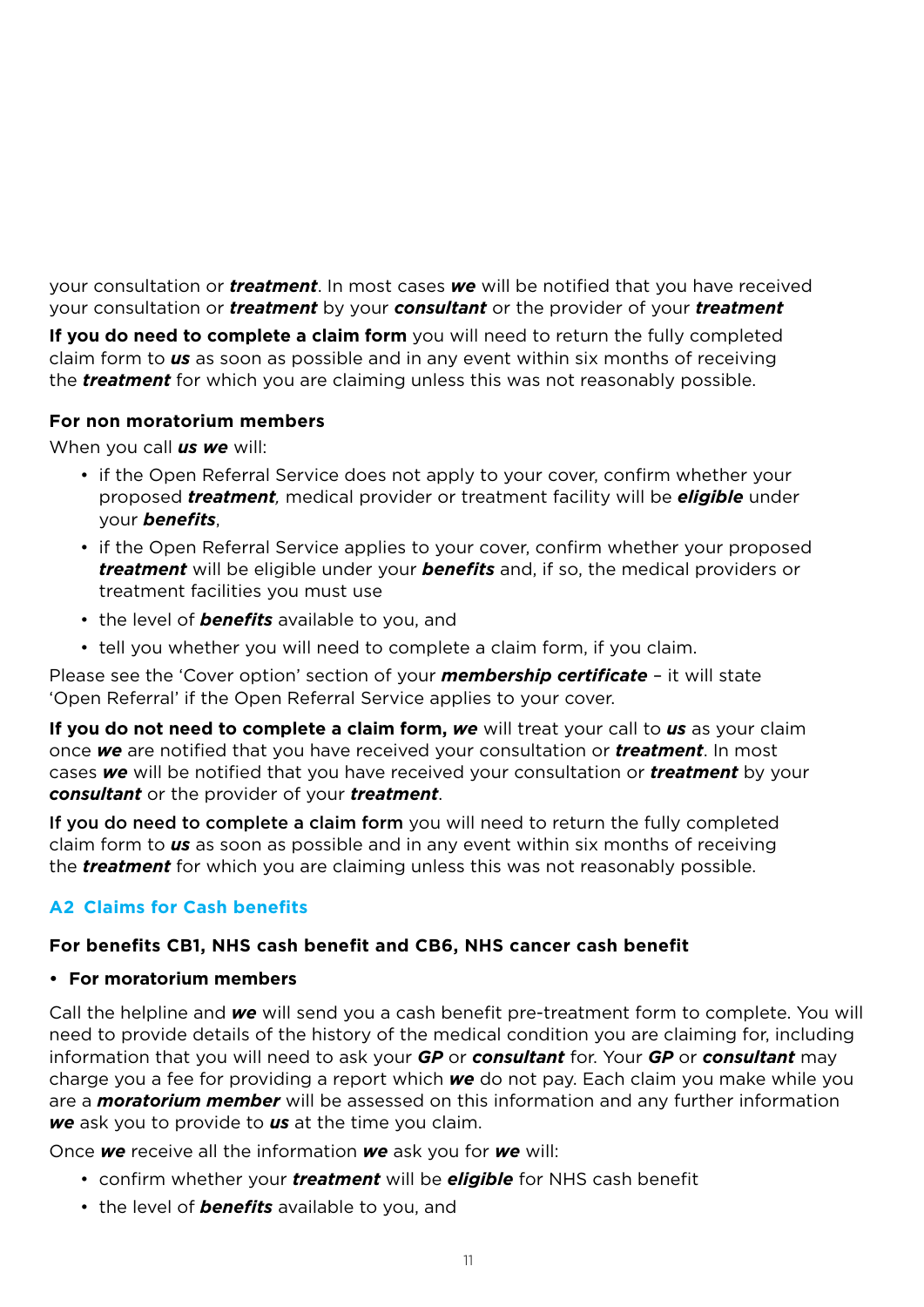your consultation or *treatment*. In most cases *we* will be notified that you have received your consultation or *treatment* by your *consultant* or the provider of your *treatment*

**If you do need to complete a claim form** you will need to return the fully completed claim form to *us* as soon as possible and in any event within six months of receiving the *treatment* for which you are claiming unless this was not reasonably possible.

### **For non moratorium members**

When you call *us we* will:

- if the Open Referral Service does not apply to your cover, confirm whether your proposed *treatment,* medical provider or treatment facility will be *eligible* under your *benefits*,
- if the Open Referral Service applies to your cover, confirm whether your proposed *treatment* will be eligible under your *benefits* and, if so, the medical providers or treatment facilities you must use
- the level of *benefits* available to you, and
- tell you whether you will need to complete a claim form, if you claim.

Please see the 'Cover option' section of your *membership certificate* – it will state 'Open Referral' if the Open Referral Service applies to your cover.

**If you do not need to complete a claim form, we** will treat your call to us as your claim once *we* are notified that you have received your consultation or *treatment*. In most cases *we* will be notified that you have received your consultation or *treatment* by your *consultant* or the provider of your *treatment*.

If you do need to complete a claim form you will need to return the fully completed claim form to *us* as soon as possible and in any event within six months of receiving the *treatment* for which you are claiming unless this was not reasonably possible.

# **A2 Claims for Cash benefits**

### **For benefits CB1, NHS cash benefit and CB6, NHS cancer cash benefit**

**• For moratorium members**

Call the helpline and *we* will send you a cash benefit pre-treatment form to complete. You will need to provide details of the history of the medical condition you are claiming for, including information that you will need to ask your *GP* or *consultant* for. Your *GP* or *consultant* may charge you a fee for providing a report which *we* do not pay. Each claim you make while you are a *moratorium member* will be assessed on this information and any further information *we* ask you to provide to *us* at the time you claim.

Once *we* receive all the information *we* ask you for *we* will:

- confirm whether your *treatment* will be *eligible* for NHS cash benefit
- the level of *benefits* available to you, and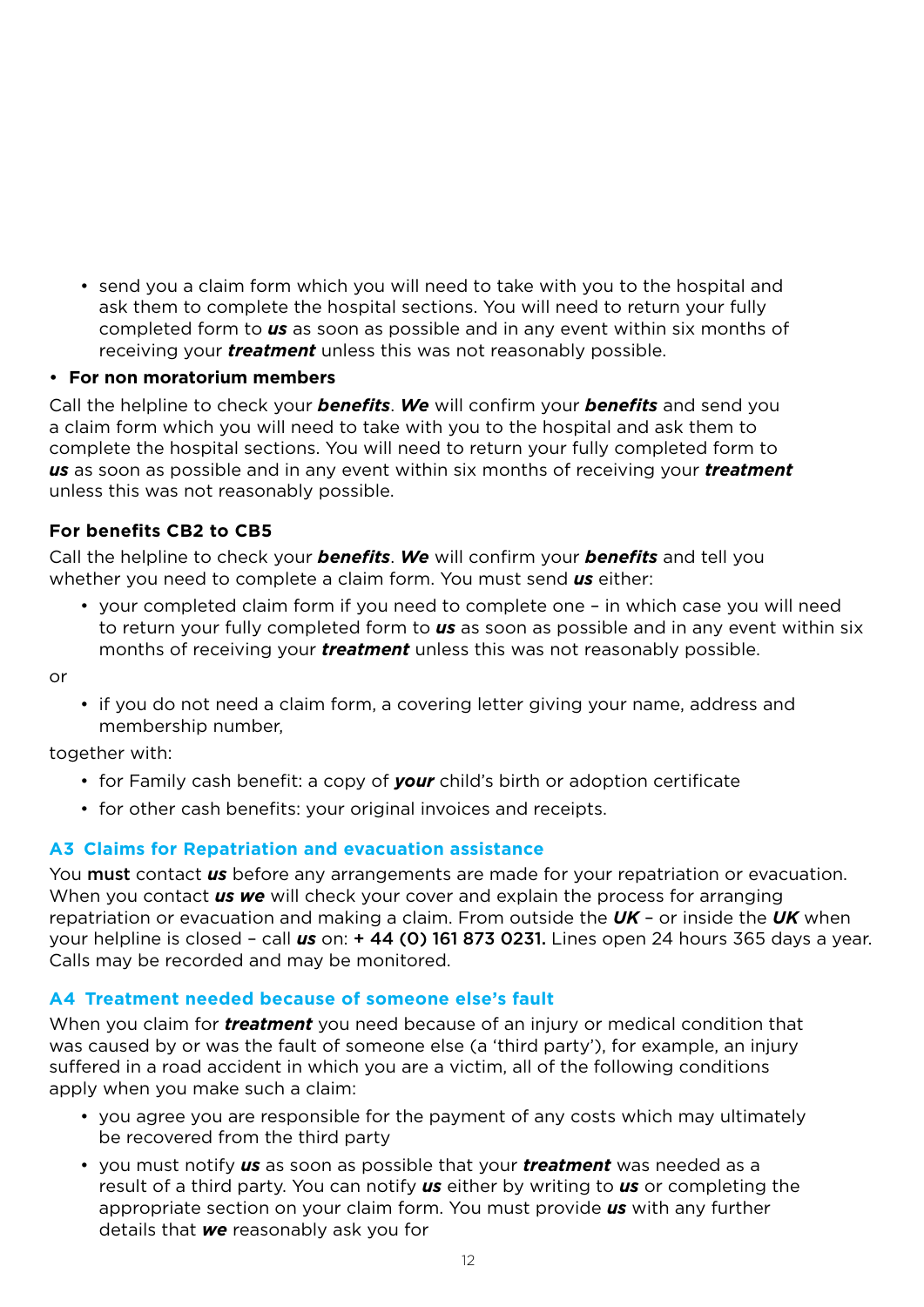• send you a claim form which you will need to take with you to the hospital and ask them to complete the hospital sections. You will need to return your fully completed form to *us* as soon as possible and in any event within six months of receiving your *treatment* unless this was not reasonably possible.

#### • **For non moratorium members**

Call the helpline to check your *benefits*. *We* will confirm your *benefits* and send you a claim form which you will need to take with you to the hospital and ask them to complete the hospital sections. You will need to return your fully completed form to *us* as soon as possible and in any event within six months of receiving your *treatment* unless this was not reasonably possible.

### **For benefits CB2 to CB5**

Call the helpline to check your *benefits*. *We* will confirm your *benefits* and tell you whether you need to complete a claim form. You must send *us* either:

• your completed claim form if you need to complete one – in which case you will need to return your fully completed form to *us* as soon as possible and in any event within six months of receiving your *treatment* unless this was not reasonably possible.

or

• if you do not need a claim form, a covering letter giving your name, address and membership number,

together with:

- for Family cash benefit: a copy of *your* child's birth or adoption certificate
- for other cash benefits: your original invoices and receipts.

### **A3 Claims for Repatriation and evacuation assistance**

You must contact *us* before any arrangements are made for your repatriation or evacuation. When you contact *us we* will check your cover and explain the process for arranging repatriation or evacuation and making a claim. From outside the *UK* – or inside the *UK* when your helpline is closed – call *us* on: + 44 (0) 161 873 0231. Lines open 24 hours 365 days a year. Calls may be recorded and may be monitored.

### **A4 Treatment needed because of someone else's fault**

When you claim for *treatment* you need because of an injury or medical condition that was caused by or was the fault of someone else (a 'third party'), for example, an injury suffered in a road accident in which you are a victim, all of the following conditions apply when you make such a claim:

- you agree you are responsible for the payment of any costs which may ultimately be recovered from the third party
- you must notify *us* as soon as possible that your *treatment* was needed as a result of a third party. You can notify *us* either by writing to *us* or completing the appropriate section on your claim form. You must provide *us* with any further details that *we* reasonably ask you for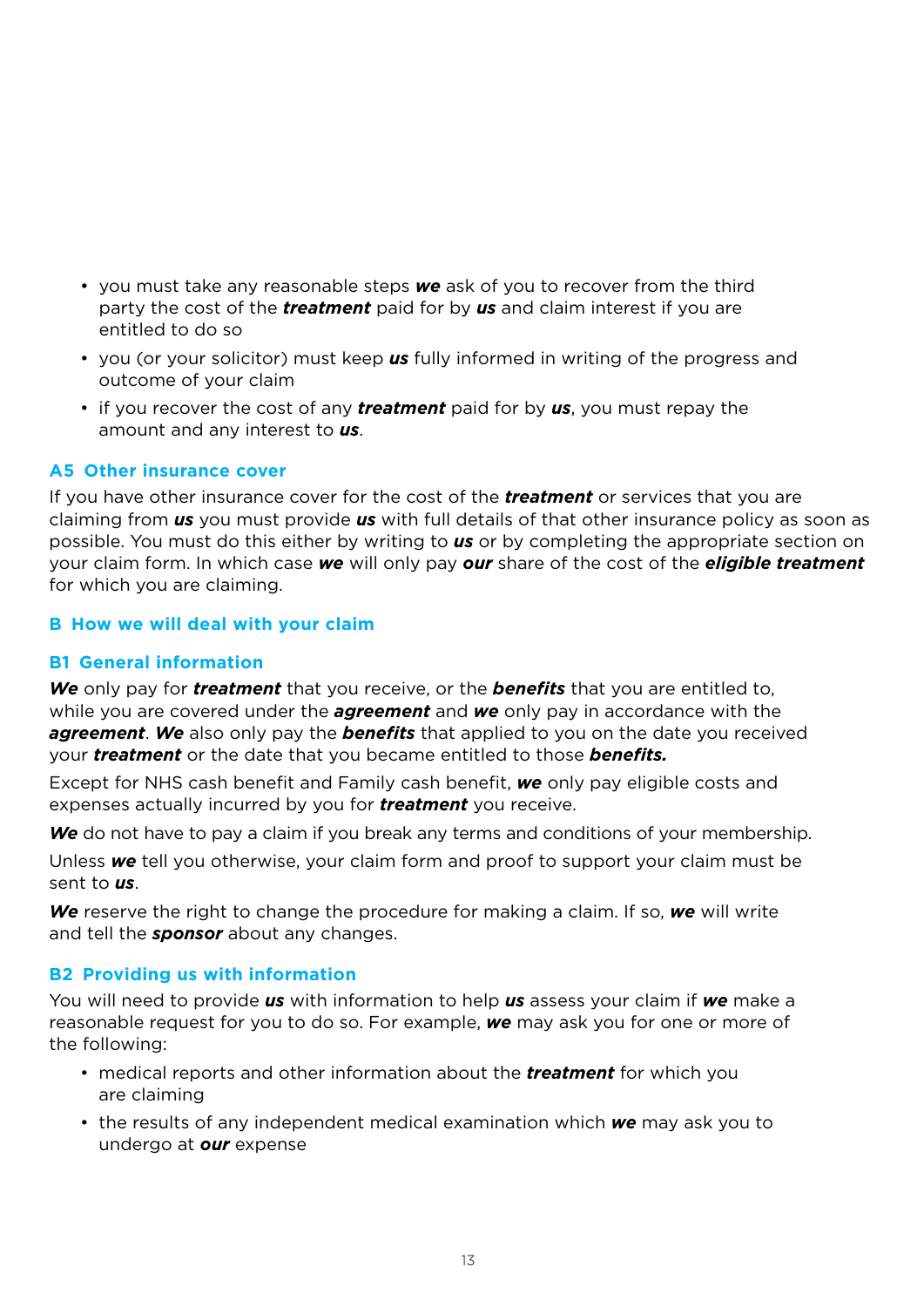- you must take any reasonable steps *we* ask of you to recover from the third party the cost of the *treatment* paid for by *us* and claim interest if you are entitled to do so
- you (or your solicitor) must keep *us* fully informed in writing of the progress and outcome of your claim
- if you recover the cost of any *treatment* paid for by *us*, you must repay the amount and any interest to *us*.

### **A5 Other insurance cover**

If you have other insurance cover for the cost of the *treatment* or services that you are claiming from *us* you must provide *us* with full details of that other insurance policy as soon as possible. You must do this either by writing to *us* or by completing the appropriate section on your claim form. In which case *we* will only pay *our* share of the cost of the *eligible treatment* for which you are claiming.

# **B How we will deal with your claim**

## **B1 General information**

*We* only pay for *treatment* that you receive, or the *benefits* that you are entitled to, while you are covered under the *agreement* and *we* only pay in accordance with the *agreement*. *We* also only pay the *benefits* that applied to you on the date you received your *treatment* or the date that you became entitled to those *benefits.*

Except for NHS cash benefit and Family cash benefit, *we* only pay eligible costs and expenses actually incurred by you for *treatment* you receive.

*We* do not have to pay a claim if you break any terms and conditions of your membership.

Unless *we* tell you otherwise, your claim form and proof to support your claim must be sent to *us*.

*We* reserve the right to change the procedure for making a claim. If so, *we* will write and tell the *sponsor* about any changes.

### **B2 Providing us with information**

You will need to provide *us* with information to help *us* assess your claim if *we* make a reasonable request for you to do so. For example, *we* may ask you for one or more of the following:

- medical reports and other information about the *treatment* for which you are claiming
- the results of any independent medical examination which *we* may ask you to undergo at *our* expense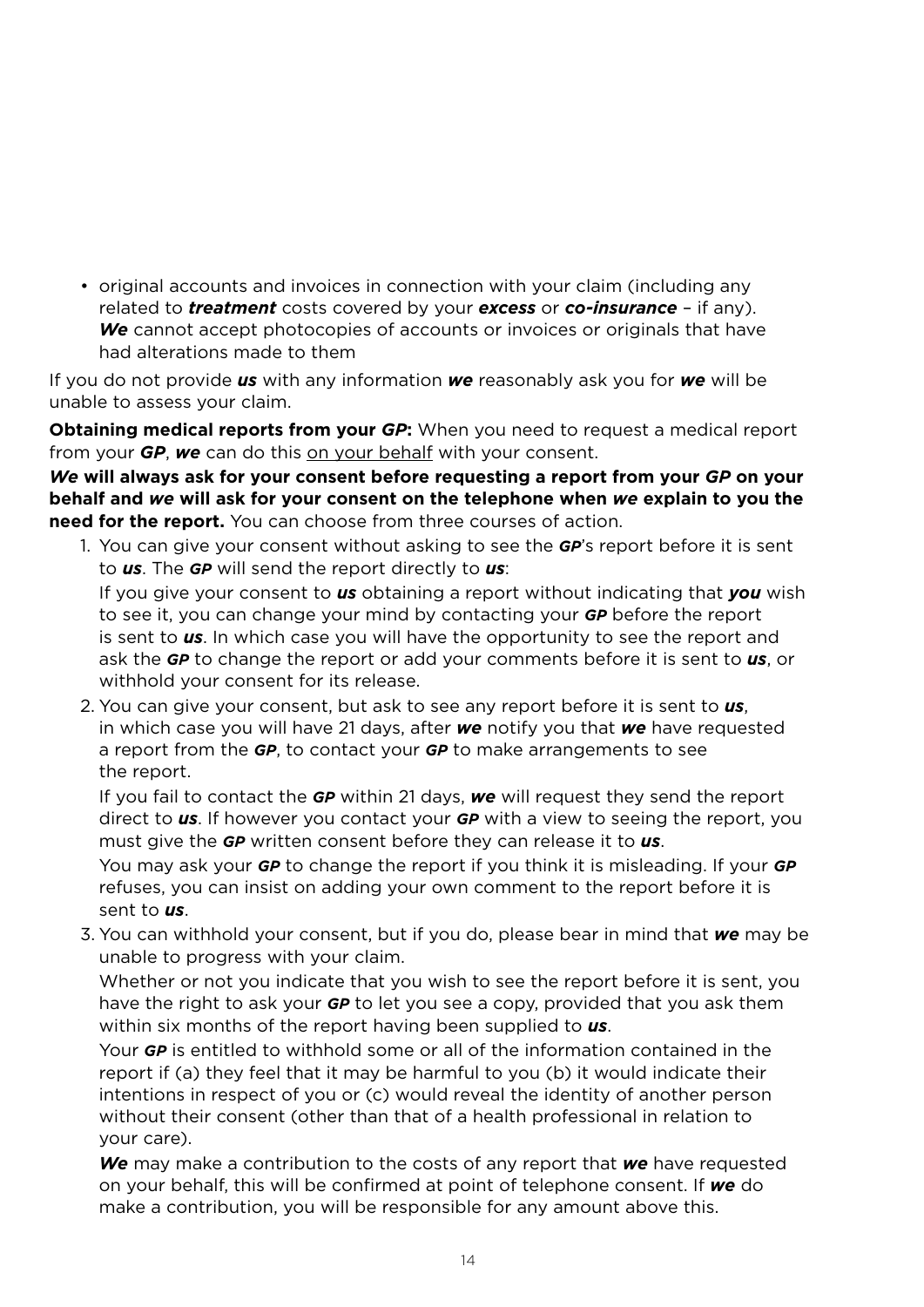• original accounts and invoices in connection with your claim (including any related to *treatment* costs covered by your *excess* or *co-insurance* – if any). *We* cannot accept photocopies of accounts or invoices or originals that have had alterations made to them

If you do not provide *us* with any information *we* reasonably ask you for *we* will be unable to assess your claim.

**Obtaining medical reports from your** *GP***:** When you need to request a medical report from your *GP*, *we* can do this on your behalf with your consent.

*We* **will always ask for your consent before requesting a report from your** *GP* **on your behalf and** *we* **will ask for your consent on the telephone when** *we* **explain to you the need for the report.** You can choose from three courses of action.

1. You can give your consent without asking to see the *GP*'s report before it is sent to *us*. The *GP* will send the report directly to *us*:

 If you give your consent to *us* obtaining a report without indicating that *you* wish to see it, you can change your mind by contacting your *GP* before the report is sent to *us*. In which case you will have the opportunity to see the report and ask the *GP* to change the report or add your comments before it is sent to *us*, or withhold your consent for its release.

2. You can give your consent, but ask to see any report before it is sent to *us*, in which case you will have 21 days, after *we* notify you that *we* have requested a report from the *GP*, to contact your *GP* to make arrangements to see the report.

 If you fail to contact the *GP* within 21 days, *we* will request they send the report direct to *us*. If however you contact your *GP* with a view to seeing the report, you must give the *GP* written consent before they can release it to *us*.

 You may ask your *GP* to change the report if you think it is misleading. If your *GP* refuses, you can insist on adding your own comment to the report before it is sent to *us*.

3. You can withhold your consent, but if you do, please bear in mind that *we* may be unable to progress with your claim.

 Whether or not you indicate that you wish to see the report before it is sent, you have the right to ask your *GP* to let you see a copy, provided that you ask them within six months of the report having been supplied to *us*.

 Your *GP* is entitled to withhold some or all of the information contained in the report if (a) they feel that it may be harmful to you (b) it would indicate their intentions in respect of you or (c) would reveal the identity of another person without their consent (other than that of a health professional in relation to your care).

 *We* may make a contribution to the costs of any report that *we* have requested on your behalf, this will be confirmed at point of telephone consent. If *we* do make a contribution, you will be responsible for any amount above this.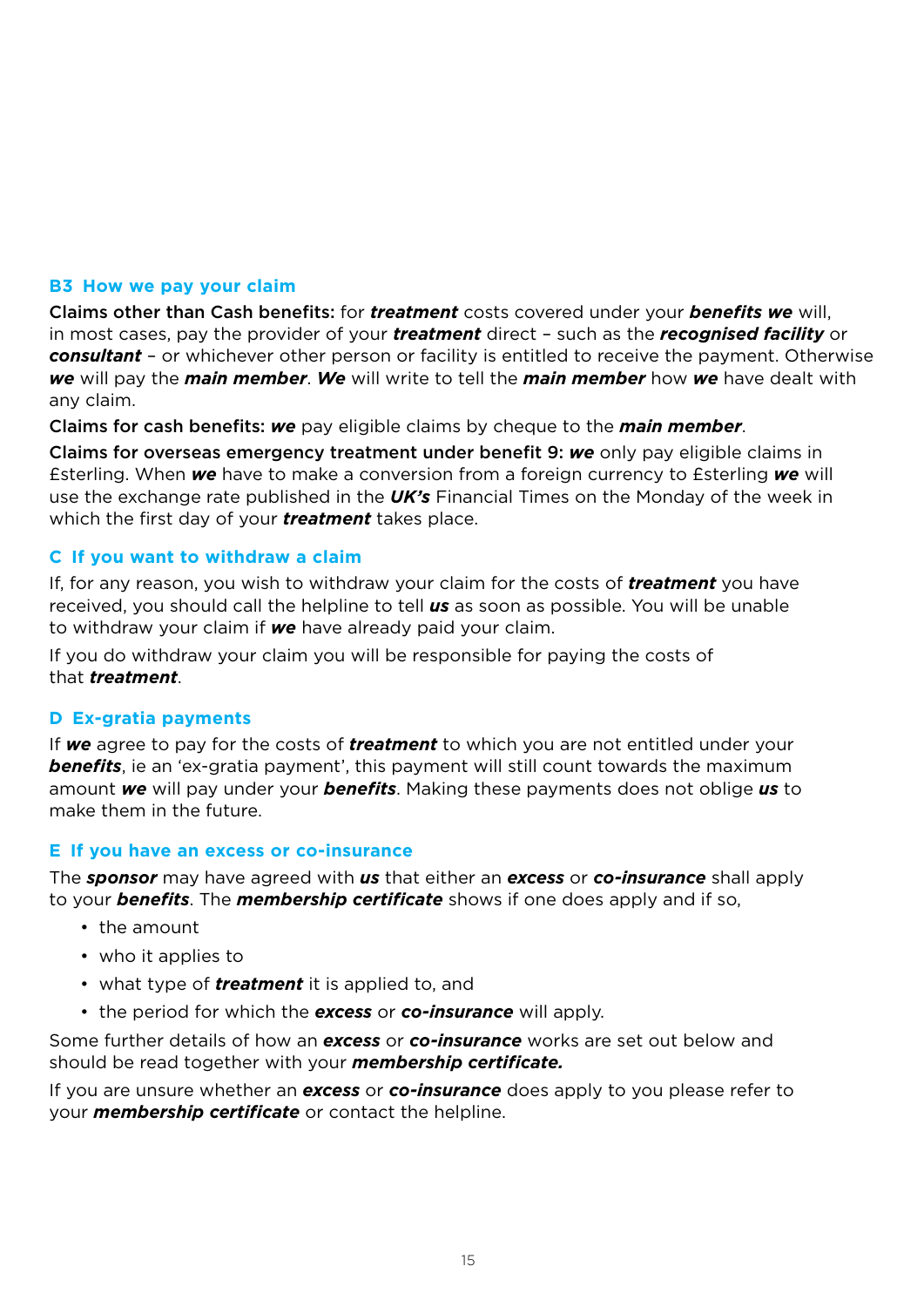#### **B3 How we pay your claim**

Claims other than Cash benefits: for *treatment* costs covered under your *benefits we* will, in most cases, pay the provider of your *treatment* direct – such as the *recognised facility* or *consultant* – or whichever other person or facility is entitled to receive the payment. Otherwise *we* will pay the *main member*. *We* will write to tell the *main member* how *we* have dealt with any claim.

Claims for cash benefits: *we* pay eligible claims by cheque to the *main member*.

Claims for overseas emergency treatment under benefit 9: *we* only pay eligible claims in £sterling. When *we* have to make a conversion from a foreign currency to £sterling *we* will use the exchange rate published in the *UK's* Financial Times on the Monday of the week in which the first day of your *treatment* takes place.

### **C If you want to withdraw a claim**

If, for any reason, you wish to withdraw your claim for the costs of *treatment* you have received, you should call the helpline to tell *us* as soon as possible. You will be unable to withdraw your claim if *we* have already paid your claim.

If you do withdraw your claim you will be responsible for paying the costs of that *treatment*.

#### **D Ex-gratia payments**

If *we* agree to pay for the costs of *treatment* to which you are not entitled under your *benefits*, ie an 'ex-gratia payment', this payment will still count towards the maximum amount *we* will pay under your *benefits*. Making these payments does not oblige *us* to make them in the future.

#### **E If you have an excess or co-insurance**

The *sponsor* may have agreed with *us* that either an *excess* or *co-insurance* shall apply to your *benefits*. The *membership certificate* shows if one does apply and if so,

- the amount
- who it applies to
- what type of *treatment* it is applied to, and
- the period for which the *excess* or *co-insurance* will apply.

Some further details of how an *excess* or *co-insurance* works are set out below and should be read together with your *membership certificate.*

If you are unsure whether an *excess* or *co-insurance* does apply to you please refer to your *membership certificate* or contact the helpline.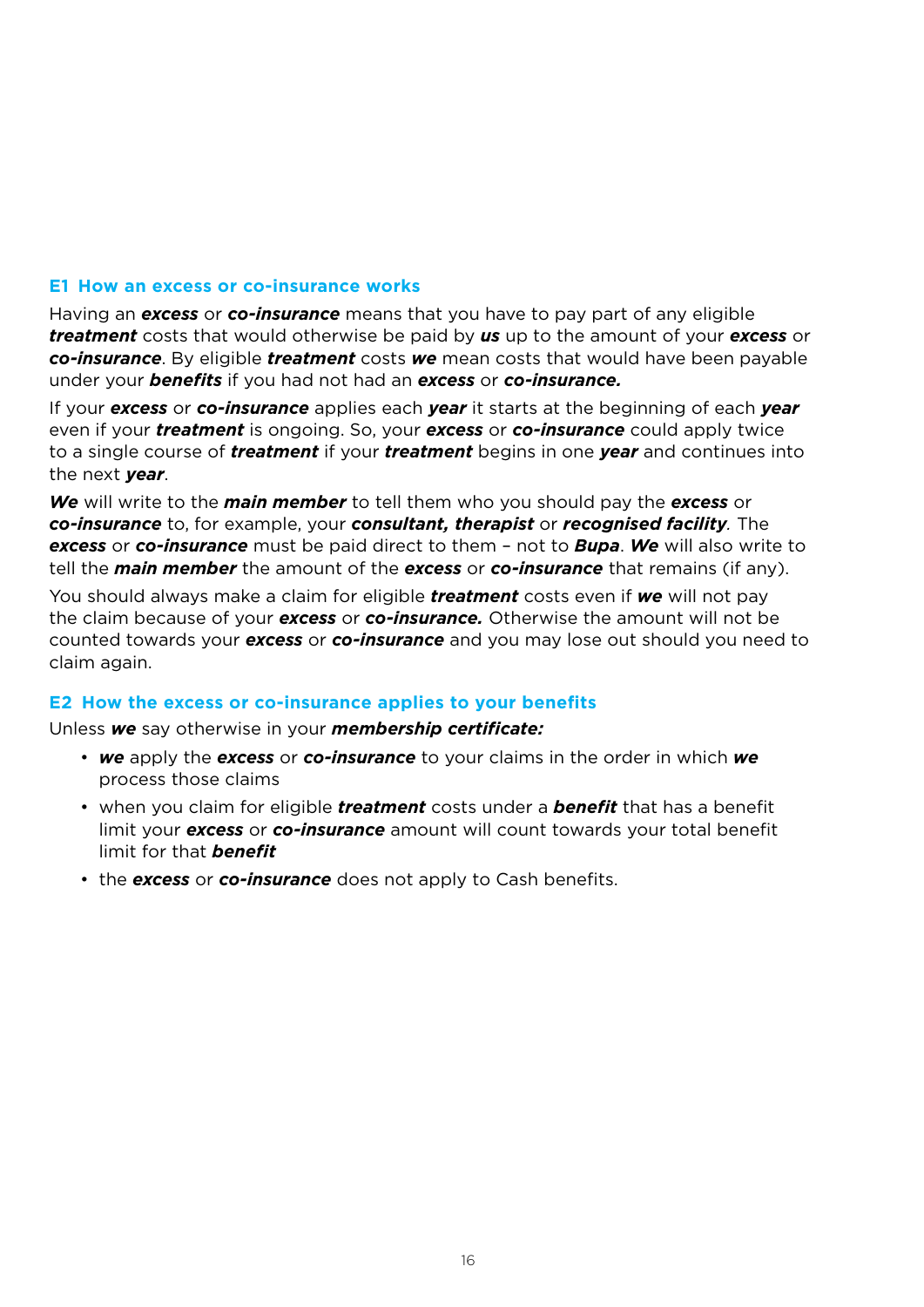#### **E1 How an excess or co-insurance works**

Having an *excess* or *co-insurance* means that you have to pay part of any eligible *treatment* costs that would otherwise be paid by *us* up to the amount of your *excess* or *co-insurance*. By eligible *treatment* costs *we* mean costs that would have been payable under your *benefits* if you had not had an *excess* or *co-insurance.*

If your *excess* or *co-insurance* applies each *year* it starts at the beginning of each *year* even if your *treatment* is ongoing. So, your *excess* or *co-insurance* could apply twice to a single course of *treatment* if your *treatment* begins in one *year* and continues into the next *year*.

*We* will write to the *main member* to tell them who you should pay the *excess* or *co-insurance* to, for example, your *consultant, therapist* or *recognised facility.* The *excess* or *co-insurance* must be paid direct to them – not to *Bupa*. *We* will also write to tell the *main member* the amount of the *excess* or *co-insurance* that remains (if any).

You should always make a claim for eligible *treatment* costs even if *we* will not pay the claim because of your *excess* or *co-insurance.* Otherwise the amount will not be counted towards your *excess* or *co-insurance* and you may lose out should you need to claim again.

#### **E2 How the excess or co-insurance applies to your benefits**

Unless *we* say otherwise in your *membership certificate:*

- *we* apply the *excess* or *co-insurance* to your claims in the order in which *we* process those claims
- when you claim for eligible *treatment* costs under a *benefit* that has a benefit limit your *excess* or *co-insurance* amount will count towards your total benefit limit for that *benefit*
- the *excess* or *co-insurance* does not apply to Cash benefits.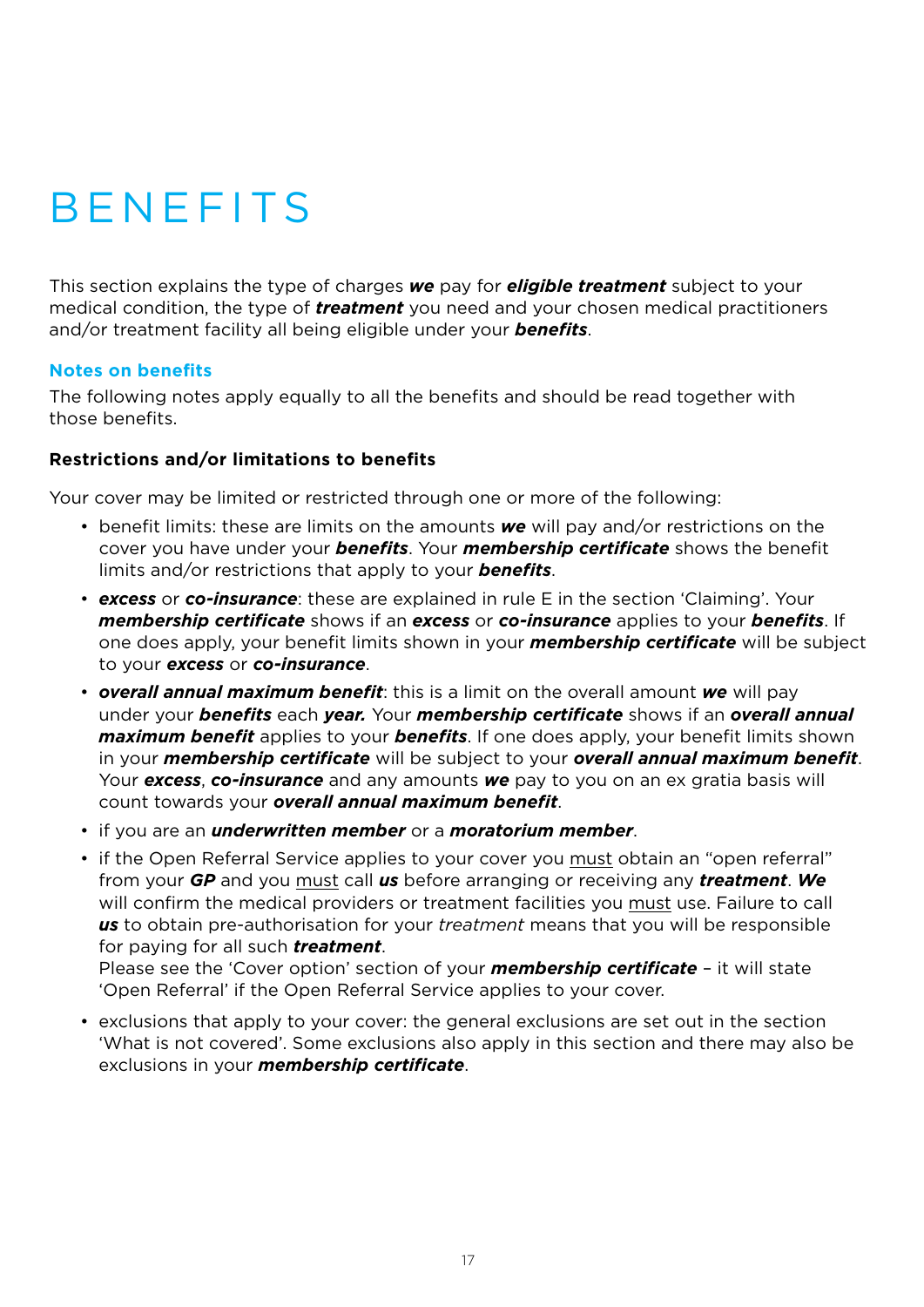# **BENEFITS**

This section explains the type of charges *we* pay for *eligible treatment* subject to your medical condition, the type of *treatment* you need and your chosen medical practitioners and/or treatment facility all being eligible under your *benefits*.

#### **Notes on benefits**

The following notes apply equally to all the benefits and should be read together with those benefits.

### **Restrictions and/or limitations to benefits**

Your cover may be limited or restricted through one or more of the following:

- benefit limits: these are limits on the amounts *we* will pay and/or restrictions on the cover you have under your *benefits*. Your *membership certificate* shows the benefit limits and/or restrictions that apply to your *benefits*.
- *excess* or *co-insurance*: these are explained in rule E in the section 'Claiming'. Your *membership certificate* shows if an *excess* or *co-insurance* applies to your *benefits*. If one does apply, your benefit limits shown in your *membership certificate* will be subject to your *excess* or *co-insurance*.
- *overall annual maximum benefit*: this is a limit on the overall amount *we* will pay under your *benefits* each *year.* Your *membership certificate* shows if an *overall annual maximum benefit* applies to your *benefits*. If one does apply, your benefit limits shown in your *membership certificate* will be subject to your *overall annual maximum benefit*. Your *excess*, *co-insurance* and any amounts *we* pay to you on an ex gratia basis will count towards your *overall annual maximum benefit*.
- if you are an *underwritten member* or a *moratorium member*.
- if the Open Referral Service applies to your cover you must obtain an "open referral" from your *GP* and you must call *us* before arranging or receiving any *treatment*. *We* will confirm the medical providers or treatment facilities you must use. Failure to call *us* to obtain pre-authorisation for your *treatment* means that you will be responsible for paying for all such *treatment*.

Please see the 'Cover option' section of your *membership certificate* – it will state 'Open Referral' if the Open Referral Service applies to your cover.

• exclusions that apply to your cover: the general exclusions are set out in the section 'What is not covered'. Some exclusions also apply in this section and there may also be exclusions in your *membership certificate*.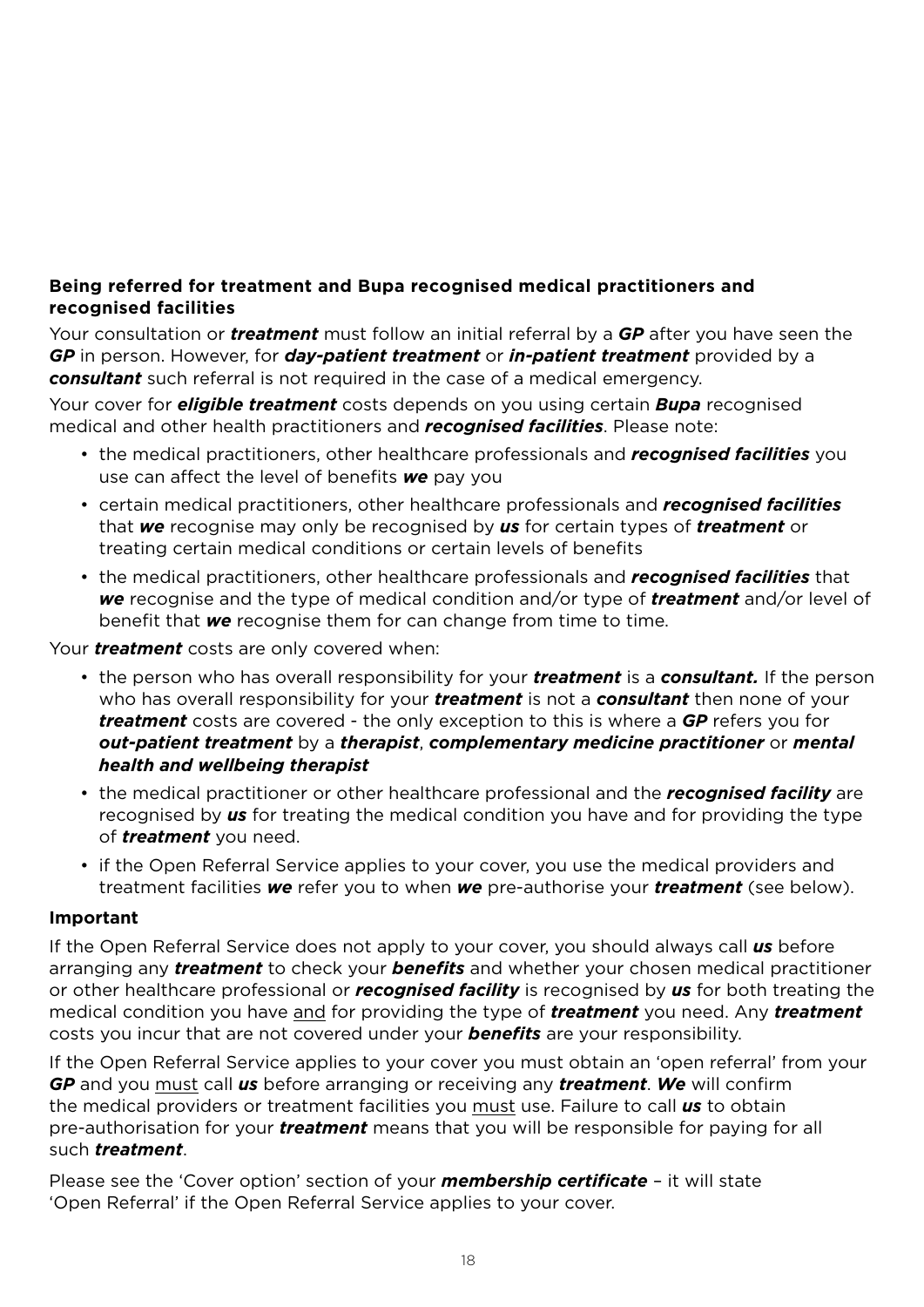# **Being referred for treatment and Bupa recognised medical practitioners and recognised facilities**

Your consultation or *treatment* must follow an initial referral by a *GP* after you have seen the *GP* in person. However, for *day-patient treatment* or *in-patient treatment* provided by a *consultant* such referral is not required in the case of a medical emergency.

Your cover for *eligible treatment* costs depends on you using certain *Bupa* recognised medical and other health practitioners and *recognised facilities*. Please note:

- the medical practitioners, other healthcare professionals and *recognised facilities* you use can affect the level of benefits *we* pay you
- certain medical practitioners, other healthcare professionals and *recognised facilities* that *we* recognise may only be recognised by *us* for certain types of *treatment* or treating certain medical conditions or certain levels of benefits
- the medical practitioners, other healthcare professionals and *recognised facilities* that *we* recognise and the type of medical condition and/or type of *treatment* and/or level of benefit that *we* recognise them for can change from time to time.

Your *treatment* costs are only covered when:

- the person who has overall responsibility for your *treatment* is a *consultant.* If the person who has overall responsibility for your *treatment* is not a *consultant* then none of your *treatment* costs are covered - the only exception to this is where a *GP* refers you for *out-patient treatment* by a *therapist*, *complementary medicine practitioner* or *mental health and wellbeing therapist*
- the medical practitioner or other healthcare professional and the *recognised facility* are recognised by *us* for treating the medical condition you have and for providing the type of *treatment* you need.
- if the Open Referral Service applies to your cover, you use the medical providers and treatment facilities *we* refer you to when *we* pre-authorise your *treatment* (see below).

### **Important**

If the Open Referral Service does not apply to your cover, you should always call *us* before arranging any *treatment* to check your *benefits* and whether your chosen medical practitioner or other healthcare professional or *recognised facility* is recognised by *us* for both treating the medical condition you have and for providing the type of *treatment* you need. Any *treatment*  costs you incur that are not covered under your *benefits* are your responsibility.

If the Open Referral Service applies to your cover you must obtain an 'open referral' from your *GP* and you must call *us* before arranging or receiving any *treatment*. *We* will confirm the medical providers or treatment facilities you must use. Failure to call *us* to obtain pre-authorisation for your *treatment* means that you will be responsible for paying for all such *treatment*.

Please see the 'Cover option' section of your *membership certificate* – it will state 'Open Referral' if the Open Referral Service applies to your cover.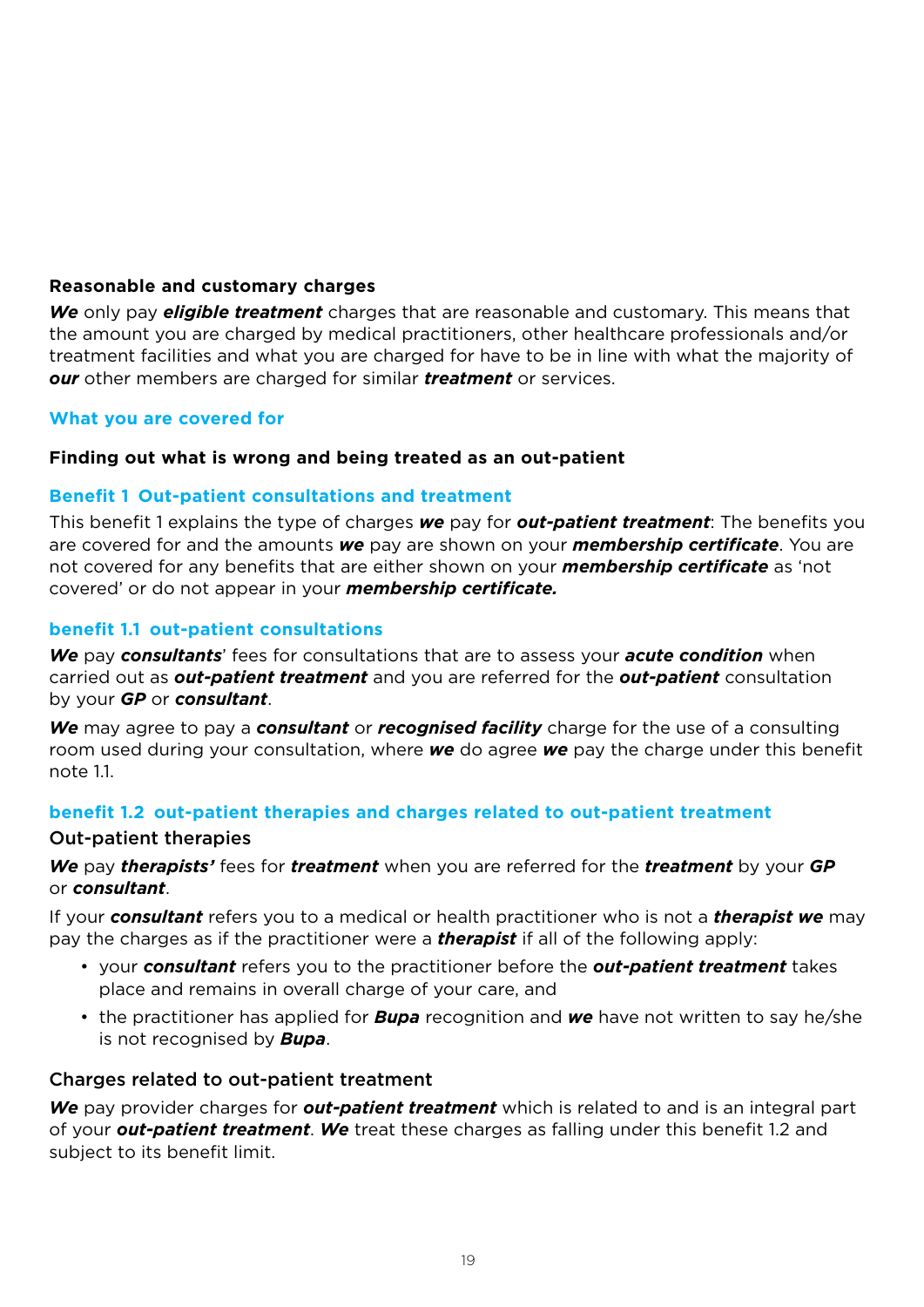### **Reasonable and customary charges**

*We* only pay *eligible treatment* charges that are reasonable and customary. This means that the amount you are charged by medical practitioners, other healthcare professionals and/or treatment facilities and what you are charged for have to be in line with what the majority of *our* other members are charged for similar *treatment* or services.

#### **What you are covered for**

#### **Finding out what is wrong and being treated as an out-patient**

#### **Benefit 1 Out-patient consultations and treatment**

This benefit 1 explains the type of charges *we* pay for *out-patient treatment*: The benefits you are covered for and the amounts *we* pay are shown on your *membership certificate*. You are not covered for any benefits that are either shown on your *membership certificate* as 'not covered' or do not appear in your *membership certificate.*

#### **benefit 1.1 out-patient consultations**

*We* pay *consultants*' fees for consultations that are to assess your *acute condition* when carried out as *out-patient treatment* and you are referred for the *out-patient* consultation by your *GP* or *consultant*.

*We* may agree to pay a *consultant* or *recognised facility* charge for the use of a consulting room used during your consultation, where *we* do agree *we* pay the charge under this benefit  $n \cap t \in 11$ 

#### **benefit 1.2 out-patient therapies and charges related to out-patient treatment**

#### Out-patient therapies

*We* pay *therapists'* fees for *treatment* when you are referred for the *treatment* by your *GP* or *consultant*.

If your *consultant* refers you to a medical or health practitioner who is not a *therapist we* may pay the charges as if the practitioner were a *therapist* if all of the following apply:

- your *consultant* refers you to the practitioner before the *out-patient treatment* takes place and remains in overall charge of your care, and
- the practitioner has applied for *Bupa* recognition and *we* have not written to say he/she is not recognised by *Bupa*.

#### Charges related to out-patient treatment

*We* pay provider charges for *out-patient treatment* which is related to and is an integral part of your *out-patient treatment*. *We* treat these charges as falling under this benefit 1.2 and subject to its benefit limit.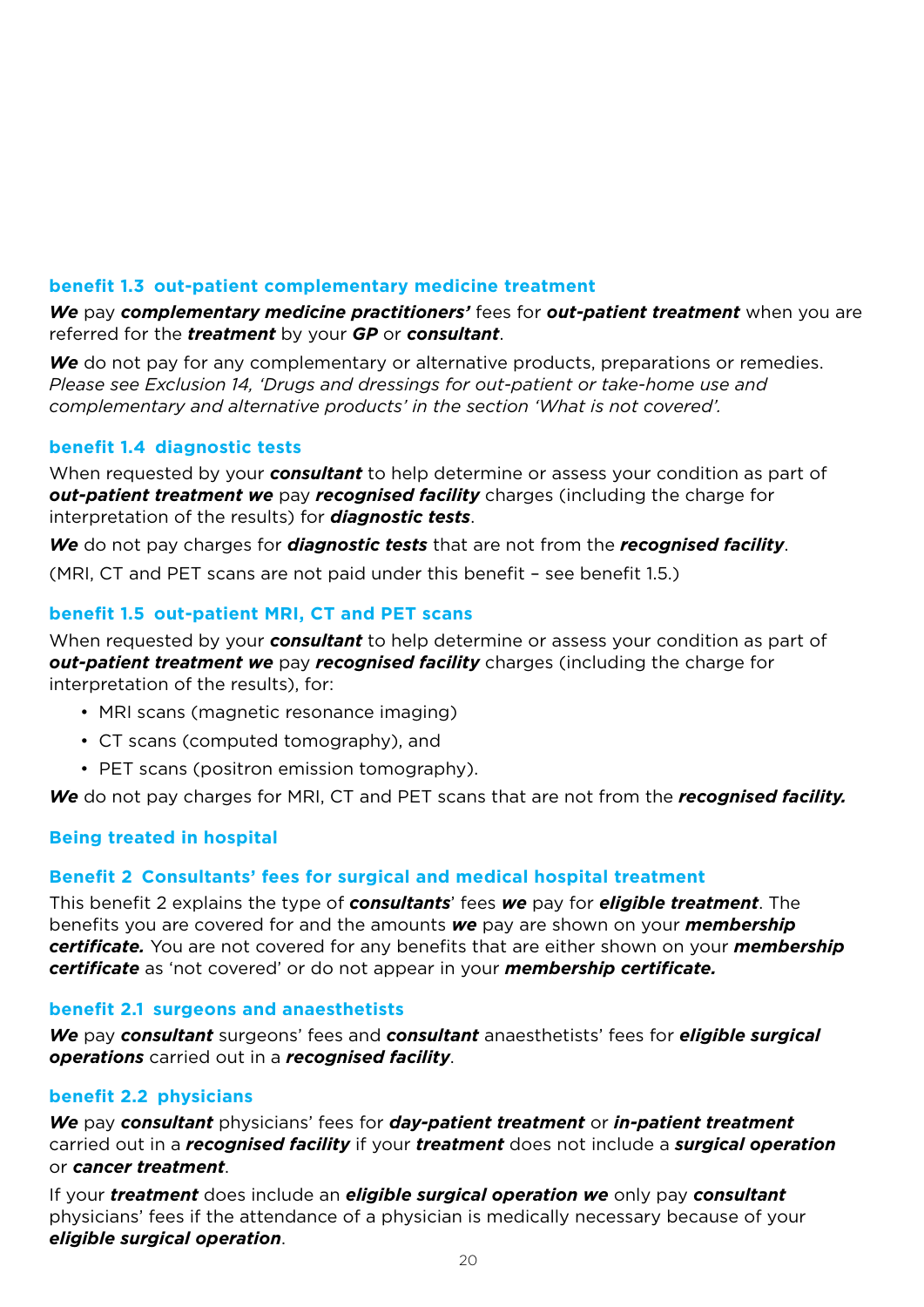# **benefit 1.3 out-patient complementary medicine treatment**

*We* pay *complementary medicine practitioners'* fees for *out-patient treatment* when you are referred for the *treatment* by your *GP* or *consultant*.

We do not pay for any complementary or alternative products, preparations or remedies. *Please see Exclusion 14, 'Drugs and dressings for out-patient or take-home use and complementary and alternative products' in the section 'What is not covered'.*

### **benefit 1.4 diagnostic tests**

When requested by your *consultant* to help determine or assess your condition as part of *out-patient treatment we* pay *recognised facility* charges (including the charge for interpretation of the results) for *diagnostic tests*.

*We* do not pay charges for *diagnostic tests* that are not from the *recognised facility*. (MRI, CT and PET scans are not paid under this benefit – see benefit 1.5.)

# **benefit 1.5 out-patient MRI, CT and PET scans**

When requested by your *consultant* to help determine or assess your condition as part of *out-patient treatment we* pay *recognised facility* charges (including the charge for interpretation of the results), for:

- MRI scans (magnetic resonance imaging)
- CT scans (computed tomography), and
- PET scans (positron emission tomography).

*We* do not pay charges for MRI, CT and PET scans that are not from the *recognised facility.* 

### **Being treated in hospital**

### **Benefit 2 Consultants' fees for surgical and medical hospital treatment**

This benefit 2 explains the type of *consultants*' fees *we* pay for *eligible treatment*. The benefits you are covered for and the amounts *we* pay are shown on your *membership certificate.* You are not covered for any benefits that are either shown on your *membership certificate* as 'not covered' or do not appear in your *membership certificate.*

#### **benefit 2.1 surgeons and anaesthetists**

*We* pay *consultant* surgeons' fees and *consultant* anaesthetists' fees for *eligible surgical operations* carried out in a *recognised facility*.

### **benefit 2.2 physicians**

*We* pay *consultant* physicians' fees for *day-patient treatment* or *in-patient treatment* carried out in a *recognised facility* if your *treatment* does not include a *surgical operation* or *cancer treatment*.

If your *treatment* does include an *eligible surgical operation we* only pay *consultant*  physicians' fees if the attendance of a physician is medically necessary because of your *eligible surgical operation*.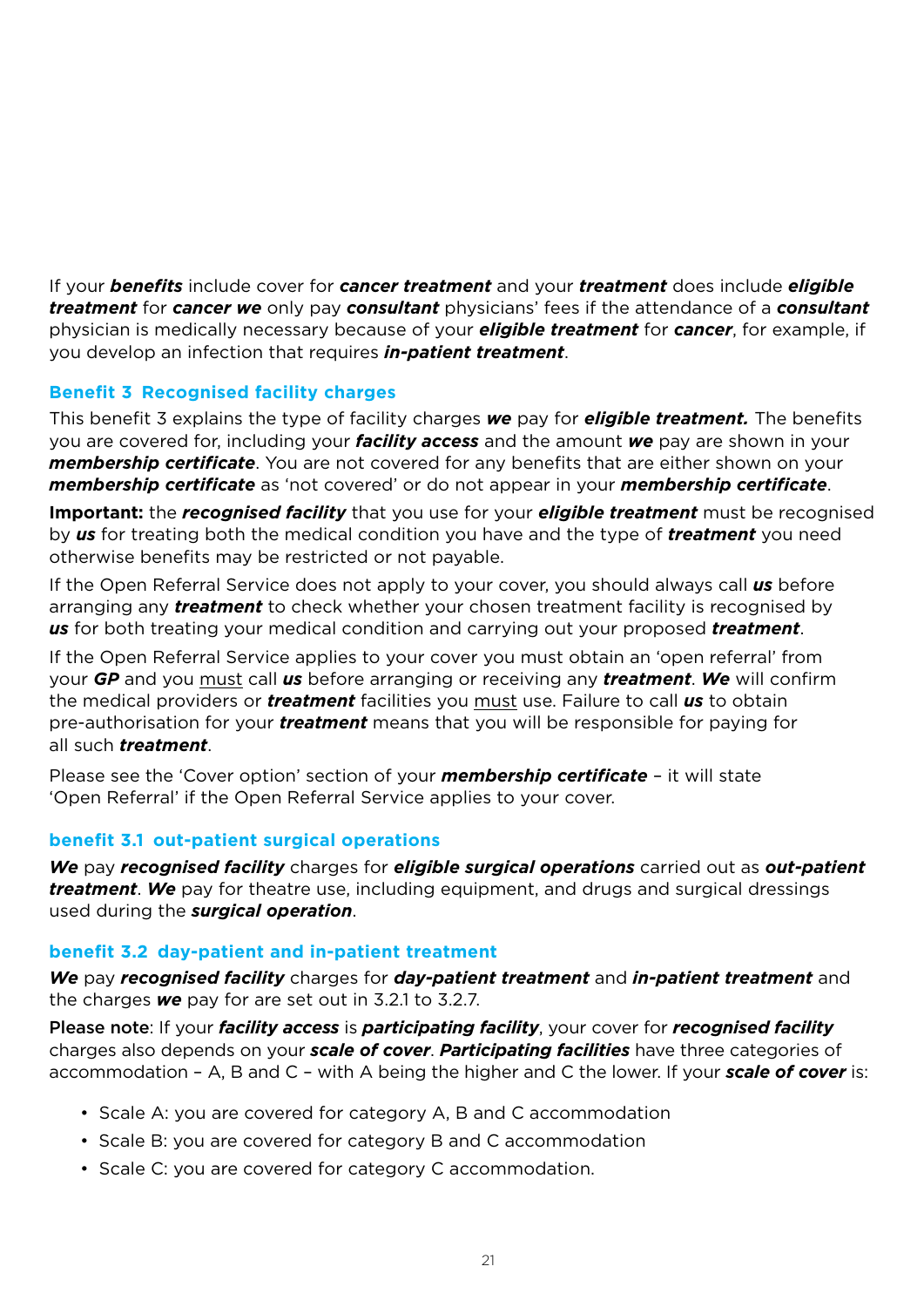If your *benefits* include cover for *cancer treatment* and your *treatment* does include *eligible treatment* for *cancer we* only pay *consultant* physicians' fees if the attendance of a *consultant*  physician is medically necessary because of your *eligible treatment* for *cancer*, for example, if you develop an infection that requires *in-patient treatment*.

# **Benefit 3 Recognised facility charges**

This benefit 3 explains the type of facility charges *we* pay for *eligible treatment.* The benefits you are covered for, including your *facility access* and the amount *we* pay are shown in your *membership certificate*. You are not covered for any benefits that are either shown on your *membership certificate* as 'not covered' or do not appear in your *membership certificate*.

**Important:** the *recognised facility* that you use for your *eligible treatment* must be recognised by *us* for treating both the medical condition you have and the type of *treatment* you need otherwise benefits may be restricted or not payable.

If the Open Referral Service does not apply to your cover, you should always call *us* before arranging any *treatment* to check whether your chosen treatment facility is recognised by *us* for both treating your medical condition and carrying out your proposed *treatment*.

If the Open Referral Service applies to your cover you must obtain an 'open referral' from your *GP* and you must call *us* before arranging or receiving any *treatment*. *We* will confirm the medical providers or *treatment* facilities you must use. Failure to call *us* to obtain pre-authorisation for your *treatment* means that you will be responsible for paying for all such *treatment*.

Please see the 'Cover option' section of your *membership certificate* – it will state 'Open Referral' if the Open Referral Service applies to your cover.

### **benefit 3.1 out-patient surgical operations**

*We* pay *recognised facility* charges for *eligible surgical operations* carried out as *out-patient treatment*. *We* pay for theatre use, including equipment, and drugs and surgical dressings used during the *surgical operation*.

### **benefit 3.2 day-patient and in-patient treatment**

*We* pay *recognised facility* charges for *day-patient treatment* and *in-patient treatment* and the charges *we* pay for are set out in 3.2.1 to 3.2.7.

Please note: If your *facility access* is *participating facility*, your cover for *recognised facility*  charges also depends on your *scale of cover*. *Participating facilities* have three categories of accommodation – A, B and C – with A being the higher and C the lower. If your *scale of cover* is:

- Scale A: you are covered for category A, B and C accommodation
- Scale B: you are covered for category B and C accommodation
- Scale C: you are covered for category C accommodation.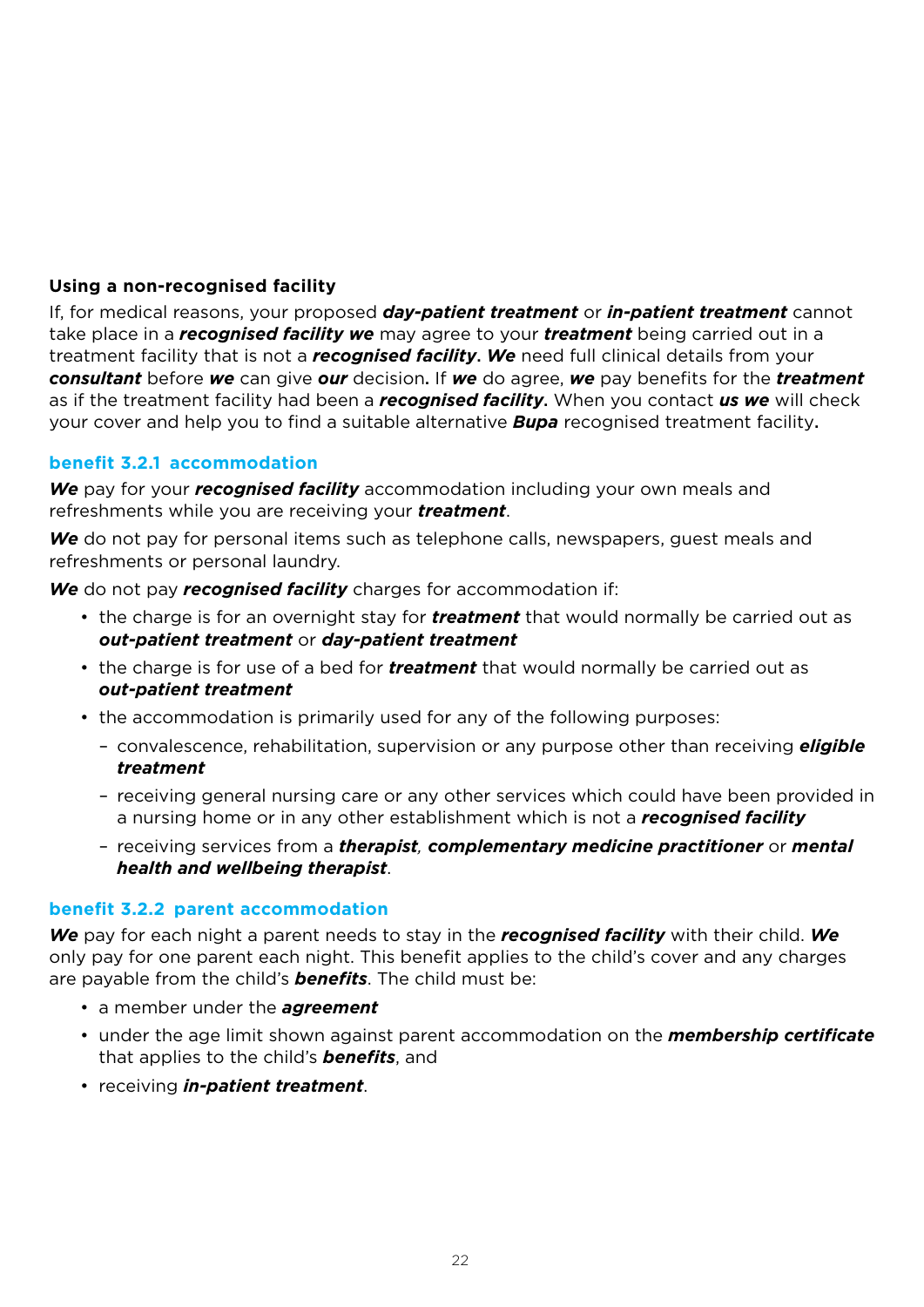### **Using a non-recognised facility**

If, for medical reasons, your proposed *day-patient treatment* or *in-patient treatment* cannot take place in a *recognised facility we* may agree to your *treatment* being carried out in a treatment facility that is not a *recognised facility*. *We* need full clinical details from your *consultant* before *we* can give *our* decision. If *we* do agree, *we* pay benefits for the *treatment*  as if the treatment facility had been a *recognised facility*. When you contact *us we* will check your cover and help you to find a suitable alternative *Bupa* recognised treatment facility.

### **benefit 3.2.1 accommodation**

*We* pay for your *recognised facility* accommodation including your own meals and refreshments while you are receiving your *treatment*.

*We* do not pay for personal items such as telephone calls, newspapers, guest meals and refreshments or personal laundry.

*We* do not pay *recognised facility* charges for accommodation if:

- the charge is for an overnight stay for *treatment* that would normally be carried out as *out-patient treatment* or *day-patient treatment*
- the charge is for use of a bed for *treatment* that would normally be carried out as *out-patient treatment*
- the accommodation is primarily used for any of the following purposes:
	- convalescence, rehabilitation, supervision or any purpose other than receiving *eligible treatment*
	- receiving general nursing care or any other services which could have been provided in a nursing home or in any other establishment which is not a *recognised facility*
	- receiving services from a *therapist, complementary medicine practitioner* or *mental health and wellbeing therapist*.

### **benefit 3.2.2 parent accommodation**

*We* pay for each night a parent needs to stay in the *recognised facility* with their child. *We* only pay for one parent each night. This benefit applies to the child's cover and any charges are payable from the child's *benefits*. The child must be:

- a member under the *agreement*
- under the age limit shown against parent accommodation on the *membership certificate*  that applies to the child's *benefits*, and
- receiving *in-patient treatment*.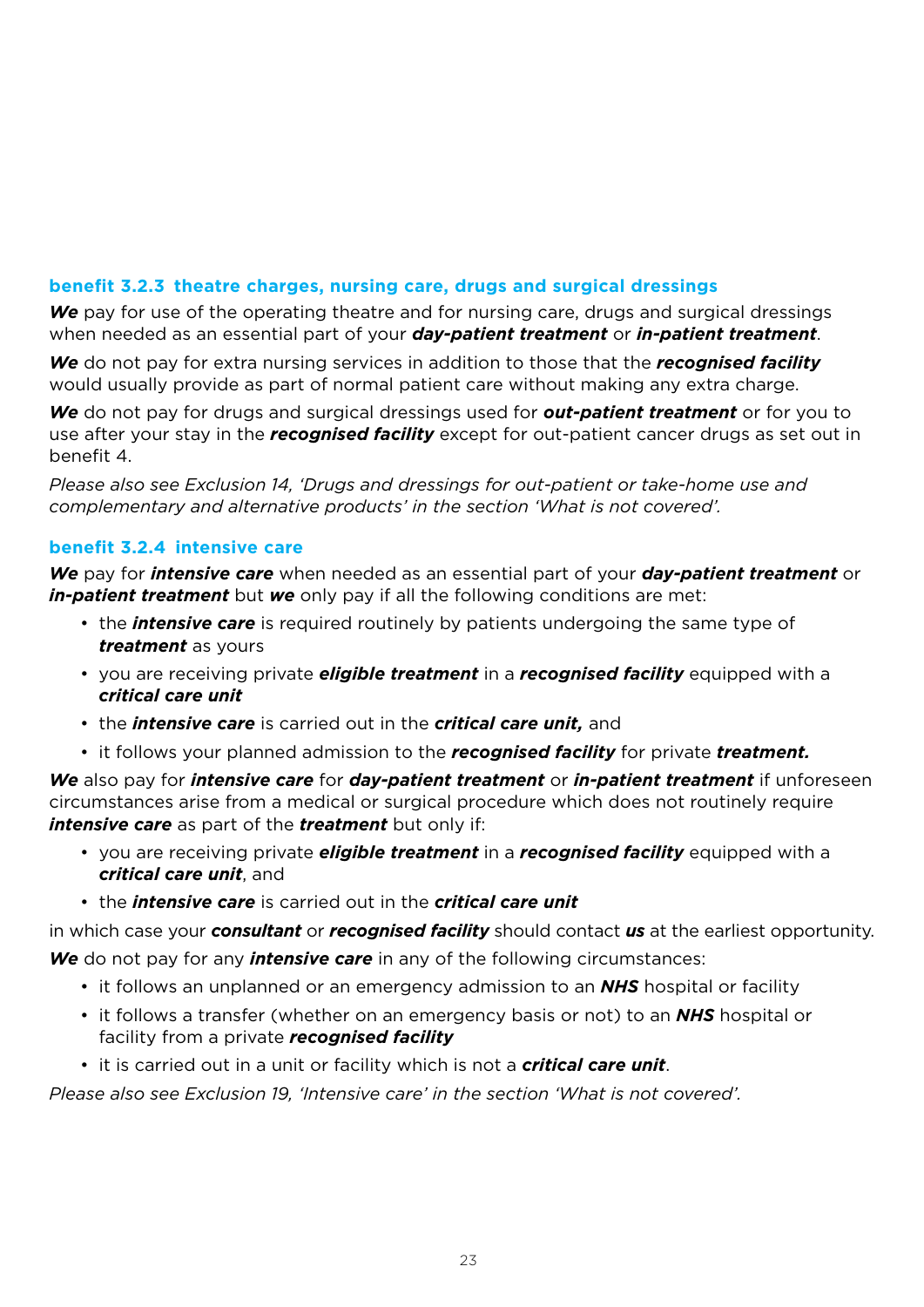# **benefit 3.2.3 theatre charges, nursing care, drugs and surgical dressings**

*We* pay for use of the operating theatre and for nursing care, drugs and surgical dressings when needed as an essential part of your *day-patient treatment* or *in-patient treatment*.

*We* do not pay for extra nursing services in addition to those that the *recognised facility*  would usually provide as part of normal patient care without making any extra charge.

*We* do not pay for drugs and surgical dressings used for *out-patient treatment* or for you to use after your stay in the *recognised facility* except for out-patient cancer drugs as set out in benefit 4.

*Please also see Exclusion 14, 'Drugs and dressings for out-patient or take-home use and complementary and alternative products' in the section 'What is not covered'.*

### **benefit 3.2.4 intensive care**

*We* pay for *intensive care* when needed as an essential part of your *day-patient treatment* or *in-patient treatment* but *we* only pay if all the following conditions are met:

- the *intensive care* is required routinely by patients undergoing the same type of *treatment* as yours
- you are receiving private *eligible treatment* in a *recognised facility* equipped with a *critical care unit*
- the *intensive care* is carried out in the *critical care unit,* and
- it follows your planned admission to the *recognised facility* for private *treatment.*

*We* also pay for *intensive care* for *day-patient treatment* or *in-patient treatment* if unforeseen circumstances arise from a medical or surgical procedure which does not routinely require *intensive care* as part of the *treatment* but only if:

- you are receiving private *eligible treatment* in a *recognised facility* equipped with a *critical care unit*, and
- the *intensive care* is carried out in the *critical care unit*

in which case your *consultant* or *recognised facility* should contact *us* at the earliest opportunity. *We* do not pay for any *intensive care* in any of the following circumstances:

- it follows an unplanned or an emergency admission to an *NHS* hospital or facility
- it follows a transfer (whether on an emergency basis or not) to an *NHS* hospital or facility from a private *recognised facility*
- it is carried out in a unit or facility which is not a *critical care unit*.

*Please also see Exclusion 19, 'Intensive care' in the section 'What is not covered'.*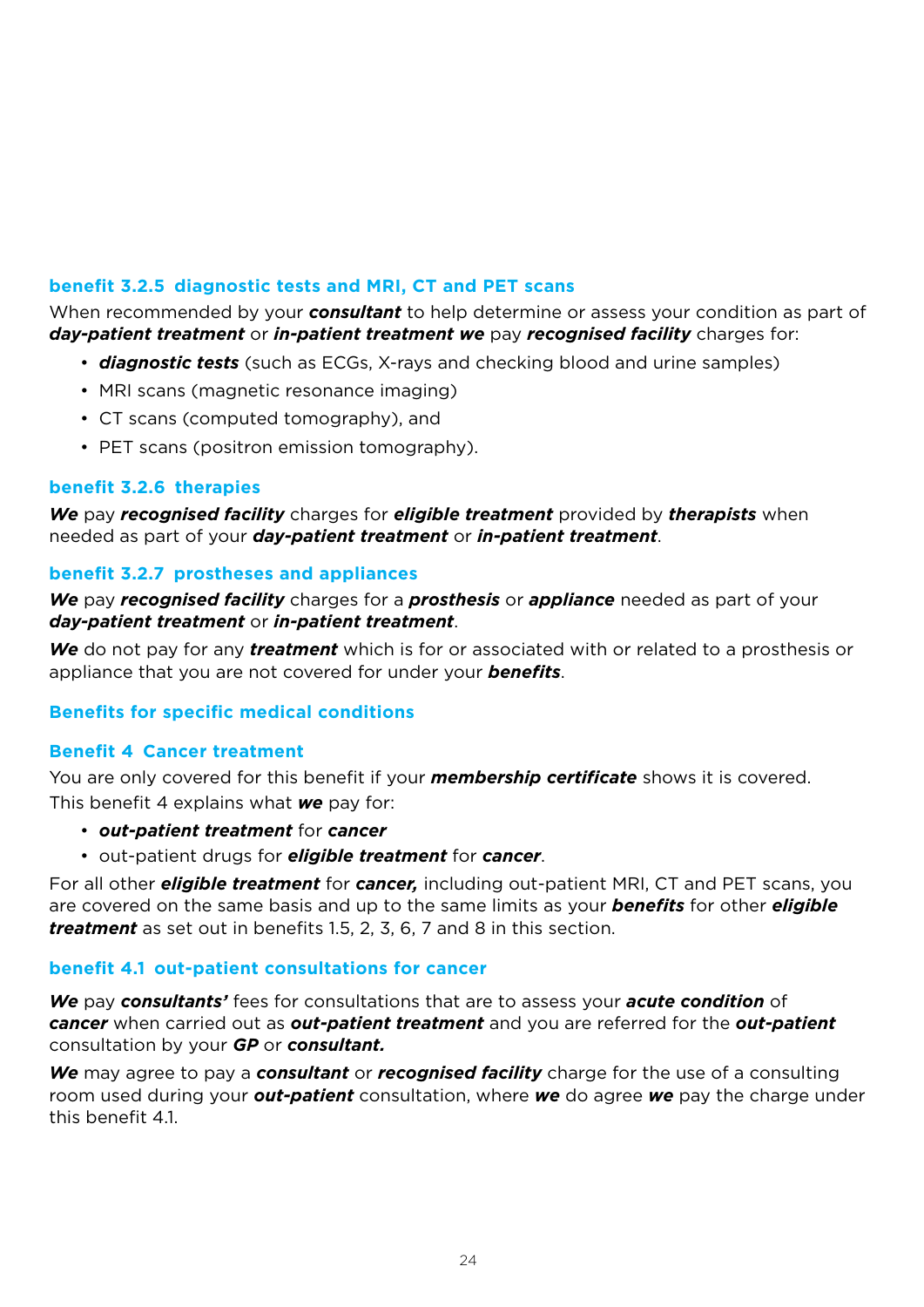# **benefit 3.2.5 diagnostic tests and MRI, CT and PET scans**

When recommended by your *consultant* to help determine or assess your condition as part of *day-patient treatment* or *in-patient treatment we* pay *recognised facility* charges for:

- *diagnostic tests* (such as ECGs, X-rays and checking blood and urine samples)
- MRI scans (magnetic resonance imaging)
- CT scans (computed tomography), and
- PET scans (positron emission tomography).

### **benefit 3.2.6 therapies**

*We* pay *recognised facility* charges for *eligible treatment* provided by *therapists* when needed as part of your *day-patient treatment* or *in-patient treatment*.

### **benefit 3.2.7 prostheses and appliances**

*We* pay *recognised facility* charges for a *prosthesis* or *appliance* needed as part of your *day-patient treatment* or *in-patient treatment*.

*We* do not pay for any *treatment* which is for or associated with or related to a prosthesis or appliance that you are not covered for under your *benefits*.

### **Benefits for specific medical conditions**

### **Benefit 4 Cancer treatment**

You are only covered for this benefit if your *membership certificate* shows it is covered. This benefit 4 explains what *we* pay for:

- *out-patient treatment* for *cancer*
- out-patient drugs for *eligible treatment* for *cancer*.

For all other *eligible treatment* for *cancer,* including out-patient MRI, CT and PET scans, you are covered on the same basis and up to the same limits as your *benefits* for other *eligible treatment* as set out in benefits 1.5, 2, 3, 6, 7 and 8 in this section.

### **benefit 4.1 out-patient consultations for cancer**

*We* pay *consultants'* fees for consultations that are to assess your *acute condition* of *cancer* when carried out as *out-patient treatment* and you are referred for the *out-patient*  consultation by your *GP* or *consultant.*

*We* may agree to pay a *consultant* or *recognised facility* charge for the use of a consulting room used during your *out-patient* consultation, where *we* do agree *we* pay the charge under this benefit  $41$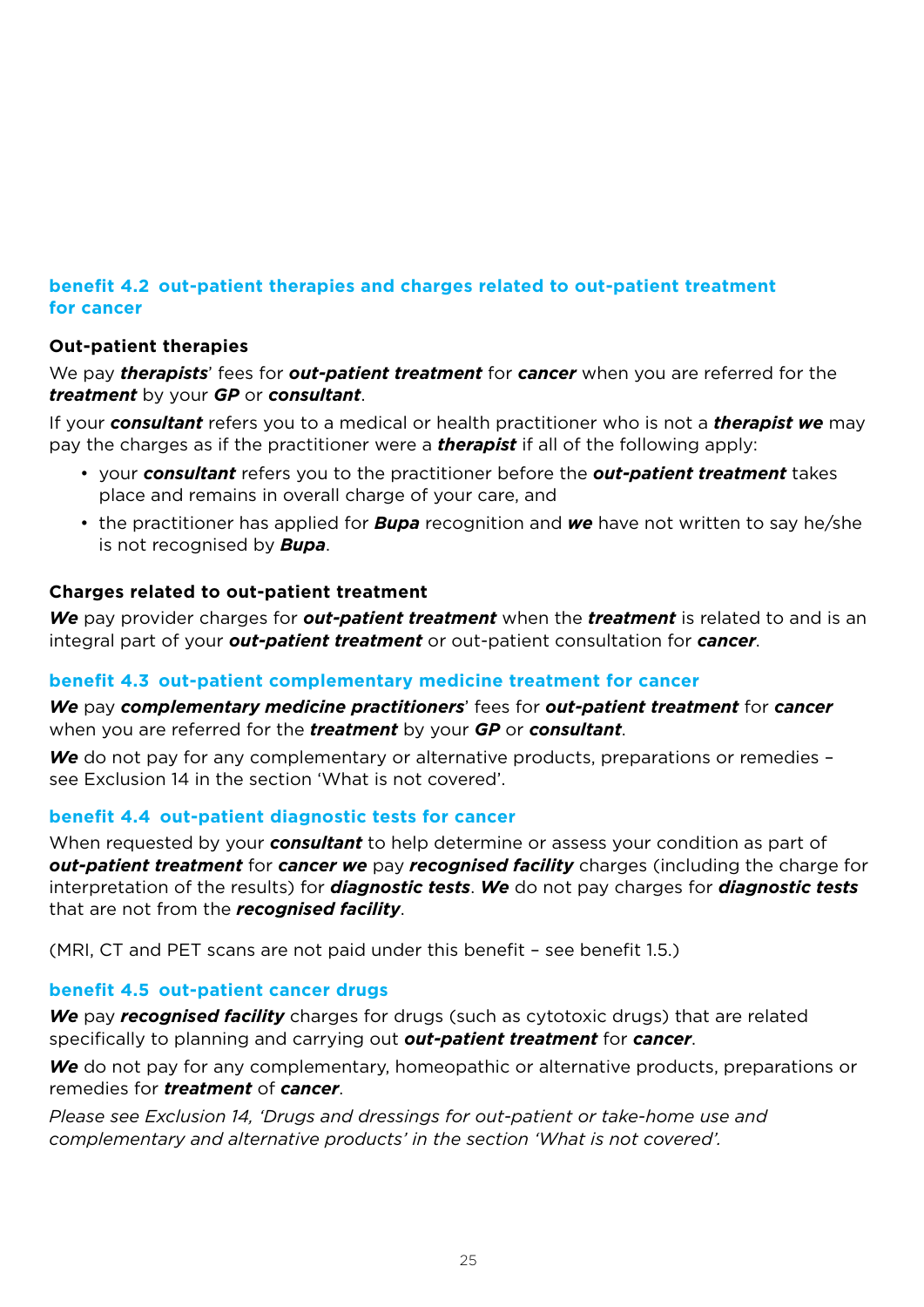# **benefit 4.2 out-patient therapies and charges related to out-patient treatment for cancer**

# **Out-patient therapies**

We pay *therapists*' fees for *out-patient treatment* for *cancer* when you are referred for the *treatment* by your *GP* or *consultant*.

If your *consultant* refers you to a medical or health practitioner who is not a *therapist we* may pay the charges as if the practitioner were a *therapist* if all of the following apply:

- your *consultant* refers you to the practitioner before the *out-patient treatment* takes place and remains in overall charge of your care, and
- the practitioner has applied for *Bupa* recognition and *we* have not written to say he/she is not recognised by *Bupa*.

# **Charges related to out-patient treatment**

*We* pay provider charges for *out-patient treatment* when the *treatment* is related to and is an integral part of your *out-patient treatment* or out-patient consultation for *cancer*.

### **benefit 4.3 out-patient complementary medicine treatment for cancer**

*We* pay *complementary medicine practitioners*' fees for *out-patient treatment* for *cancer*  when you are referred for the *treatment* by your *GP* or *consultant*.

We do not pay for any complementary or alternative products, preparations or remedies see Exclusion 14 in the section 'What is not covered'.

### **benefit 4.4 out-patient diagnostic tests for cancer**

When requested by your *consultant* to help determine or assess your condition as part of *out-patient treatment* for *cancer we* pay *recognised facility* charges (including the charge for interpretation of the results) for *diagnostic tests*. *We* do not pay charges for *diagnostic tests* that are not from the *recognised facility*.

(MRI, CT and PET scans are not paid under this benefit – see benefit 1.5.)

### **benefit 4.5 out-patient cancer drugs**

We pay *recognised facility* charges for drugs (such as cytotoxic drugs) that are related specifically to planning and carrying out *out-patient treatment* for *cancer*.

*We* do not pay for any complementary, homeopathic or alternative products, preparations or remedies for *treatment* of *cancer*.

*Please see Exclusion 14, 'Drugs and dressings for out-patient or take-home use and complementary and alternative products' in the section 'What is not covered'.*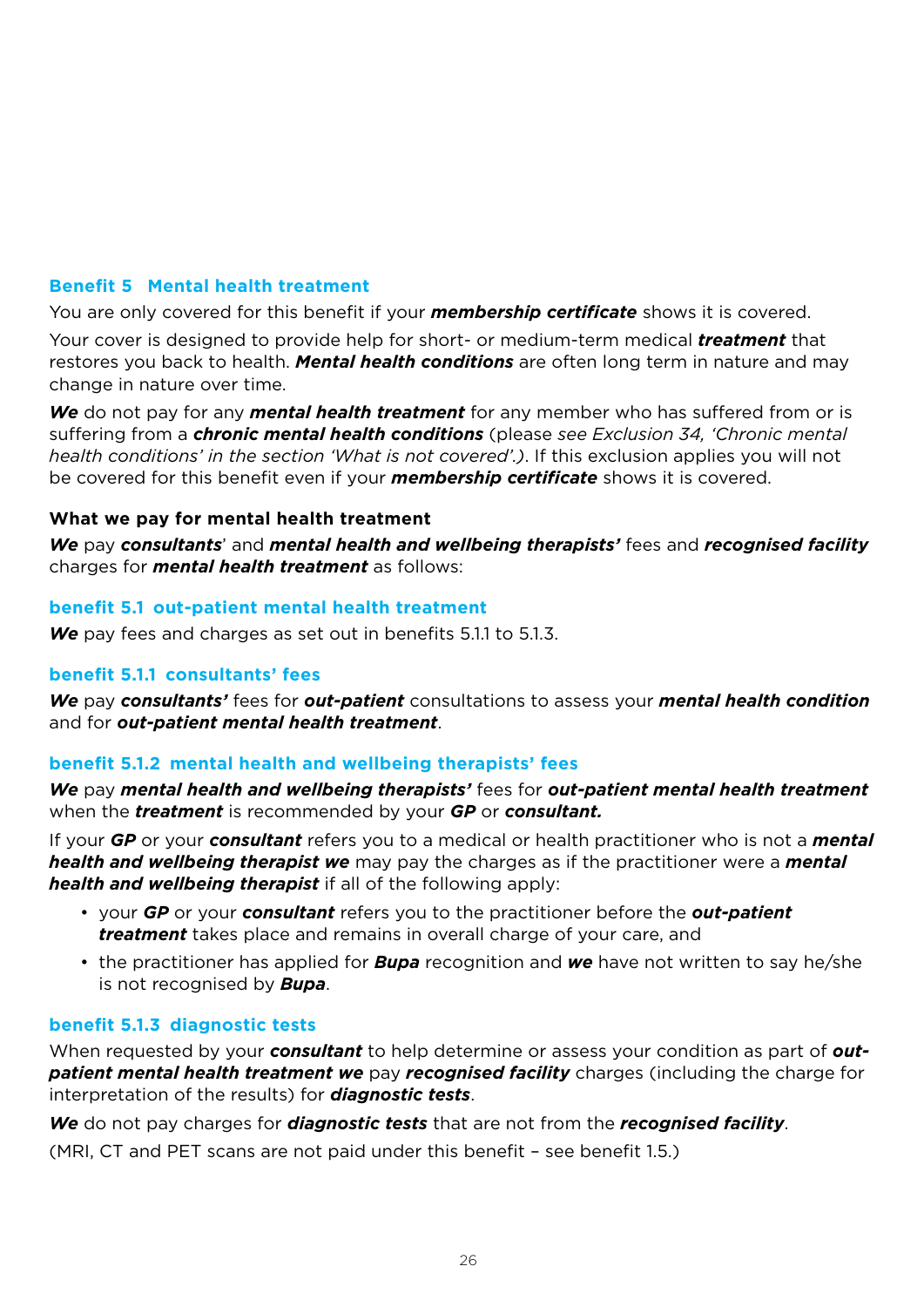## **Benefit 5 Mental health treatment**

You are only covered for this benefit if your *membership certificate* shows it is covered.

Your cover is designed to provide help for short- or medium-term medical *treatment* that restores you back to health. *Mental health conditions* are often long term in nature and may change in nature over time.

*We* do not pay for any *mental health treatment* for any member who has suffered from or is suffering from a *chronic mental health conditions* (please *see Exclusion 34, 'Chronic mental health conditions' in the section 'What is not covered'.)*. If this exclusion applies you will not be covered for this benefit even if your *membership certificate* shows it is covered.

#### **What we pay for mental health treatment**

*We* pay *consultants*' and *mental health and wellbeing therapists'* fees and *recognised facility*  charges for *mental health treatment* as follows:

#### **benefit 5.1 out-patient mental health treatment**

*We* pay fees and charges as set out in benefits 5.1.1 to 5.1.3.

### **benefit 5.1.1 consultants' fees**

*We* pay *consultants'* fees for *out-patient* consultations to assess your *mental health condition*  and for *out-patient mental health treatment*.

### **benefit 5.1.2 mental health and wellbeing therapists' fees**

*We* pay *mental health and wellbeing therapists'* fees for *out-patient mental health treatment* when the *treatment* is recommended by your *GP* or *consultant.*

If your *GP* or your *consultant* refers you to a medical or health practitioner who is not a *mental health and wellbeing therapist we* may pay the charges as if the practitioner were a *mental health and wellbeing therapist* if all of the following apply:

- your *GP* or your *consultant* refers you to the practitioner before the *out-patient treatment* takes place and remains in overall charge of your care, and
- the practitioner has applied for *Bupa* recognition and *we* have not written to say he/she is not recognised by *Bupa*.

#### **benefit 5.1.3 diagnostic tests**

When requested by your *consultant* to help determine or assess your condition as part of *outpatient mental health treatment we* pay *recognised facility* charges (including the charge for interpretation of the results) for *diagnostic tests*.

*We* do not pay charges for *diagnostic tests* that are not from the *recognised facility*.

(MRI, CT and PET scans are not paid under this benefit – see benefit 1.5.)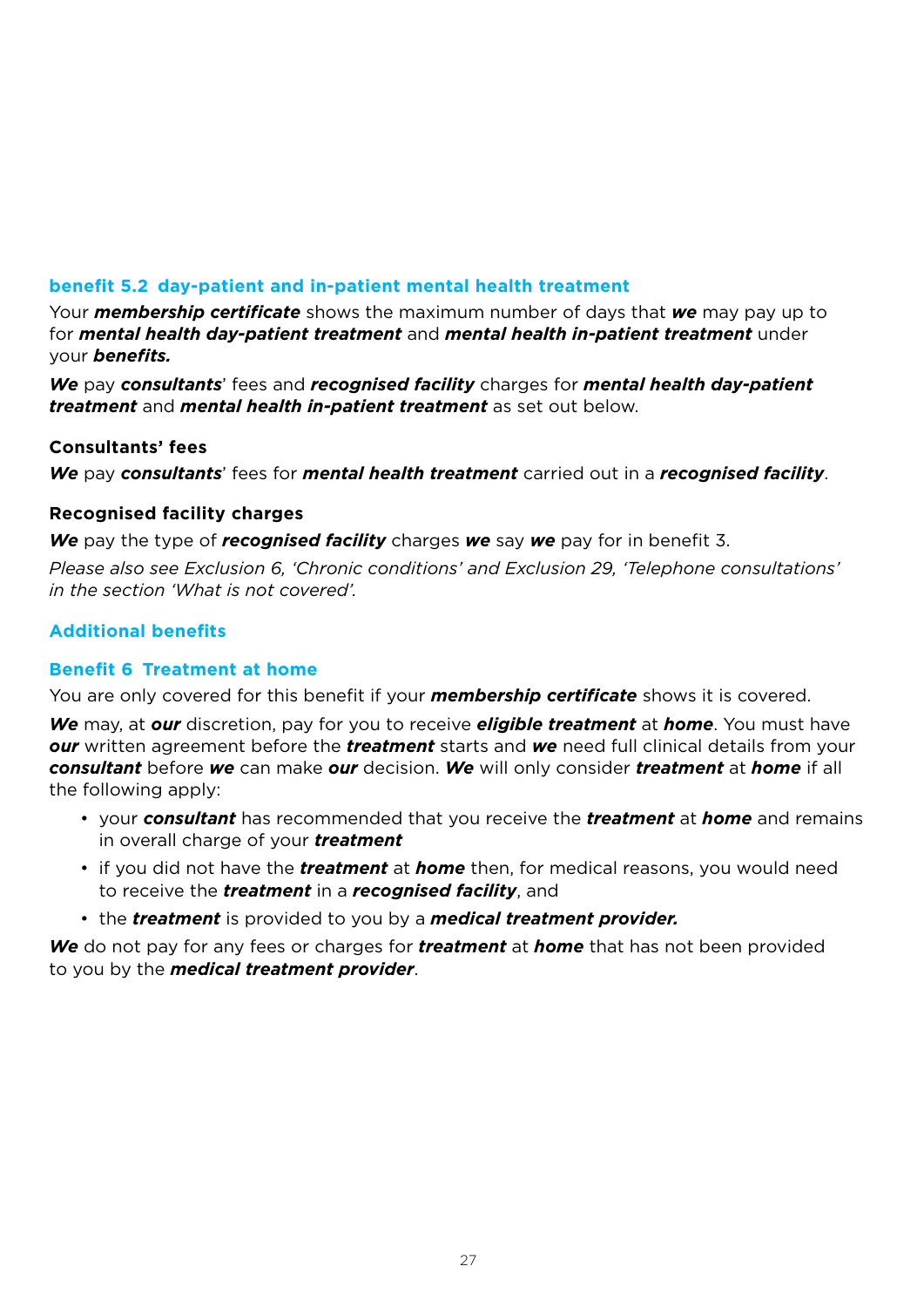# **benefit 5.2 day-patient and in-patient mental health treatment**

Your *membership certificate* shows the maximum number of days that *we* may pay up to for *mental health day-patient treatment* and *mental health in-patient treatment* under your *benefits.*

*We* pay *consultants*' fees and *recognised facility* charges for *mental health day-patient treatment* and *mental health in-patient treatment* as set out below.

#### **Consultants' fees**

*We* pay *consultants*' fees for *mental health treatment* carried out in a *recognised facility*.

#### **Recognised facility charges**

*We* pay the type of *recognised facility* charges *we* say *we* pay for in benefit 3.

*Please also see Exclusion 6, 'Chronic conditions' and Exclusion 29, 'Telephone consultations' in the section 'What is not covered'.*

# **Additional benefits**

### **Benefit 6 Treatment at home**

You are only covered for this benefit if your *membership certificate* shows it is covered.

*We* may, at *our* discretion, pay for you to receive *eligible treatment* at *home*. You must have *our* written agreement before the *treatment* starts and *we* need full clinical details from your *consultant* before *we* can make *our* decision. *We* will only consider *treatment* at *home* if all the following apply:

- your *consultant* has recommended that you receive the *treatment* at *home* and remains in overall charge of your *treatment*
- if you did not have the *treatment* at *home* then, for medical reasons, you would need to receive the *treatment* in a *recognised facility*, and
- the *treatment* is provided to you by a *medical treatment provider.*

*We* do not pay for any fees or charges for *treatment* at *home* that has not been provided to you by the *medical treatment provider*.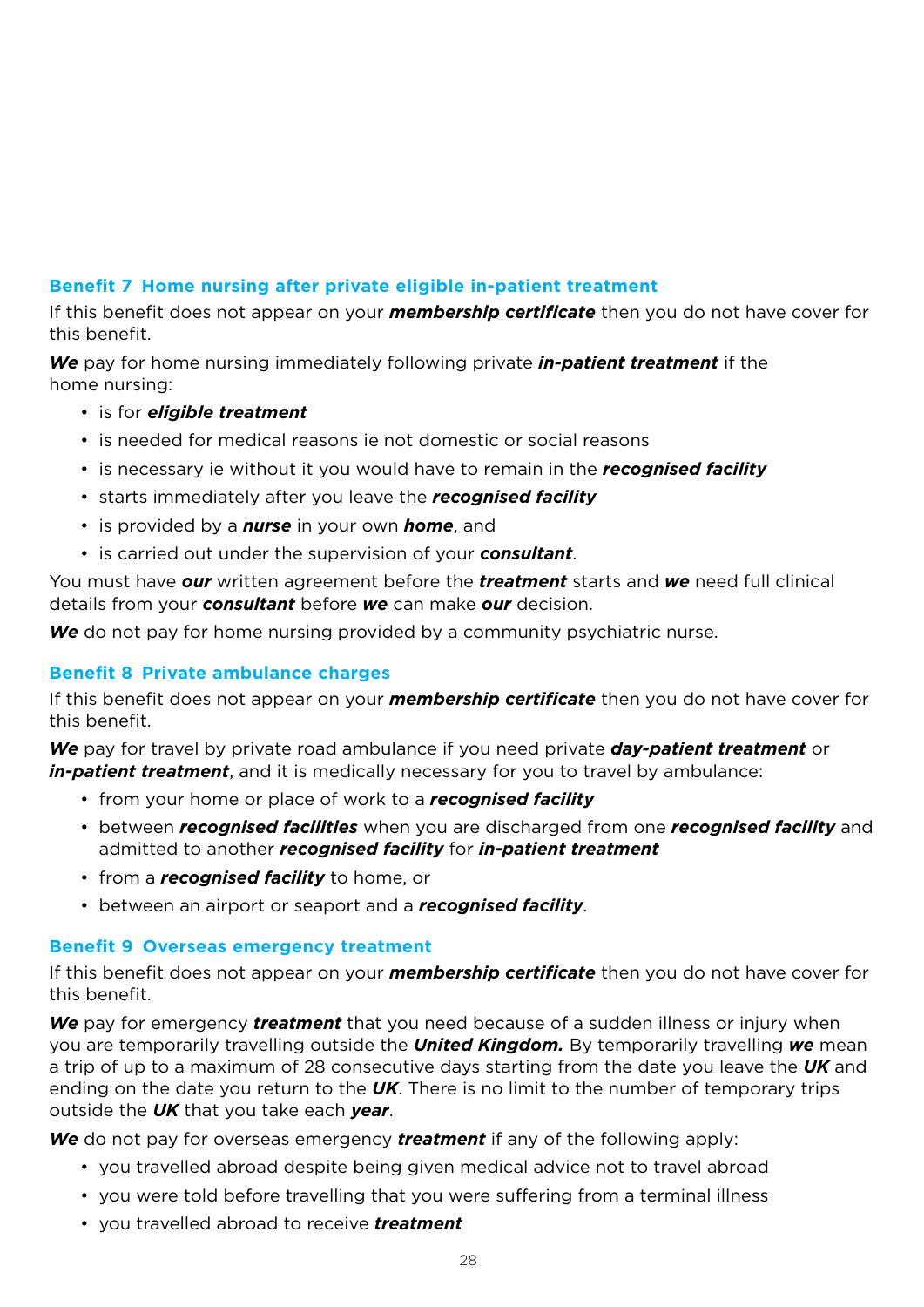# **Benefit 7 Home nursing after private eligible in-patient treatment**

If this benefit does not appear on your *membership certificate* then you do not have cover for this benefit.

*We* pay for home nursing immediately following private *in-patient treatment* if the home nursing:

- is for *eligible treatment*
- is needed for medical reasons ie not domestic or social reasons
- is necessary ie without it you would have to remain in the *recognised facility*
- starts immediately after you leave the *recognised facility*
- is provided by a *nurse* in your own *home*, and
- is carried out under the supervision of your *consultant*.

You must have *our* written agreement before the *treatment* starts and *we* need full clinical details from your *consultant* before *we* can make *our* decision.

*We* do not pay for home nursing provided by a community psychiatric nurse.

### **Benefit 8 Private ambulance charges**

If this benefit does not appear on your *membership certificate* then you do not have cover for this benefit.

*We* pay for travel by private road ambulance if you need private *day-patient treatment* or *in-patient treatment*, and it is medically necessary for you to travel by ambulance:

- from your home or place of work to a *recognised facility*
- between *recognised facilities* when you are discharged from one *recognised facility* and admitted to another *recognised facility* for *in-patient treatment*
- from a *recognised facility* to home, or
- between an airport or seaport and a *recognised facility*.

### **Benefit 9 Overseas emergency treatment**

If this benefit does not appear on your *membership certificate* then you do not have cover for this benefit.

*We* pay for emergency *treatment* that you need because of a sudden illness or injury when you are temporarily travelling outside the *United Kingdom.* By temporarily travelling *we* mean a trip of up to a maximum of 28 consecutive days starting from the date you leave the *UK* and ending on the date you return to the *UK*. There is no limit to the number of temporary trips outside the *UK* that you take each *year*.

*We* do not pay for overseas emergency *treatment* if any of the following apply:

- you travelled abroad despite being given medical advice not to travel abroad
- you were told before travelling that you were suffering from a terminal illness
- you travelled abroad to receive *treatment*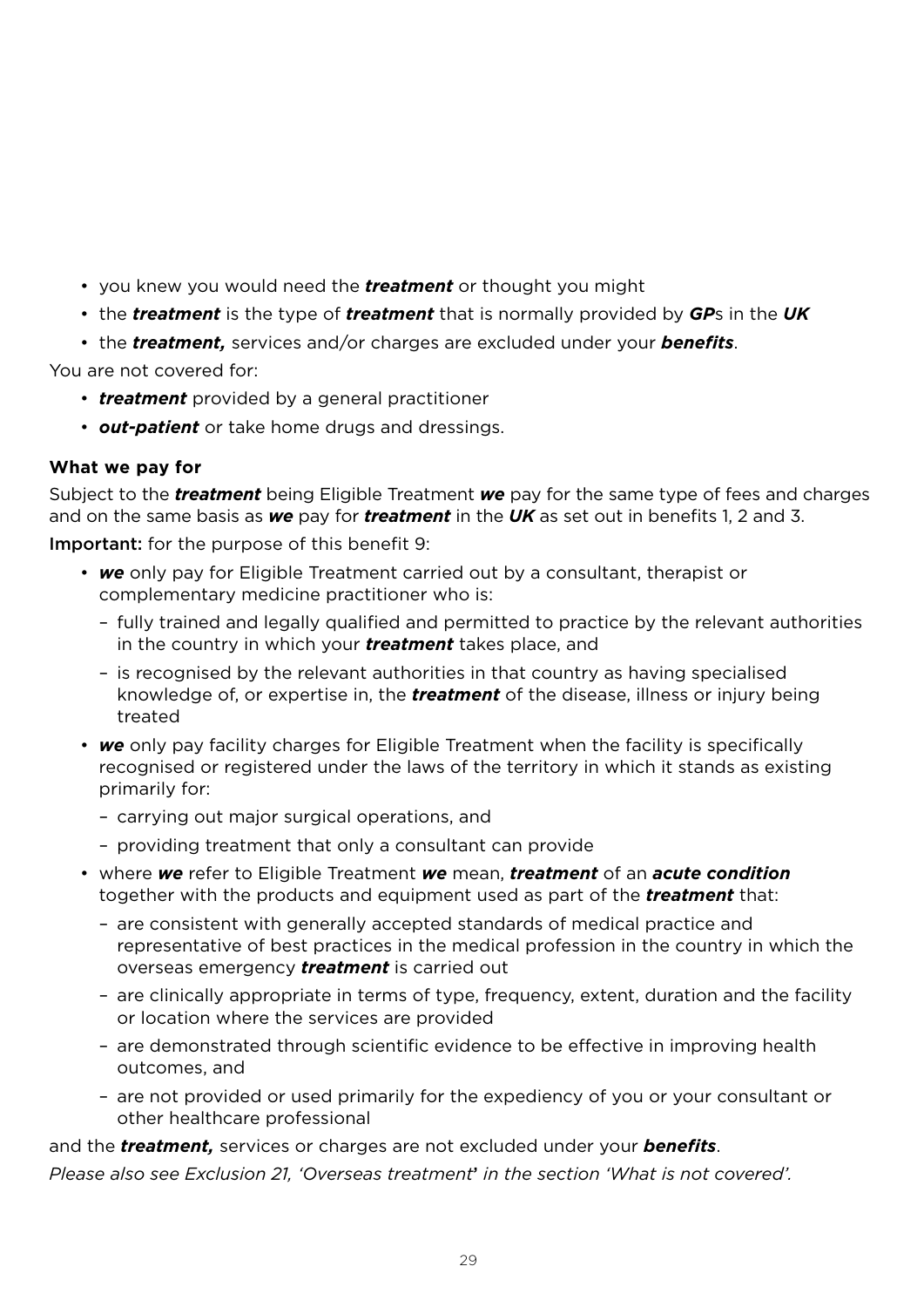- you knew you would need the *treatment* or thought you might
- the *treatment* is the type of *treatment* that is normally provided by *GP*s in the *UK*
- the *treatment,* services and/or charges are excluded under your *benefits*.

You are not covered for:

- *treatment* provided by a general practitioner
- *out-patient* or take home drugs and dressings.

### **What we pay for**

Subject to the *treatment* being Eligible Treatment *we* pay for the same type of fees and charges and on the same basis as *we* pay for *treatment* in the *UK* as set out in benefits 1, 2 and 3.

Important: for the purpose of this benefit 9:

- *we* only pay for Eligible Treatment carried out by a consultant, therapist or complementary medicine practitioner who is:
	- fully trained and legally qualified and permitted to practice by the relevant authorities in the country in which your *treatment* takes place, and
	- is recognised by the relevant authorities in that country as having specialised knowledge of, or expertise in, the *treatment* of the disease, illness or injury being treated
- *we* only pay facility charges for Eligible Treatment when the facility is specifically recognised or registered under the laws of the territory in which it stands as existing primarily for:
	- carrying out major surgical operations, and
	- providing treatment that only a consultant can provide
- where *we* refer to Eligible Treatment *we* mean, *treatment* of an *acute condition* together with the products and equipment used as part of the *treatment* that:
	- are consistent with generally accepted standards of medical practice and representative of best practices in the medical profession in the country in which the overseas emergency *treatment* is carried out
	- are clinically appropriate in terms of type, frequency, extent, duration and the facility or location where the services are provided
	- are demonstrated through scientific evidence to be effective in improving health outcomes, and
	- are not provided or used primarily for the expediency of you or your consultant or other healthcare professional

and the *treatment,* services or charges are not excluded under your *benefits*.

*Please also see Exclusion 21, 'Overseas treatment*' *in the section 'What is not covered'.*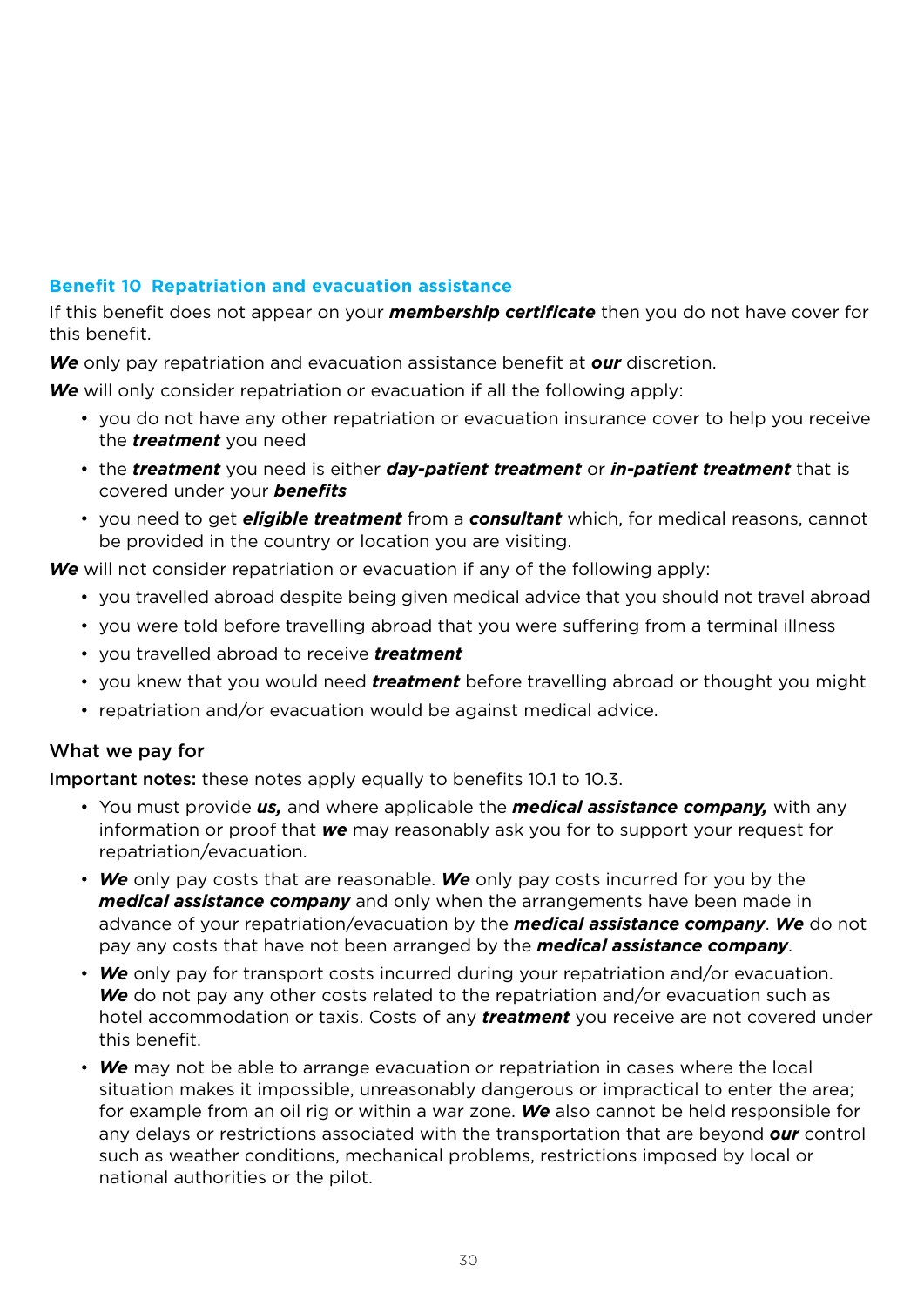# **Benefit 10 Repatriation and evacuation assistance**

If this benefit does not appear on your *membership certificate* then you do not have cover for this benefit.

*We* only pay repatriation and evacuation assistance benefit at *our* discretion.

*We* will only consider repatriation or evacuation if all the following apply:

- you do not have any other repatriation or evacuation insurance cover to help you receive the *treatment* you need
- the *treatment* you need is either *day-patient treatment* or *in-patient treatment* that is covered under your *benefits*
- you need to get *eligible treatment* from a *consultant* which, for medical reasons, cannot be provided in the country or location you are visiting.

*We* will not consider repatriation or evacuation if any of the following apply:

- you travelled abroad despite being given medical advice that you should not travel abroad
- you were told before travelling abroad that you were suffering from a terminal illness
- you travelled abroad to receive *treatment*
- you knew that you would need *treatment* before travelling abroad or thought you might
- repatriation and/or evacuation would be against medical advice.

# What we pay for

Important notes: these notes apply equally to benefits 10.1 to 10.3.

- You must provide *us,* and where applicable the *medical assistance company,* with any information or proof that *we* may reasonably ask you for to support your request for repatriation/evacuation.
- *We* only pay costs that are reasonable. *We* only pay costs incurred for you by the *medical assistance company* and only when the arrangements have been made in advance of your repatriation/evacuation by the *medical assistance company*. *We* do not pay any costs that have not been arranged by the *medical assistance company*.
- *We* only pay for transport costs incurred during your repatriation and/or evacuation. *We* do not pay any other costs related to the repatriation and/or evacuation such as hotel accommodation or taxis. Costs of any *treatment* you receive are not covered under this benefit.
- *We* may not be able to arrange evacuation or repatriation in cases where the local situation makes it impossible, unreasonably dangerous or impractical to enter the area; for example from an oil rig or within a war zone. *We* also cannot be held responsible for any delays or restrictions associated with the transportation that are beyond *our* control such as weather conditions, mechanical problems, restrictions imposed by local or national authorities or the pilot.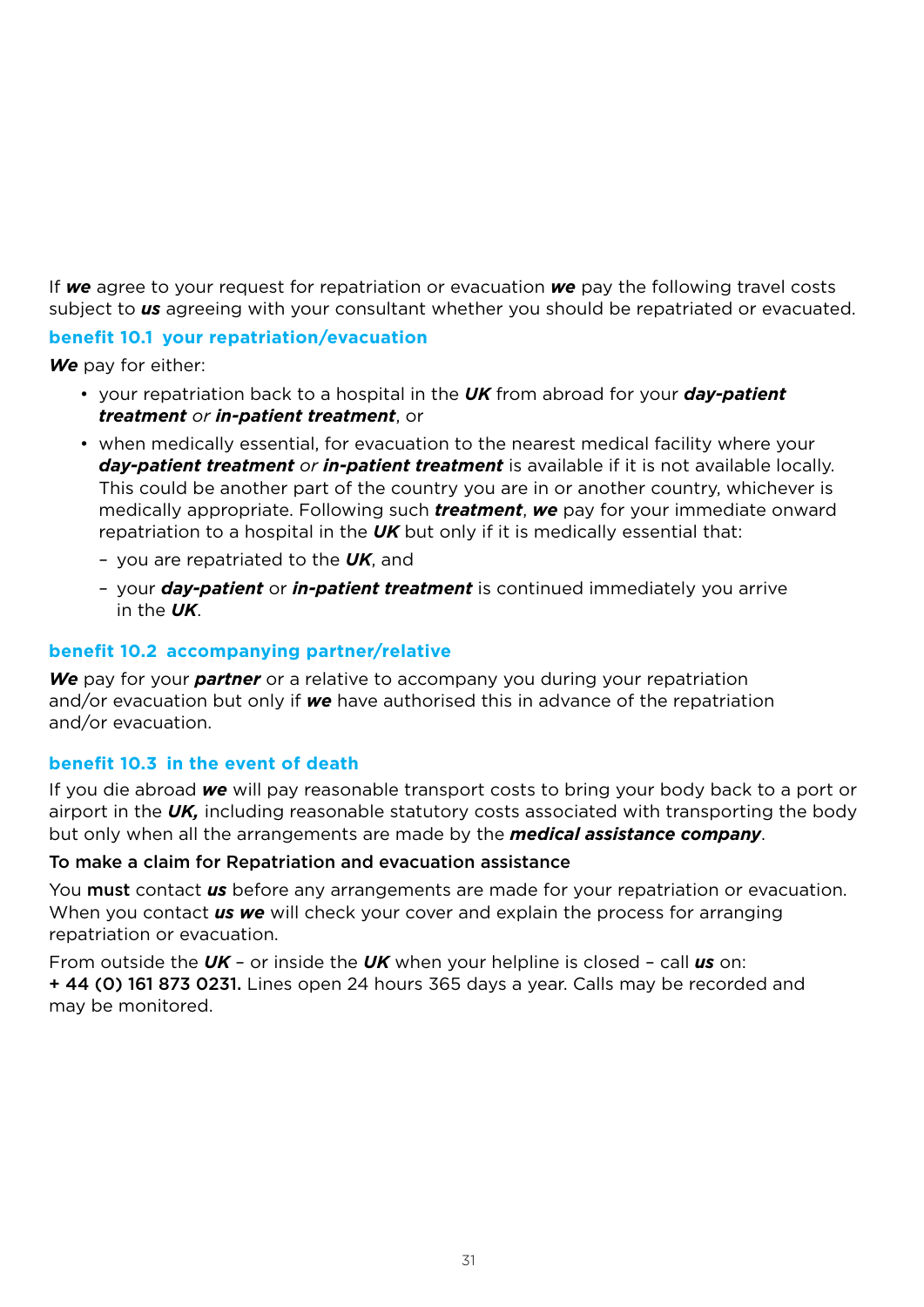If *we* agree to your request for repatriation or evacuation *we* pay the following travel costs subject to *us* agreeing with your consultant whether you should be repatriated or evacuated.

### **benefit 10.1 your repatriation/evacuation**

*We* pay for either:

- your repatriation back to a hospital in the *UK* from abroad for your *day-patient treatment or in-patient treatment*, or
- when medically essential, for evacuation to the nearest medical facility where your *day-patient treatment or in-patient treatment* is available if it is not available locally. This could be another part of the country you are in or another country, whichever is medically appropriate. Following such *treatment*, *we* pay for your immediate onward repatriation to a hospital in the *UK* but only if it is medically essential that:
	- you are repatriated to the *UK*, and
	- your *day-patient* or *in-patient treatment* is continued immediately you arrive in the *UK*.

### **benefit 10.2 accompanying partner/relative**

*We* pay for your *partner* or a relative to accompany you during your repatriation and/or evacuation but only if *we* have authorised this in advance of the repatriation and/or evacuation.

### **benefit 10.3 in the event of death**

If you die abroad *we* will pay reasonable transport costs to bring your body back to a port or airport in the *UK,* including reasonable statutory costs associated with transporting the body but only when all the arrangements are made by the *medical assistance company*.

### To make a claim for Repatriation and evacuation assistance

You must contact *us* before any arrangements are made for your repatriation or evacuation. When you contact *us we* will check your cover and explain the process for arranging repatriation or evacuation.

From outside the *UK* – or inside the *UK* when your helpline is closed – call *us* on: + 44 (0) 161 873 0231. Lines open 24 hours 365 days a year. Calls may be recorded and may be monitored.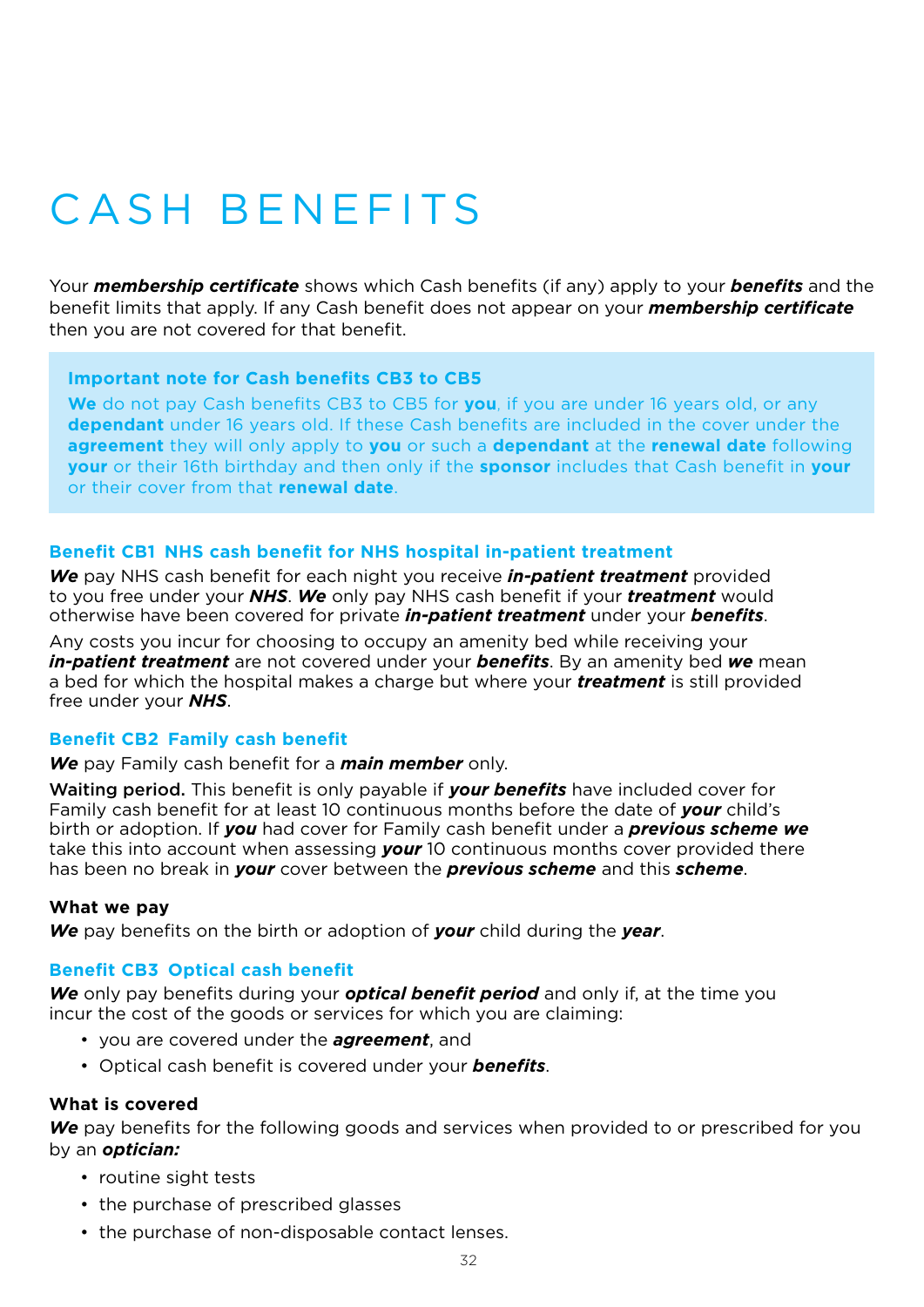# CASH BENFFITS

Your *membership certificate* shows which Cash benefits (if any) apply to your *benefits* and the benefit limits that apply. If any Cash benefit does not appear on your *membership certificate*  then you are not covered for that benefit.

#### **Important note for Cash benefits CB3 to CB5**

**We** do not pay Cash benefits CB3 to CB5 for **you**, if you are under 16 years old, or any **dependant** under 16 years old. If these Cash benefits are included in the cover under the **agreement** they will only apply to **you** or such a **dependant** at the **renewal date** following **your** or their 16th birthday and then only if the **sponsor** includes that Cash benefit in **your** or their cover from that **renewal date**.

#### **Benefit CB1 NHS cash benefit for NHS hospital in-patient treatment**

*We* pay NHS cash benefit for each night you receive *in-patient treatment* provided to you free under your *NHS*. *We* only pay NHS cash benefit if your *treatment* would otherwise have been covered for private *in-patient treatment* under your *benefits*.

Any costs you incur for choosing to occupy an amenity bed while receiving your *in-patient treatment* are not covered under your *benefits*. By an amenity bed *we* mean a bed for which the hospital makes a charge but where your *treatment* is still provided free under your *NHS*.

#### **Benefit CB2 Family cash benefit**

*We* pay Family cash benefit for a *main member* only.

Waiting period. This benefit is only payable if *your benefits* have included cover for Family cash benefit for at least 10 continuous months before the date of *your* child's birth or adoption. If *you* had cover for Family cash benefit under a *previous scheme we*  take this into account when assessing *your* 10 continuous months cover provided there has been no break in *your* cover between the *previous scheme* and this *scheme*.

#### **What we pay**

*We* pay benefits on the birth or adoption of *your* child during the *year*.

#### **Benefit CB3 Optical cash benefit**

*We* only pay benefits during your *optical benefit period* and only if, at the time you incur the cost of the goods or services for which you are claiming:

- you are covered under the *agreement*, and
- Optical cash benefit is covered under your *benefits*.

#### **What is covered**

We pay benefits for the following goods and services when provided to or prescribed for you by an *optician:*

- routine sight tests
- the purchase of prescribed glasses
- the purchase of non-disposable contact lenses.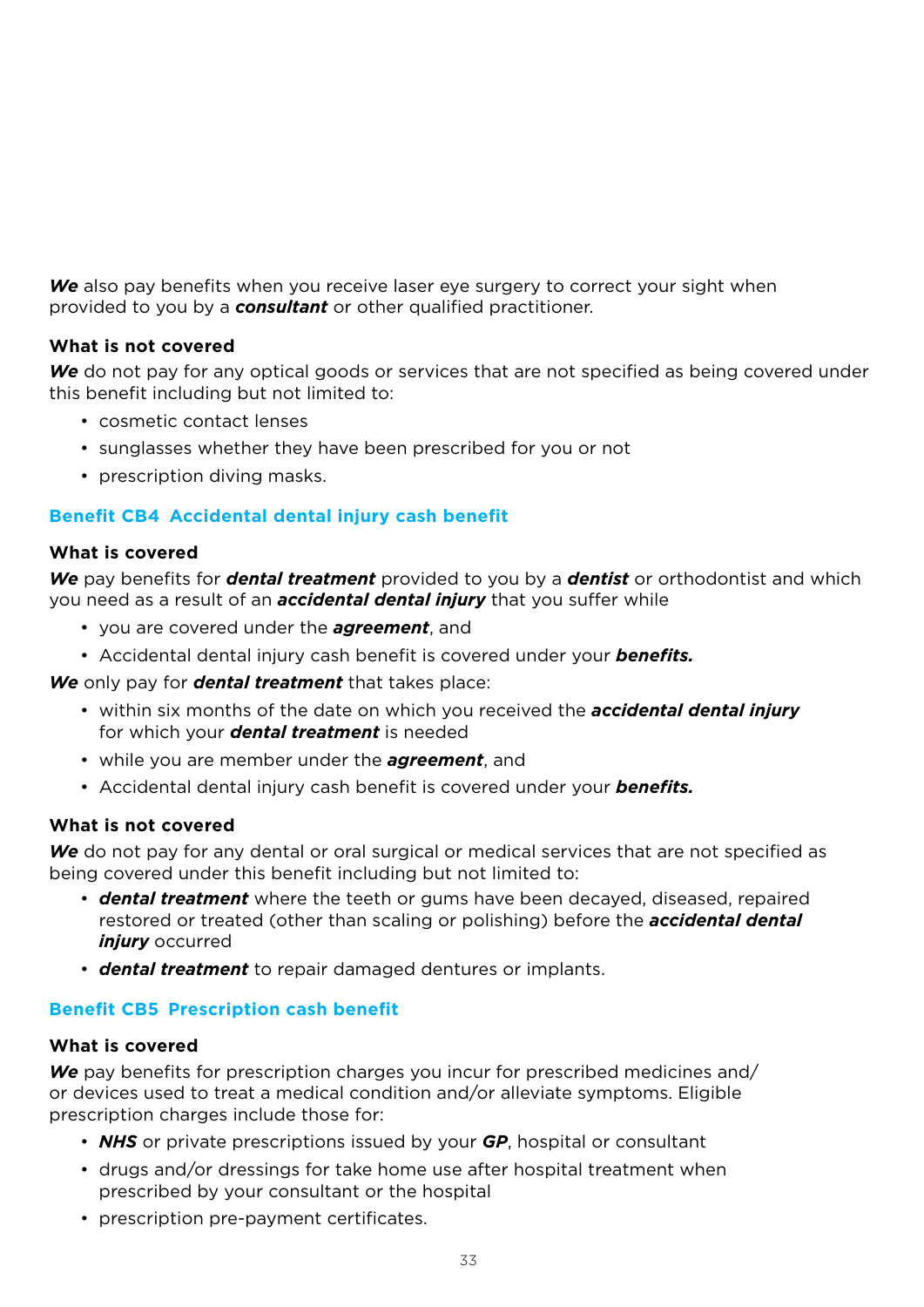*We* also pay benefits when you receive laser eye surgery to correct your sight when provided to you by a *consultant* or other qualified practitioner.

### **What is not covered**

We do not pay for any optical goods or services that are not specified as being covered under this benefit including but not limited to:

- cosmetic contact lenses
- sunglasses whether they have been prescribed for you or not
- prescription diving masks.

### **Benefit CB4 Accidental dental injury cash benefit**

#### **What is covered**

*We* pay benefits for *dental treatment* provided to you by a *dentist* or orthodontist and which you need as a result of an *accidental dental injury* that you suffer while

- you are covered under the *agreement*, and
- Accidental dental injury cash benefit is covered under your *benefits.*

*We* only pay for *dental treatment* that takes place:

- within six months of the date on which you received the *accidental dental injury* for which your *dental treatment* is needed
- while you are member under the *agreement*, and
- Accidental dental injury cash benefit is covered under your *benefits.*

# **What is not covered**

We do not pay for any dental or oral surgical or medical services that are not specified as being covered under this benefit including but not limited to:

- *dental treatment* where the teeth or gums have been decayed, diseased, repaired restored or treated (other than scaling or polishing) before the *accidental dental injury* occurred
- *dental treatment* to repair damaged dentures or implants.

### **Benefit CB5 Prescription cash benefit**

#### **What is covered**

*We* pay benefits for prescription charges you incur for prescribed medicines and/ or devices used to treat a medical condition and/or alleviate symptoms. Eligible prescription charges include those for:

- *NHS* or private prescriptions issued by your *GP*, hospital or consultant
- drugs and/or dressings for take home use after hospital treatment when prescribed by your consultant or the hospital
- prescription pre-payment certificates.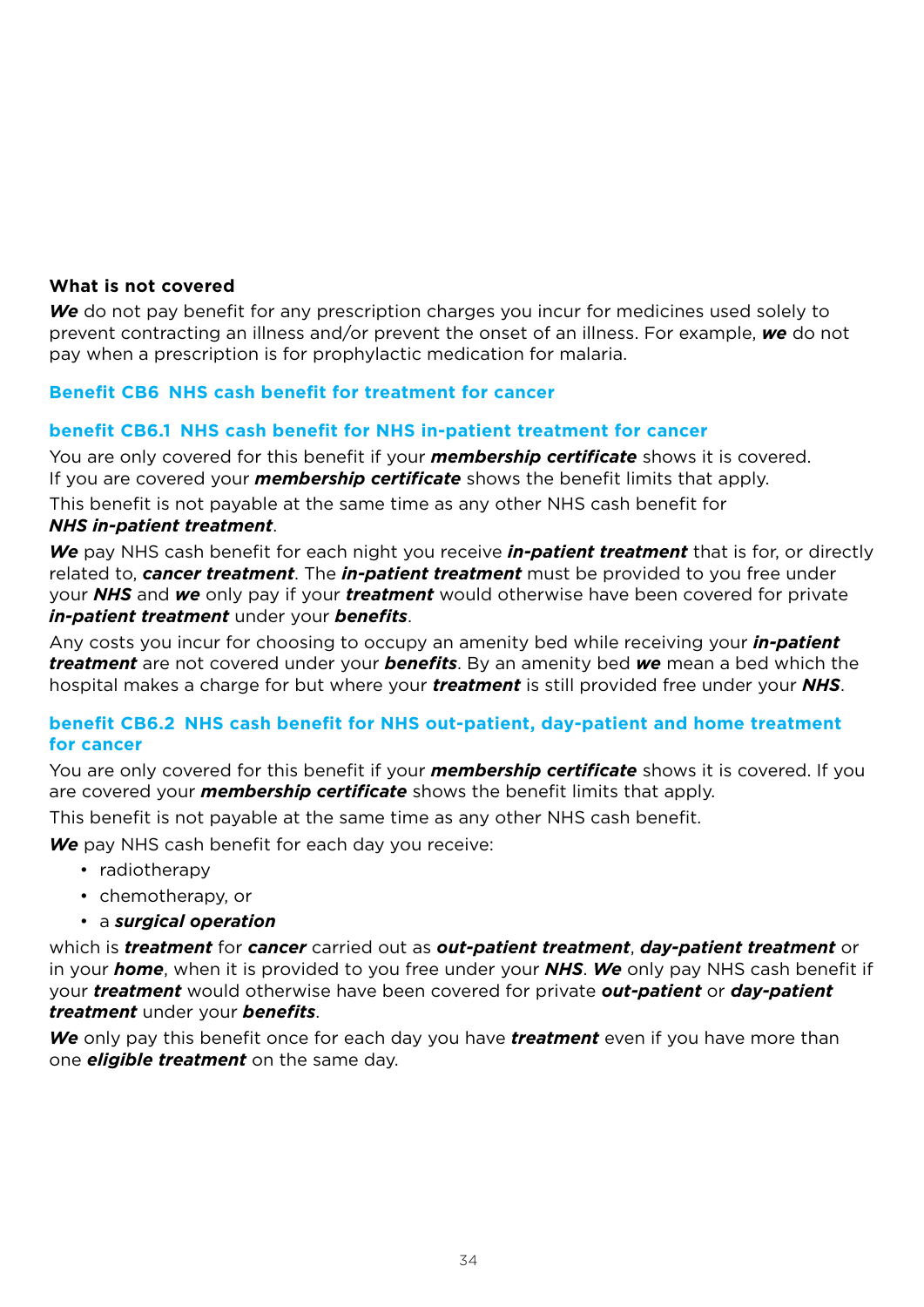### **What is not covered**

*We* do not pay benefit for any prescription charges you incur for medicines used solely to prevent contracting an illness and/or prevent the onset of an illness. For example, *we* do not pay when a prescription is for prophylactic medication for malaria.

# **Benefit CB6 NHS cash benefit for treatment for cancer**

#### **benefit CB6.1 NHS cash benefit for NHS in-patient treatment for cancer**

You are only covered for this benefit if your *membership certificate* shows it is covered. If you are covered your *membership certificate* shows the benefit limits that apply. This benefit is not payable at the same time as any other NHS cash benefit for *NHS in-patient treatment*.

*We* pay NHS cash benefit for each night you receive *in-patient treatment* that is for, or directly related to, *cancer treatment*. The *in-patient treatment* must be provided to you free under your *NHS* and *we* only pay if your *treatment* would otherwise have been covered for private *in-patient treatment* under your *benefits*.

Any costs you incur for choosing to occupy an amenity bed while receiving your *in-patient treatment* are not covered under your *benefits*. By an amenity bed *we* mean a bed which the hospital makes a charge for but where your *treatment* is still provided free under your *NHS*.

# **benefit CB6.2 NHS cash benefit for NHS out-patient, day-patient and home treatment for cancer**

You are only covered for this benefit if your *membership certificate* shows it is covered. If you are covered your *membership certificate* shows the benefit limits that apply.

This benefit is not payable at the same time as any other NHS cash benefit.

*We* pay NHS cash benefit for each day you receive:

- radiotherapy
- chemotherapy, or
- a *surgical operation*

which is *treatment* for *cancer* carried out as *out-patient treatment*, *day-patient treatment* or in your *home*, when it is provided to you free under your *NHS*. *We* only pay NHS cash benefit if your *treatment* would otherwise have been covered for private *out-patient* or *day-patient treatment* under your *benefits*.

*We* only pay this benefit once for each day you have *treatment* even if you have more than one *eligible treatment* on the same day.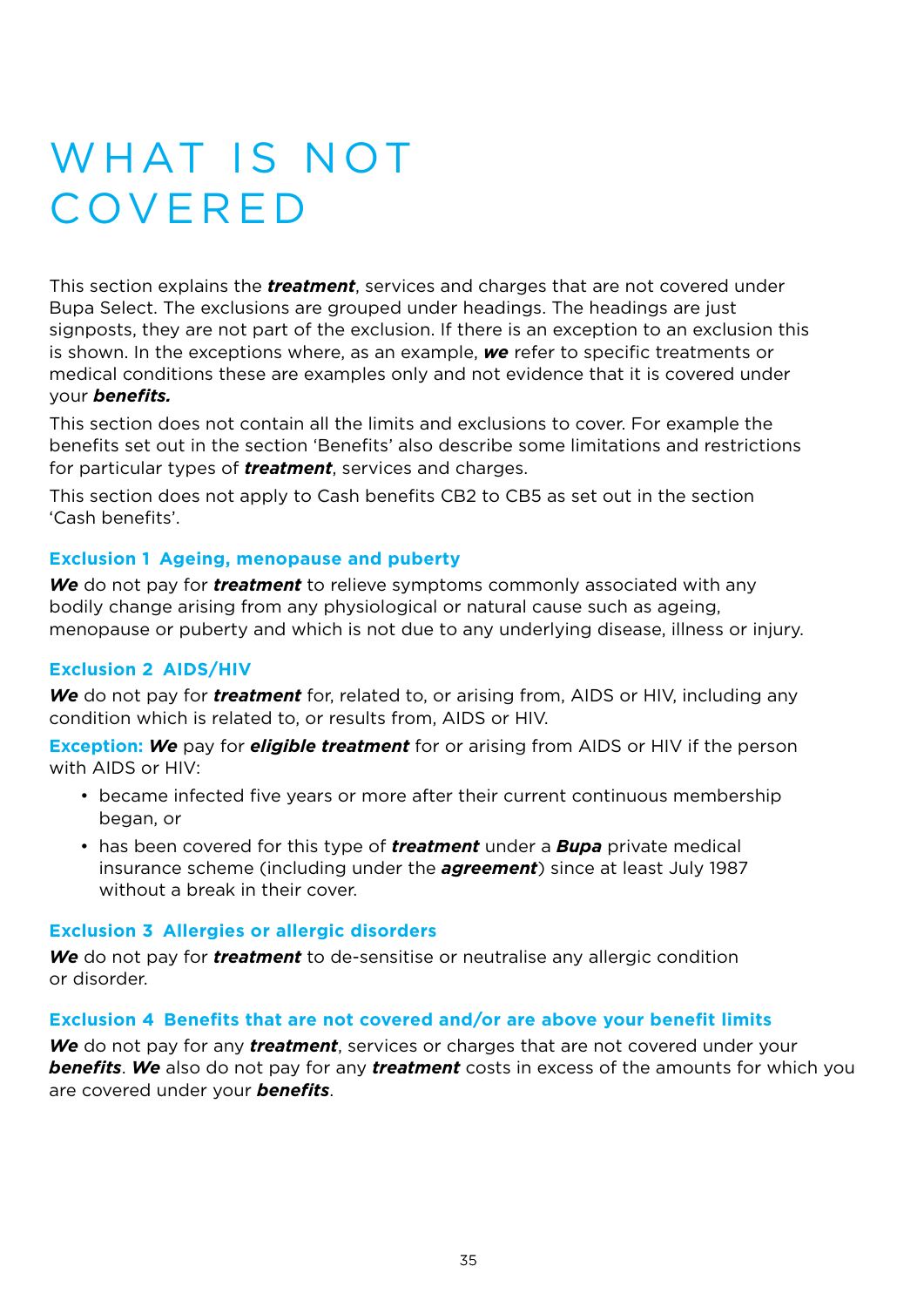# WHAT IS NOT **COVERED**

This section explains the *treatment*, services and charges that are not covered under Bupa Select. The exclusions are grouped under headings. The headings are just signposts, they are not part of the exclusion. If there is an exception to an exclusion this is shown. In the exceptions where, as an example, *we* refer to specific treatments or medical conditions these are examples only and not evidence that it is covered under your *benefits.*

This section does not contain all the limits and exclusions to cover. For example the benefits set out in the section 'Benefits' also describe some limitations and restrictions for particular types of *treatment*, services and charges.

This section does not apply to Cash benefits CB2 to CB5 as set out in the section 'Cash benefits'.

# **Exclusion 1 Ageing, menopause and puberty**

**We** do not pay for *treatment* to relieve symptoms commonly associated with any bodily change arising from any physiological or natural cause such as ageing, menopause or puberty and which is not due to any underlying disease, illness or injury.

### **Exclusion 2 AIDS/HIV**

*We* do not pay for *treatment* for, related to, or arising from, AIDS or HIV, including any condition which is related to, or results from, AIDS or HIV.

**Exception:** *We* pay for *eligible treatment* for or arising from AIDS or HIV if the person with AIDS or HIV:

- became infected five years or more after their current continuous membership began, or
- has been covered for this type of *treatment* under a *Bupa* private medical insurance scheme (including under the *agreement*) since at least July 1987 without a break in their cover.

### **Exclusion 3 Allergies or allergic disorders**

*We* do not pay for *treatment* to de-sensitise or neutralise any allergic condition or disorder.

### **Exclusion 4 Benefits that are not covered and/or are above your benefit limits**

*We* do not pay for any *treatment*, services or charges that are not covered under your *benefits*. *We* also do not pay for any *treatment* costs in excess of the amounts for which you are covered under your *benefits*.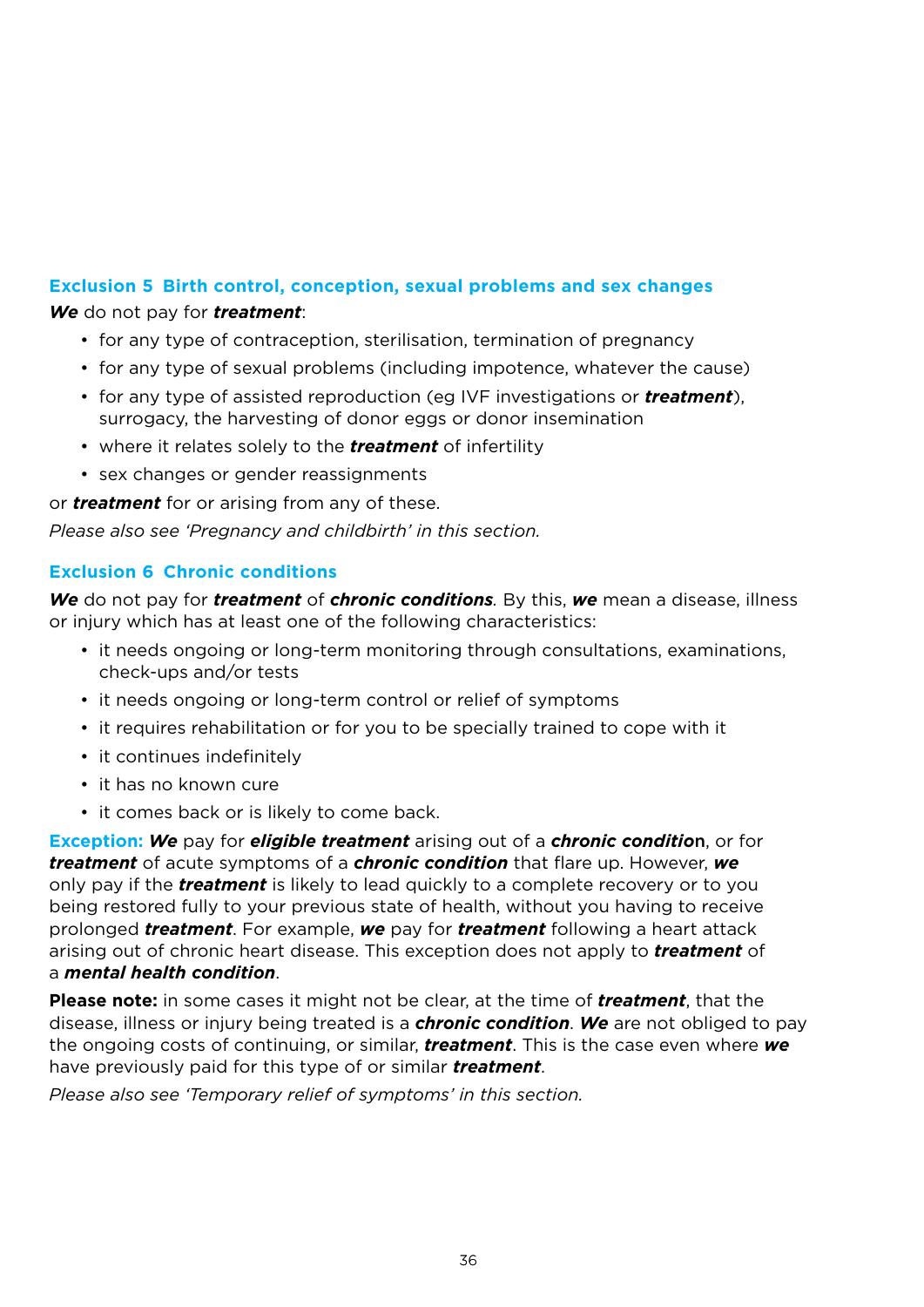# **Exclusion 5 Birth control, conception, sexual problems and sex changes**

*We* do not pay for *treatment*:

- for any type of contraception, sterilisation, termination of pregnancy
- for any type of sexual problems (including impotence, whatever the cause)
- for any type of assisted reproduction (eg IVF investigations or *treatment*), surrogacy, the harvesting of donor eggs or donor insemination
- where it relates solely to the *treatment* of infertility
- sex changes or gender reassignments

or *treatment* for or arising from any of these.

*Please also see 'Pregnancy and childbirth' in this section.* 

### **Exclusion 6 Chronic conditions**

*We* do not pay for *treatment* of *chronic conditions*. By this, we mean a disease, illness or injury which has at least one of the following characteristics:

- it needs ongoing or long-term monitoring through consultations, examinations, check-ups and/or tests
- it needs ongoing or long-term control or relief of symptoms
- it requires rehabilitation or for you to be specially trained to cope with it
- it continues indefinitely
- it has no known cure
- it comes back or is likely to come back.

**Exception:** *We* pay for *eligible treatment* arising out of a *chronic conditio*n, or for *treatment* of acute symptoms of a *chronic condition* that flare up. However, *we* only pay if the *treatment* is likely to lead quickly to a complete recovery or to you being restored fully to your previous state of health, without you having to receive prolonged *treatment*. For example, *we* pay for *treatment* following a heart attack arising out of chronic heart disease. This exception does not apply to *treatment* of a *mental health condition*.

**Please note:** in some cases it might not be clear, at the time of *treatment*, that the disease, illness or injury being treated is a *chronic condition*. *We* are not obliged to pay the ongoing costs of continuing, or similar, *treatment*. This is the case even where *we* have previously paid for this type of or similar *treatment*.

*Please also see 'Temporary relief of symptoms' in this section.*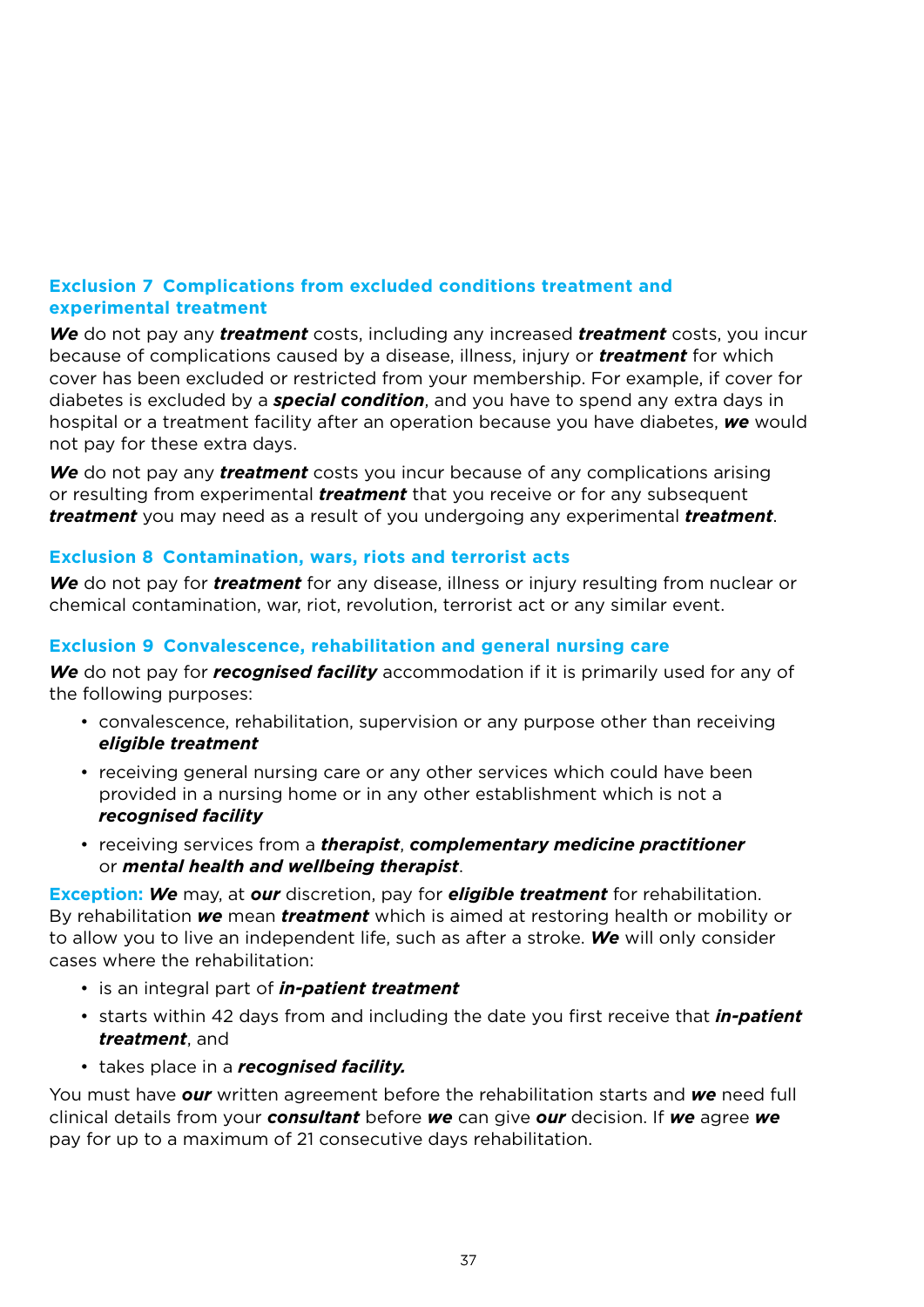# **Exclusion 7 Complications from excluded conditions treatment and experimental treatment**

*We* do not pay any *treatment* costs, including any increased *treatment* costs, you incur because of complications caused by a disease, illness, injury or *treatment* for which cover has been excluded or restricted from your membership. For example, if cover for diabetes is excluded by a *special condition*, and you have to spend any extra days in hospital or a treatment facility after an operation because you have diabetes, *we* would not pay for these extra days.

*We* do not pay any *treatment* costs you incur because of any complications arising or resulting from experimental *treatment* that you receive or for any subsequent *treatment* you may need as a result of you undergoing any experimental *treatment*.

# **Exclusion 8 Contamination, wars, riots and terrorist acts**

*We* do not pay for *treatment* for any disease, illness or injury resulting from nuclear or chemical contamination, war, riot, revolution, terrorist act or any similar event.

# **Exclusion 9 Convalescence, rehabilitation and general nursing care**

**We** do not pay for *recognised facility* accommodation if it is primarily used for any of the following purposes:

- convalescence, rehabilitation, supervision or any purpose other than receiving *eligible treatment*
- receiving general nursing care or any other services which could have been provided in a nursing home or in any other establishment which is not a *recognised facility*
- receiving services from a *therapist*, *complementary medicine practitioner*  or *mental health and wellbeing therapist*.

**Exception:** *We* may, at *our* discretion, pay for *eligible treatment* for rehabilitation. By rehabilitation *we* mean *treatment* which is aimed at restoring health or mobility or to allow you to live an independent life, such as after a stroke. *We* will only consider cases where the rehabilitation:

- is an integral part of *in-patient treatment*
- starts within 42 days from and including the date you first receive that *in-patient treatment*, and
- takes place in a *recognised facility.*

You must have *our* written agreement before the rehabilitation starts and *we* need full clinical details from your *consultant* before *we* can give *our* decision. If *we* agree *we* pay for up to a maximum of 21 consecutive days rehabilitation.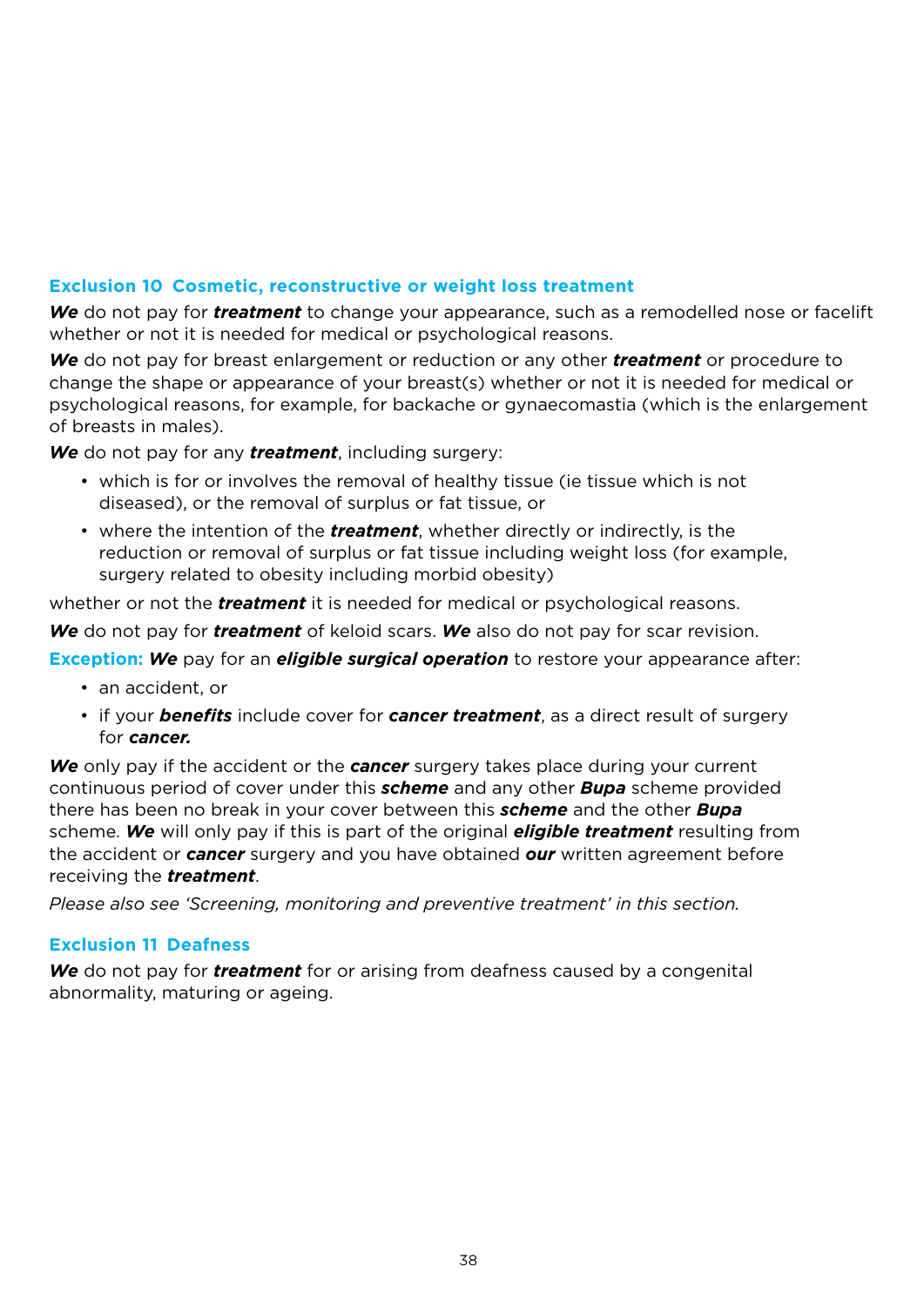# **Exclusion 10 Cosmetic, reconstructive or weight loss treatment**

*We* do not pay for *treatment* to change your appearance, such as a remodelled nose or facelift whether or not it is needed for medical or psychological reasons.

*We* do not pay for breast enlargement or reduction or any other *treatment* or procedure to change the shape or appearance of your breast(s) whether or not it is needed for medical or psychological reasons, for example, for backache or gynaecomastia (which is the enlargement of breasts in males).

*We* do not pay for any *treatment*, including surgery:

- which is for or involves the removal of healthy tissue (ie tissue which is not diseased), or the removal of surplus or fat tissue, or
- where the intention of the *treatment*, whether directly or indirectly, is the reduction or removal of surplus or fat tissue including weight loss (for example, surgery related to obesity including morbid obesity)

whether or not the *treatment* it is needed for medical or psychological reasons.

*We* do not pay for *treatment* of keloid scars. *We* also do not pay for scar revision.

**Exception:** *We* pay for an *eligible surgical operation* to restore your appearance after:

- an accident, or
- if your *benefits* include cover for *cancer treatment*, as a direct result of surgery for *cancer.*

*We* only pay if the accident or the *cancer* surgery takes place during your current continuous period of cover under this *scheme* and any other *Bupa* scheme provided there has been no break in your cover between this *scheme* and the other *Bupa*  scheme. *We* will only pay if this is part of the original *eligible treatment* resulting from the accident or *cancer* surgery and you have obtained *our* written agreement before receiving the *treatment*.

*Please also see 'Screening, monitoring and preventive treatment' in this section.*

### **Exclusion 11 Deafness**

*We* do not pay for *treatment* for or arising from deafness caused by a congenital abnormality, maturing or ageing.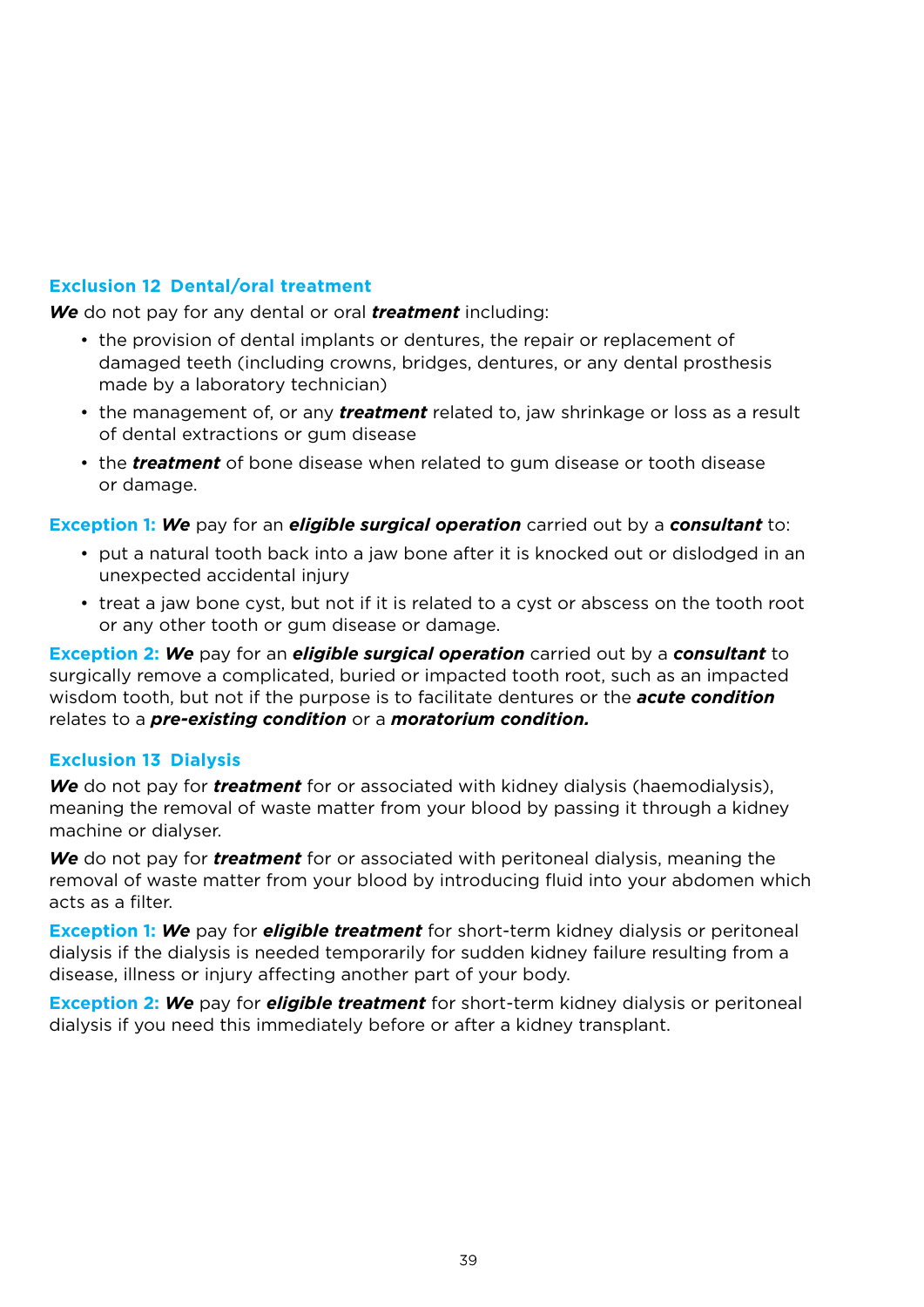# **Exclusion 12 Dental/oral treatment**

*We* do not pay for any dental or oral *treatment* including:

- the provision of dental implants or dentures, the repair or replacement of damaged teeth (including crowns, bridges, dentures, or any dental prosthesis made by a laboratory technician)
- the management of, or any *treatment* related to, jaw shrinkage or loss as a result of dental extractions or gum disease
- the *treatment* of bone disease when related to gum disease or tooth disease or damage.

**Exception 1:** *We* pay for an *eligible surgical operation* carried out by a *consultant* to:

- put a natural tooth back into a jaw bone after it is knocked out or dislodged in an unexpected accidental injury
- treat a jaw bone cyst, but not if it is related to a cyst or abscess on the tooth root or any other tooth or gum disease or damage.

**Exception 2:** *We* pay for an *eligible surgical operation* carried out by a *consultant* to surgically remove a complicated, buried or impacted tooth root, such as an impacted wisdom tooth, but not if the purpose is to facilitate dentures or the *acute condition* relates to a *pre-existing condition* or a *moratorium condition.*

### **Exclusion 13 Dialysis**

*We* do not pay for *treatment* for or associated with kidney dialysis (haemodialysis), meaning the removal of waste matter from your blood by passing it through a kidney machine or dialyser.

*We* do not pay for *treatment* for or associated with peritoneal dialysis, meaning the removal of waste matter from your blood by introducing fluid into your abdomen which acts as a filter.

**Exception 1:** *We* pay for *eligible treatment* for short-term kidney dialysis or peritoneal dialysis if the dialysis is needed temporarily for sudden kidney failure resulting from a disease, illness or injury affecting another part of your body.

**Exception 2:** *We* pay for *eligible treatment* for short-term kidney dialysis or peritoneal dialysis if you need this immediately before or after a kidney transplant.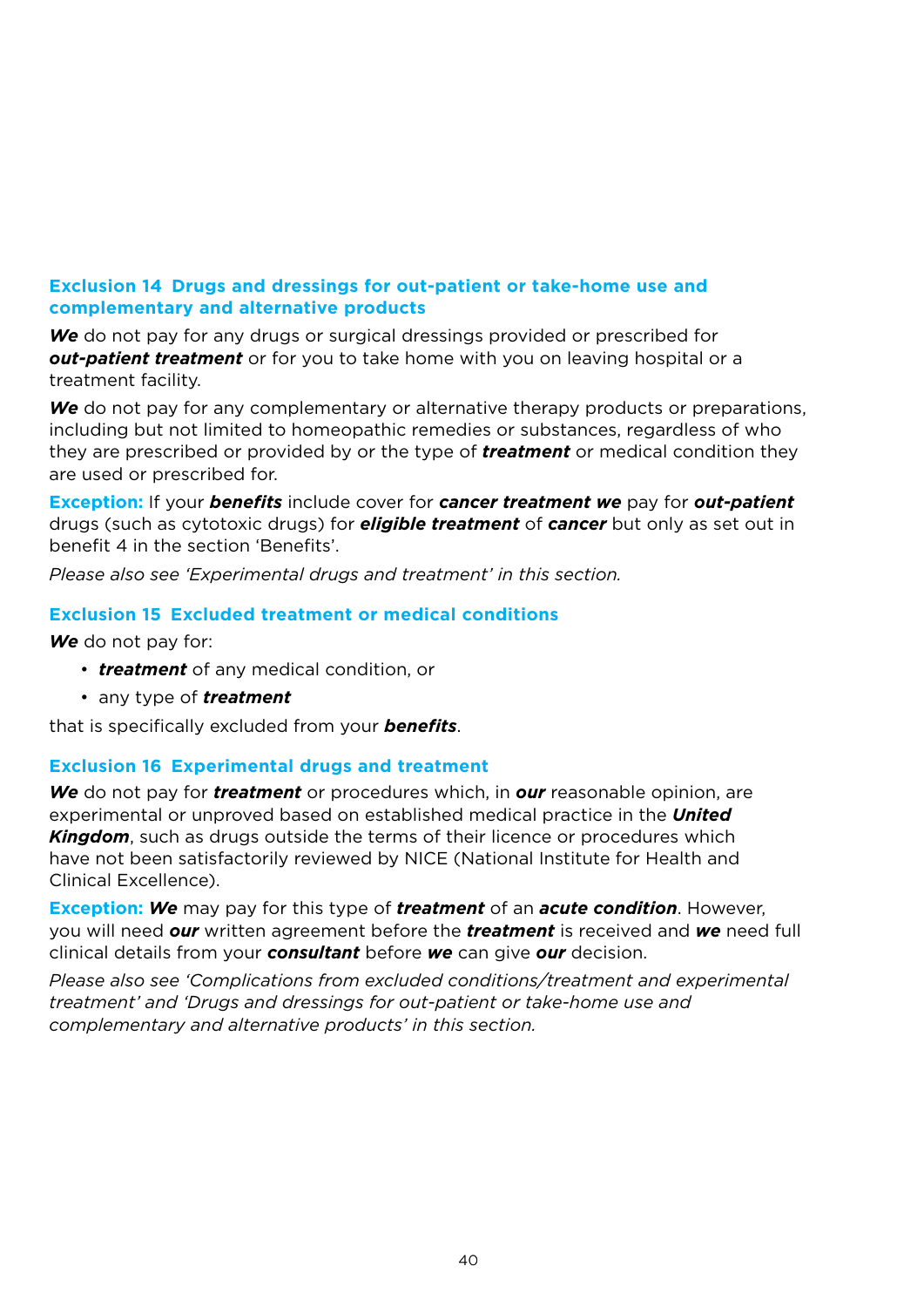# **Exclusion 14 Drugs and dressings for out-patient or take-home use and complementary and alternative products**

*We* do not pay for any drugs or surgical dressings provided or prescribed for *out-patient treatment* or for you to take home with you on leaving hospital or a treatment facility.

**We** do not pay for any complementary or alternative therapy products or preparations, including but not limited to homeopathic remedies or substances, regardless of who they are prescribed or provided by or the type of *treatment* or medical condition they are used or prescribed for.

**Exception:** If your *benefits* include cover for *cancer treatment we* pay for *out-patient* drugs (such as cytotoxic drugs) for *eligible treatment* of *cancer* but only as set out in benefit 4 in the section 'Benefits'.

*Please also see 'Experimental drugs and treatment' in this section.*

#### **Exclusion 15 Excluded treatment or medical conditions**

*We* do not pay for:

- *treatment* of any medical condition, or
- any type of *treatment*

that is specifically excluded from your *benefits*.

#### **Exclusion 16 Experimental drugs and treatment**

*We* do not pay for *treatment* or procedures which, in *our* reasonable opinion, are experimental or unproved based on established medical practice in the *United Kingdom*, such as drugs outside the terms of their licence or procedures which have not been satisfactorily reviewed by NICE (National Institute for Health and Clinical Excellence).

**Exception:** *We* may pay for this type of *treatment* of an *acute condition*. However, you will need *our* written agreement before the *treatment* is received and *we* need full clinical details from your *consultant* before *we* can give *our* decision.

*Please also see 'Complications from excluded conditions/treatment and experimental treatment' and 'Drugs and dressings for out-patient or take-home use and complementary and alternative products' in this section.*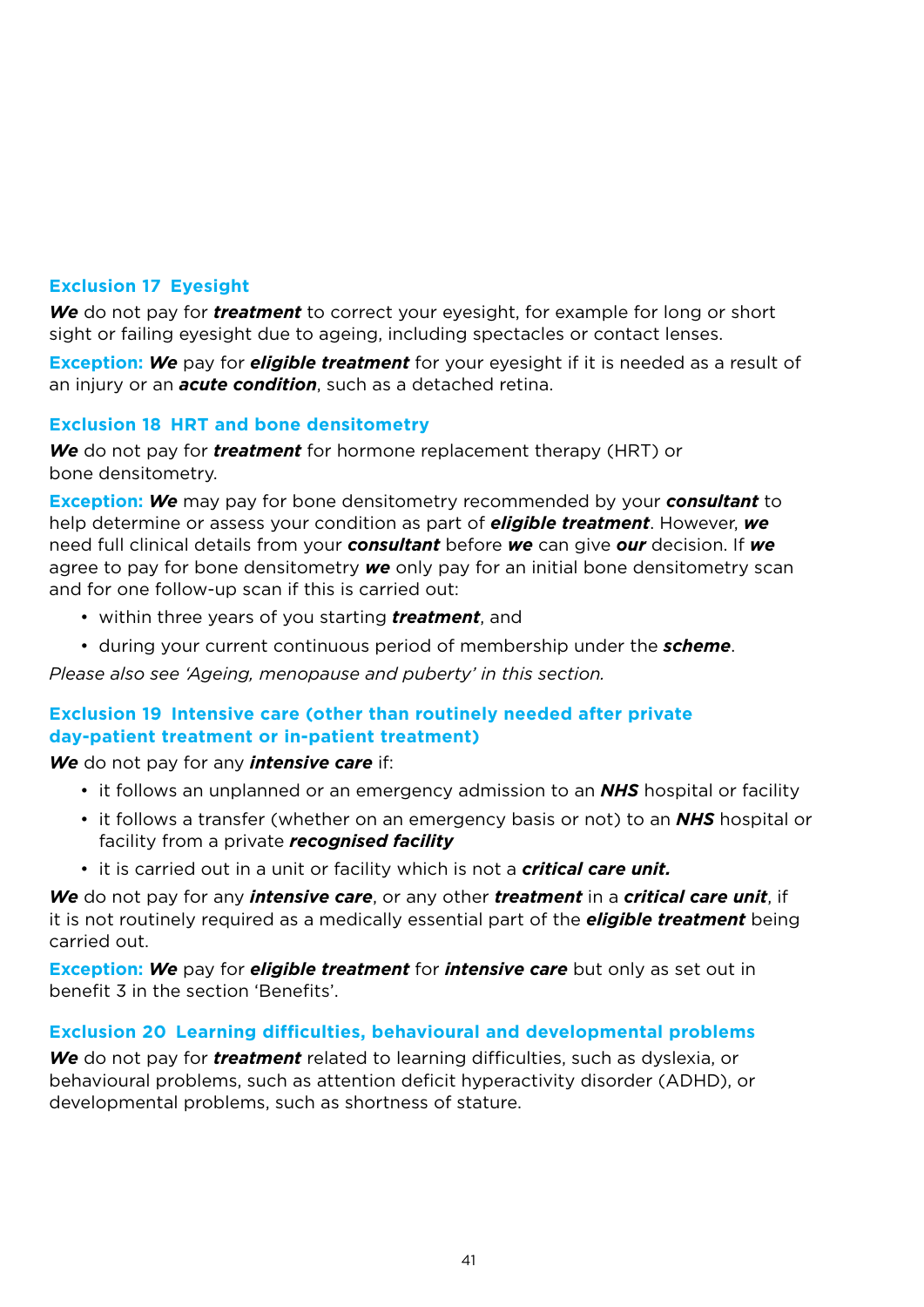# **Exclusion 17 Eyesight**

*We* do not pay for *treatment* to correct your eyesight, for example for long or short sight or failing eyesight due to ageing, including spectacles or contact lenses.

**Exception:** *We* pay for *eligible treatment* for your eyesight if it is needed as a result of an injury or an *acute condition*, such as a detached retina.

### **Exclusion 18 HRT and bone densitometry**

*We* do not pay for *treatment* for hormone replacement therapy (HRT) or bone densitometry.

**Exception:** *We* may pay for bone densitometry recommended by your *consultant* to help determine or assess your condition as part of *eligible treatment*. However, *we* need full clinical details from your *consultant* before *we* can give *our* decision. If *we* agree to pay for bone densitometry *we* only pay for an initial bone densitometry scan and for one follow-up scan if this is carried out:

- within three years of you starting *treatment*, and
- during your current continuous period of membership under the *scheme*.

*Please also see 'Ageing, menopause and puberty' in this section.*

# **Exclusion 19 Intensive care (other than routinely needed after private day-patient treatment or in-patient treatment)**

*We* do not pay for any *intensive care* if:

- it follows an unplanned or an emergency admission to an *NHS* hospital or facility
- it follows a transfer (whether on an emergency basis or not) to an *NHS* hospital or facility from a private *recognised facility*
- it is carried out in a unit or facility which is not a *critical care unit.*

*We* do not pay for any *intensive care*, or any other *treatment* in a *critical care unit*, if it is not routinely required as a medically essential part of the *eligible treatment* being carried out.

**Exception:** *We* pay for *eligible treatment* for *intensive care* but only as set out in benefit 3 in the section 'Benefits'.

### **Exclusion 20 Learning difficulties, behavioural and developmental problems**

*We* do not pay for *treatment* related to learning difficulties, such as dyslexia, or behavioural problems, such as attention deficit hyperactivity disorder (ADHD), or developmental problems, such as shortness of stature.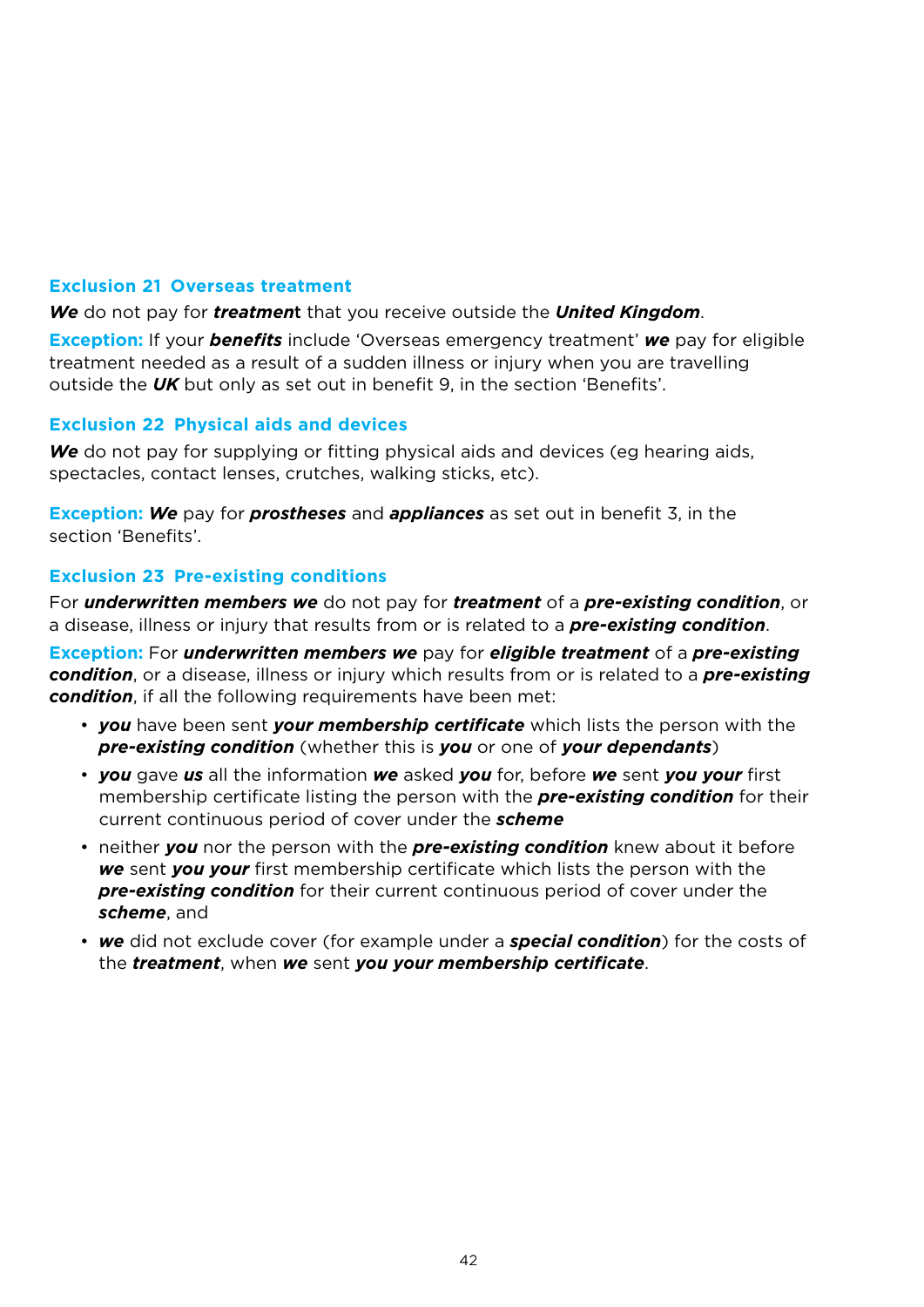## **Exclusion 21 Overseas treatment**

*We* do not pay for *treatmen*t that you receive outside the *United Kingdom*.

**Exception:** If your *benefits* include 'Overseas emergency treatment' *we* pay for eligible treatment needed as a result of a sudden illness or injury when you are travelling outside the *UK* but only as set out in benefit 9, in the section 'Benefits'.

### **Exclusion 22 Physical aids and devices**

*We* do not pay for supplying or fitting physical aids and devices (eg hearing aids, spectacles, contact lenses, crutches, walking sticks, etc).

**Exception:** *We* pay for *prostheses* and *appliances* as set out in benefit 3, in the section 'Benefits'.

# **Exclusion 23 Pre-existing conditions**

For *underwritten members we* do not pay for *treatment* of a *pre-existing condition*, or a disease, illness or injury that results from or is related to a *pre-existing condition*.

**Exception:** For *underwritten members we* pay for *eligible treatment* of a *pre-existing condition*, or a disease, illness or injury which results from or is related to a *pre-existing condition*, if all the following requirements have been met:

- *you* have been sent *your membership certificate* which lists the person with the *pre-existing condition* (whether this is *you* or one of *your dependants*)
- *you* gave *us* all the information *we* asked *you* for, before *we* sent *you your* first membership certificate listing the person with the *pre-existing condition* for their current continuous period of cover under the *scheme*
- neither *you* nor the person with the *pre-existing condition* knew about it before *we* sent *you your* first membership certificate which lists the person with the *pre-existing condition* for their current continuous period of cover under the *scheme*, and
- *we* did not exclude cover (for example under a *special condition*) for the costs of the *treatment*, when *we* sent *you your membership certificate*.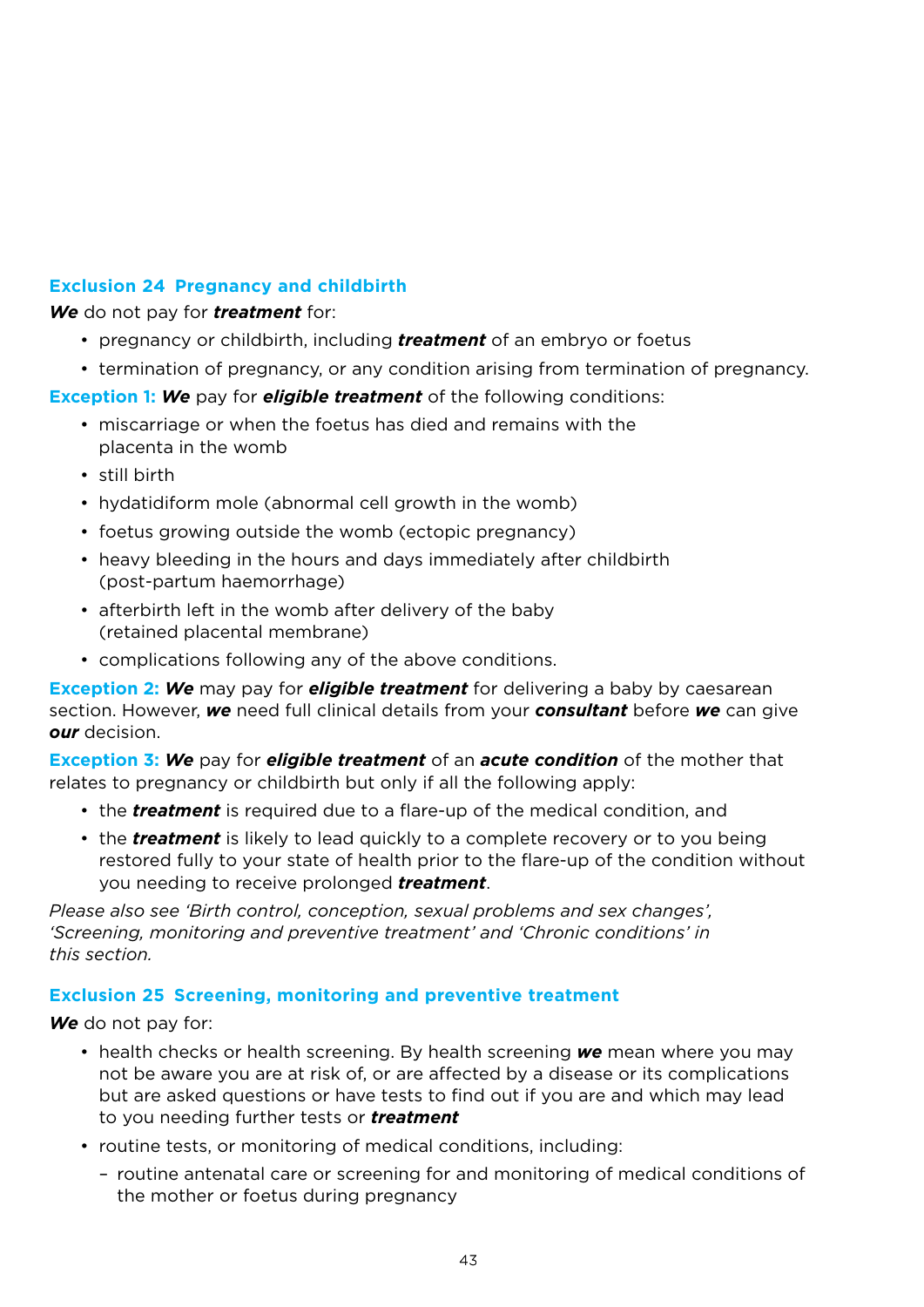# **Exclusion 24 Pregnancy and childbirth**

*We* do not pay for *treatment* for:

- pregnancy or childbirth, including *treatment* of an embryo or foetus
- termination of pregnancy, or any condition arising from termination of pregnancy.

#### **Exception 1:** *We* pay for *eligible treatment* of the following conditions:

- miscarriage or when the foetus has died and remains with the placenta in the womb
- still birth
- hydatidiform mole (abnormal cell growth in the womb)
- foetus growing outside the womb (ectopic pregnancy)
- heavy bleeding in the hours and days immediately after childbirth (post-partum haemorrhage)
- afterbirth left in the womb after delivery of the baby (retained placental membrane)
- complications following any of the above conditions.

**Exception 2:** *We* may pay for *eligible treatment* for delivering a baby by caesarean section. However, *we* need full clinical details from your *consultant* before *we* can give *our* decision.

**Exception 3:** *We* pay for *eligible treatment* of an *acute condition* of the mother that relates to pregnancy or childbirth but only if all the following apply:

- the *treatment* is required due to a flare-up of the medical condition, and
- the *treatment* is likely to lead quickly to a complete recovery or to you being restored fully to your state of health prior to the flare-up of the condition without you needing to receive prolonged *treatment*.

*Please also see 'Birth control, conception, sexual problems and sex changes', 'Screening, monitoring and preventive treatment' and 'Chronic conditions' in this section.*

### **Exclusion 25 Screening, monitoring and preventive treatment**

*We* do not pay for:

- health checks or health screening. By health screening *we* mean where you may not be aware you are at risk of, or are affected by a disease or its complications but are asked questions or have tests to find out if you are and which may lead to you needing further tests or *treatment*
- routine tests, or monitoring of medical conditions, including:
	- routine antenatal care or screening for and monitoring of medical conditions of the mother or foetus during pregnancy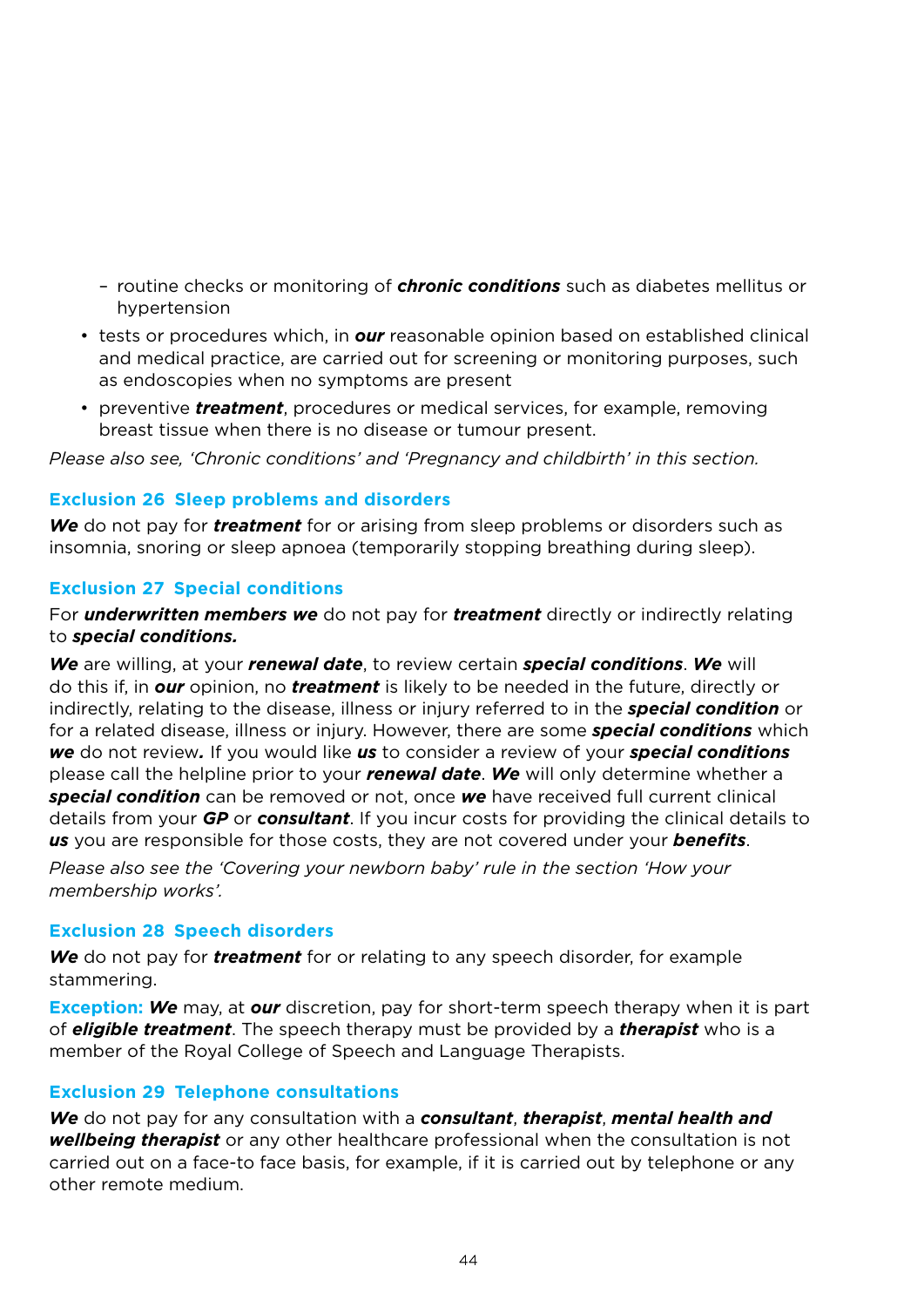- routine checks or monitoring of *chronic conditions* such as diabetes mellitus or hypertension
- tests or procedures which, in *our* reasonable opinion based on established clinical and medical practice, are carried out for screening or monitoring purposes, such as endoscopies when no symptoms are present
- preventive *treatment*, procedures or medical services, for example, removing breast tissue when there is no disease or tumour present.

*Please also see, 'Chronic conditions' and 'Pregnancy and childbirth' in this section.*

### **Exclusion 26 Sleep problems and disorders**

*We* do not pay for *treatment* for or arising from sleep problems or disorders such as insomnia, snoring or sleep apnoea (temporarily stopping breathing during sleep).

### **Exclusion 27 Special conditions**

For *underwritten members we* do not pay for *treatment* directly or indirectly relating to *special conditions.*

*We* are willing, at your *renewal date*, to review certain *special conditions*. *We* will do this if, in *our* opinion, no *treatment* is likely to be needed in the future, directly or indirectly, relating to the disease, illness or injury referred to in the *special condition* or for a related disease, illness or injury. However, there are some *special conditions* which *we* do not review*.* If you would like *us* to consider a review of your *special conditions* please call the helpline prior to your *renewal date*. *We* will only determine whether a *special condition* can be removed or not, once *we* have received full current clinical details from your *GP* or *consultant*. If you incur costs for providing the clinical details to *us* you are responsible for those costs, they are not covered under your *benefits*.

*Please also see the 'Covering your newborn baby' rule in the section 'How your membership works'.*

### **Exclusion 28 Speech disorders**

*We* do not pay for *treatment* for or relating to any speech disorder, for example stammering.

**Exception:** *We* may, at *our* discretion, pay for short-term speech therapy when it is part of *eligible treatment*. The speech therapy must be provided by a *therapist* who is a member of the Royal College of Speech and Language Therapists.

#### **Exclusion 29 Telephone consultations**

*We* do not pay for any consultation with a *consultant*, *therapist*, *mental health and wellbeing therapist* or any other healthcare professional when the consultation is not carried out on a face-to face basis, for example, if it is carried out by telephone or any other remote medium.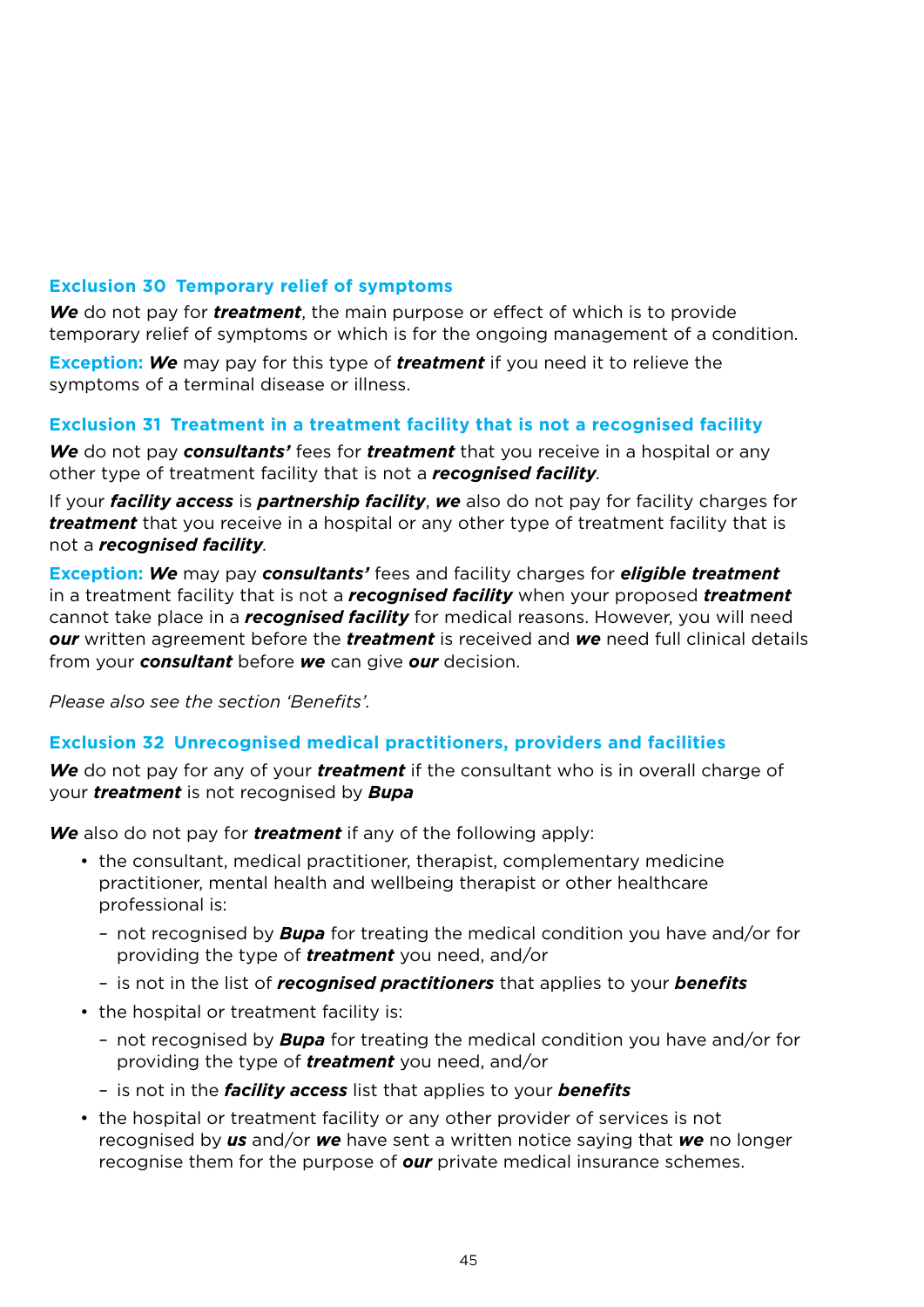# **Exclusion 30 Temporary relief of symptoms**

*We* do not pay for *treatment*, the main purpose or effect of which is to provide temporary relief of symptoms or which is for the ongoing management of a condition.

**Exception:** *We* may pay for this type of *treatment* if you need it to relieve the symptoms of a terminal disease or illness.

# **Exclusion 31 Treatment in a treatment facility that is not a recognised facility**

*We* do not pay *consultants'* fees for *treatment* that you receive in a hospital or any other type of treatment facility that is not a *recognised facility.*

If your *facility access* is *partnership facility*, *we* also do not pay for facility charges for *treatment* that you receive in a hospital or any other type of treatment facility that is not a *recognised facility.*

**Exception:** *We* may pay *consultants'* fees and facility charges for *eligible treatment* in a treatment facility that is not a *recognised facility* when your proposed *treatment* cannot take place in a *recognised facility* for medical reasons. However, you will need *our* written agreement before the *treatment* is received and *we* need full clinical details from your *consultant* before *we* can give *our* decision.

*Please also see the section 'Benefits'.* 

### **Exclusion 32 Unrecognised medical practitioners, providers and facilities**

*We* do not pay for any of your *treatment* if the consultant who is in overall charge of your *treatment* is not recognised by *Bupa*

*We* also do not pay for *treatment* if any of the following apply:

- the consultant, medical practitioner, therapist, complementary medicine practitioner, mental health and wellbeing therapist or other healthcare professional is:
	- not recognised by *Bupa* for treating the medical condition you have and/or for providing the type of *treatment* you need, and/or
	- is not in the list of *recognised practitioners* that applies to your *benefits*
- the hospital or treatment facility is:
	- not recognised by *Bupa* for treating the medical condition you have and/or for providing the type of *treatment* you need, and/or
	- is not in the *facility access* list that applies to your *benefits*
- the hospital or treatment facility or any other provider of services is not recognised by *us* and/or *we* have sent a written notice saying that *we* no longer recognise them for the purpose of *our* private medical insurance schemes.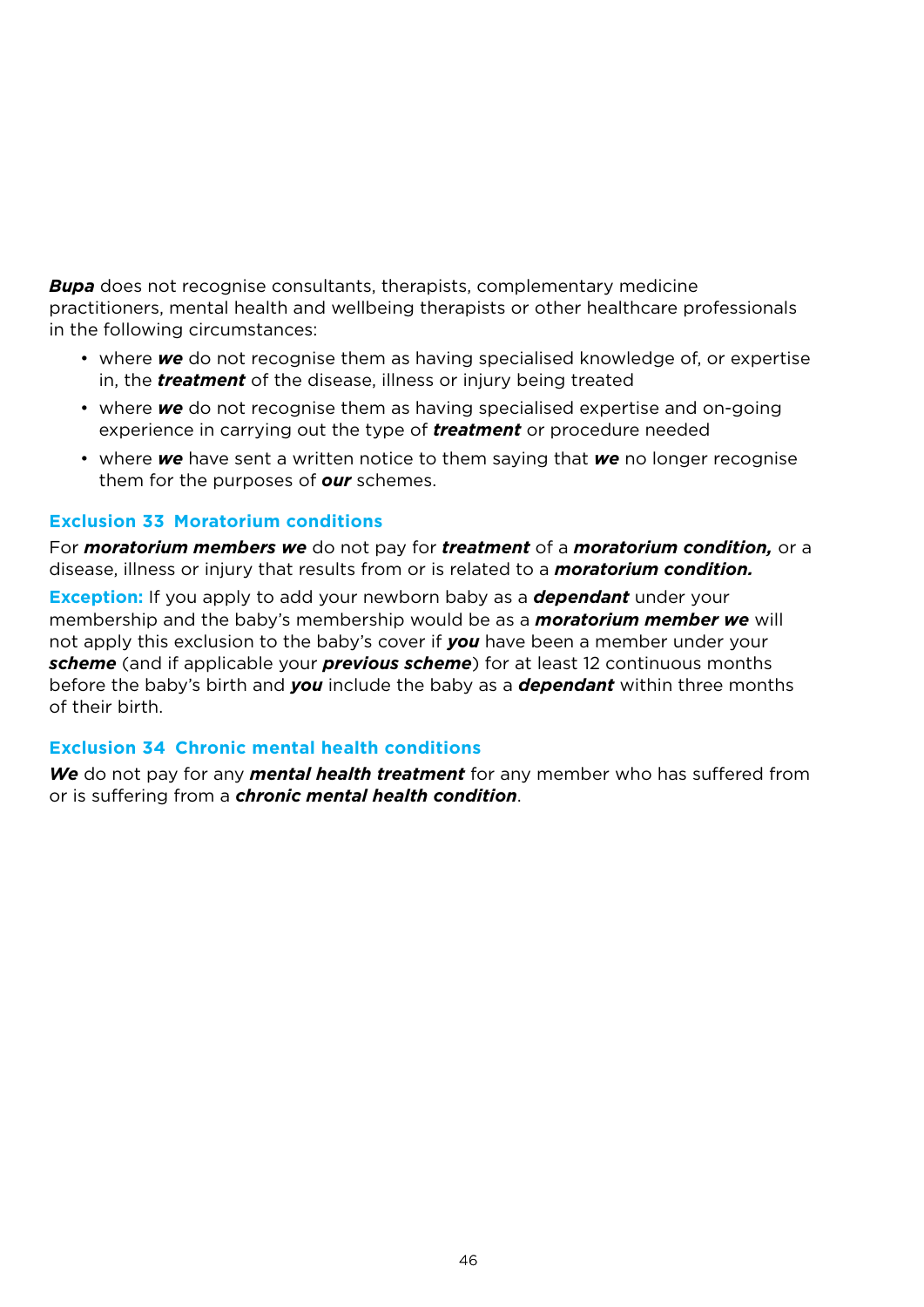*Bupa* does not recognise consultants, therapists, complementary medicine practitioners, mental health and wellbeing therapists or other healthcare professionals in the following circumstances:

- where *we* do not recognise them as having specialised knowledge of, or expertise in, the *treatment* of the disease, illness or injury being treated
- where *we* do not recognise them as having specialised expertise and on-going experience in carrying out the type of *treatment* or procedure needed
- where *we* have sent a written notice to them saying that *we* no longer recognise them for the purposes of *our* schemes.

### **Exclusion 33 Moratorium conditions**

For *moratorium members we* do not pay for *treatment* of a *moratorium condition,* or a disease, illness or injury that results from or is related to a *moratorium condition.*

**Exception:** If you apply to add your newborn baby as a *dependant* under your membership and the baby's membership would be as a *moratorium member we* will not apply this exclusion to the baby's cover if *you* have been a member under your *scheme* (and if applicable your *previous scheme*) for at least 12 continuous months before the baby's birth and *you* include the baby as a *dependant* within three months of their birth.

### **Exclusion 34 Chronic mental health conditions**

*We* do not pay for any *mental health treatment* for any member who has suffered from or is suffering from a *chronic mental health condition*.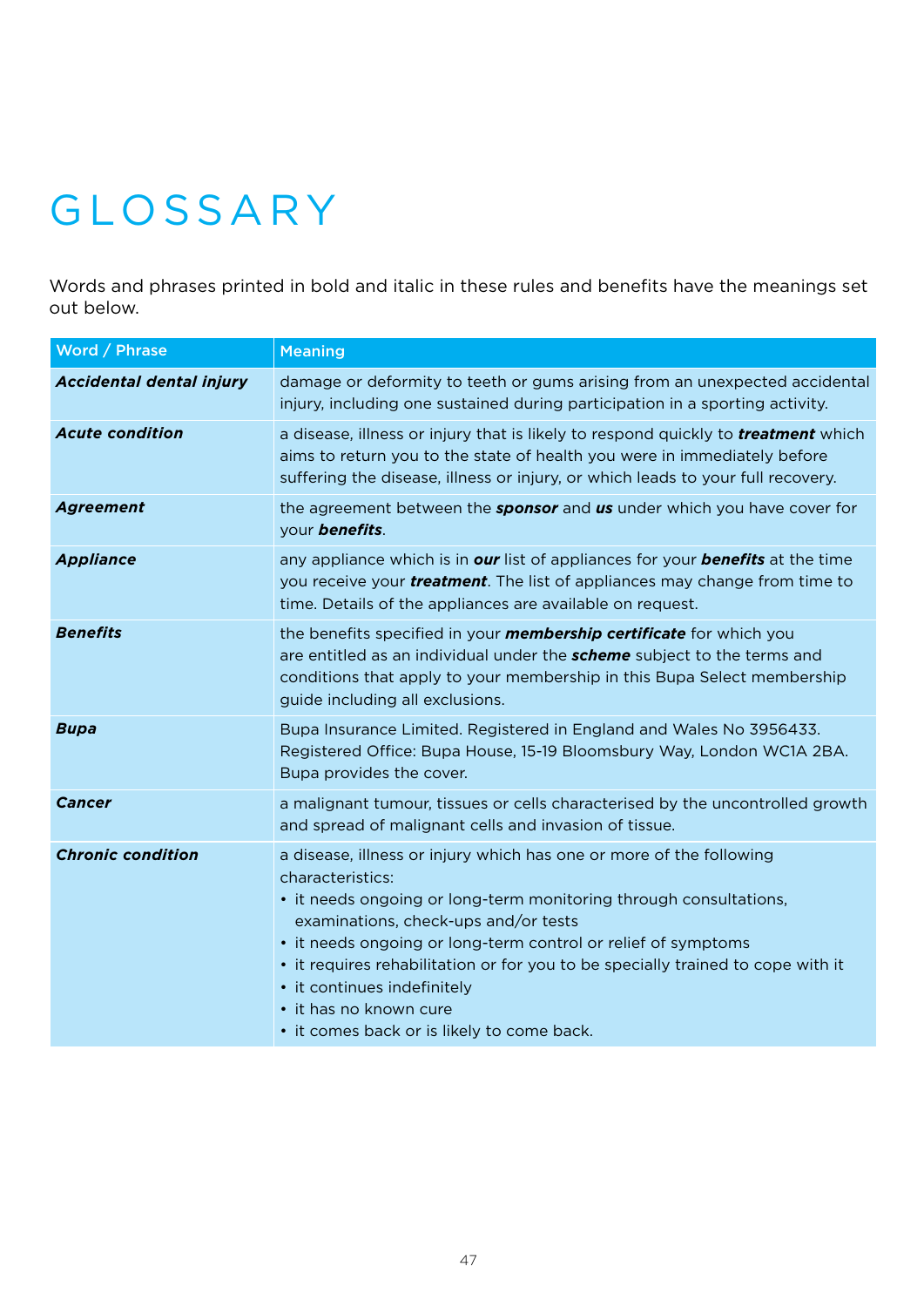# Glossary

Words and phrases printed in bold and italic in these rules and benefits have the meanings set out below.

| Word / Phrase            | <b>Meaning</b>                                                                                                                                                                                                                                                                                                                                                                                                                                                  |
|--------------------------|-----------------------------------------------------------------------------------------------------------------------------------------------------------------------------------------------------------------------------------------------------------------------------------------------------------------------------------------------------------------------------------------------------------------------------------------------------------------|
| Accidental dental injury | damage or deformity to teeth or gums arising from an unexpected accidental<br>injury, including one sustained during participation in a sporting activity.                                                                                                                                                                                                                                                                                                      |
| <b>Acute condition</b>   | a disease, illness or injury that is likely to respond quickly to <b>treatment</b> which<br>aims to return you to the state of health you were in immediately before<br>suffering the disease, illness or injury, or which leads to your full recovery.                                                                                                                                                                                                         |
| <b>Agreement</b>         | the agreement between the <b>sponsor</b> and us under which you have cover for<br>your <b>benefits</b> .                                                                                                                                                                                                                                                                                                                                                        |
| <b>Appliance</b>         | any appliance which is in <b>our</b> list of appliances for your <b>benefits</b> at the time<br>you receive your <i>treatment</i> . The list of appliances may change from time to<br>time. Details of the appliances are available on request.                                                                                                                                                                                                                 |
| <b>Benefits</b>          | the benefits specified in your <i>membership certificate</i> for which you<br>are entitled as an individual under the <b>scheme</b> subject to the terms and<br>conditions that apply to your membership in this Bupa Select membership<br>quide including all exclusions.                                                                                                                                                                                      |
| <b>Bupa</b>              | Bupa Insurance Limited. Registered in England and Wales No 3956433.<br>Registered Office: Bupa House, 15-19 Bloomsbury Way, London WC1A 2BA.<br>Bupa provides the cover.                                                                                                                                                                                                                                                                                        |
| Cancer                   | a malignant tumour, tissues or cells characterised by the uncontrolled growth<br>and spread of malignant cells and invasion of tissue.                                                                                                                                                                                                                                                                                                                          |
| <b>Chronic condition</b> | a disease, illness or injury which has one or more of the following<br>characteristics:<br>• it needs ongoing or long-term monitoring through consultations,<br>examinations, check-ups and/or tests<br>• it needs ongoing or long-term control or relief of symptoms<br>• it requires rehabilitation or for you to be specially trained to cope with it<br>• it continues indefinitely<br>• it has no known cure<br>• it comes back or is likely to come back. |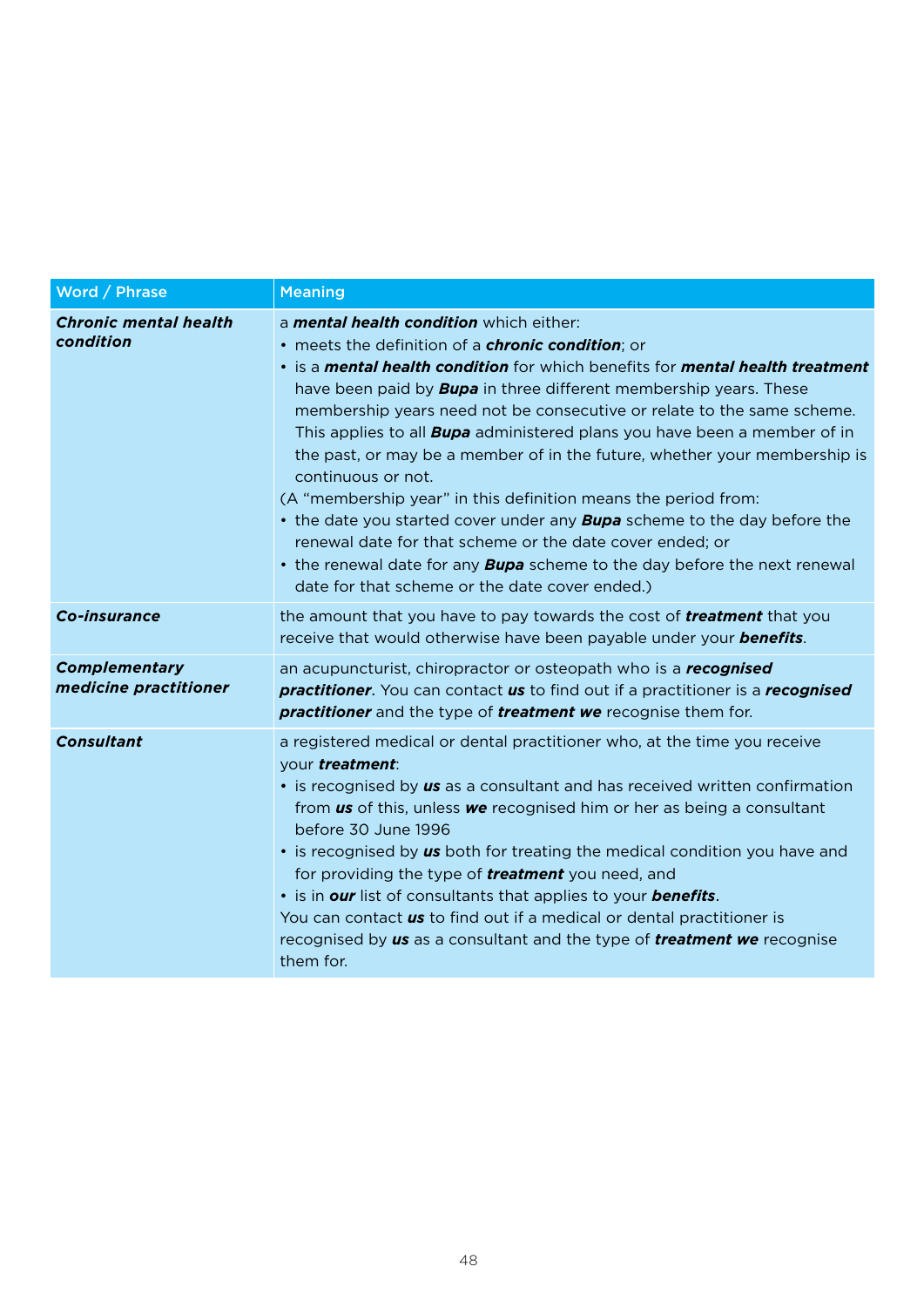| Word / Phrase                             | <b>Meaning</b>                                                                                                                                                                                                                                                                                                                                                                                                                                                                                                                                                                                                                                                                                                                                                                                                                                                                                                |
|-------------------------------------------|---------------------------------------------------------------------------------------------------------------------------------------------------------------------------------------------------------------------------------------------------------------------------------------------------------------------------------------------------------------------------------------------------------------------------------------------------------------------------------------------------------------------------------------------------------------------------------------------------------------------------------------------------------------------------------------------------------------------------------------------------------------------------------------------------------------------------------------------------------------------------------------------------------------|
| <b>Chronic mental health</b><br>condition | a <i>mental health condition</i> which either:<br>• meets the definition of a <i>chronic condition</i> ; or<br>. is a <i>mental health condition</i> for which benefits for <i>mental health treatment</i><br>have been paid by <b>Bupa</b> in three different membership years. These<br>membership years need not be consecutive or relate to the same scheme.<br>This applies to all <b>Bupa</b> administered plans you have been a member of in<br>the past, or may be a member of in the future, whether your membership is<br>continuous or not.<br>(A "membership year" in this definition means the period from:<br>• the date you started cover under any <b>Bupa</b> scheme to the day before the<br>renewal date for that scheme or the date cover ended: or<br>• the renewal date for any <b>Bupa</b> scheme to the day before the next renewal<br>date for that scheme or the date cover ended.) |
| Co-insurance                              | the amount that you have to pay towards the cost of <b>treatment</b> that you<br>receive that would otherwise have been payable under your <b>benefits</b> .                                                                                                                                                                                                                                                                                                                                                                                                                                                                                                                                                                                                                                                                                                                                                  |
| Complementary<br>medicine practitioner    | an acupuncturist, chiropractor or osteopath who is a <b>recognised</b><br><b>practitioner.</b> You can contact <b>us</b> to find out if a practitioner is a <b>recognised</b><br><b>practitioner</b> and the type of <b>treatment we</b> recognise them for.                                                                                                                                                                                                                                                                                                                                                                                                                                                                                                                                                                                                                                                  |
| <b>Consultant</b>                         | a registered medical or dental practitioner who, at the time you receive<br>vour treatment:<br>• is recognised by us as a consultant and has received written confirmation<br>from us of this, unless we recognised him or her as being a consultant<br>before 30 June 1996<br>• is recognised by us both for treating the medical condition you have and<br>for providing the type of <b>treatment</b> you need, and<br>• is in our list of consultants that applies to your benefits.<br>You can contact us to find out if a medical or dental practitioner is<br>recognised by us as a consultant and the type of <i>treatment we</i> recognise<br>them for.                                                                                                                                                                                                                                               |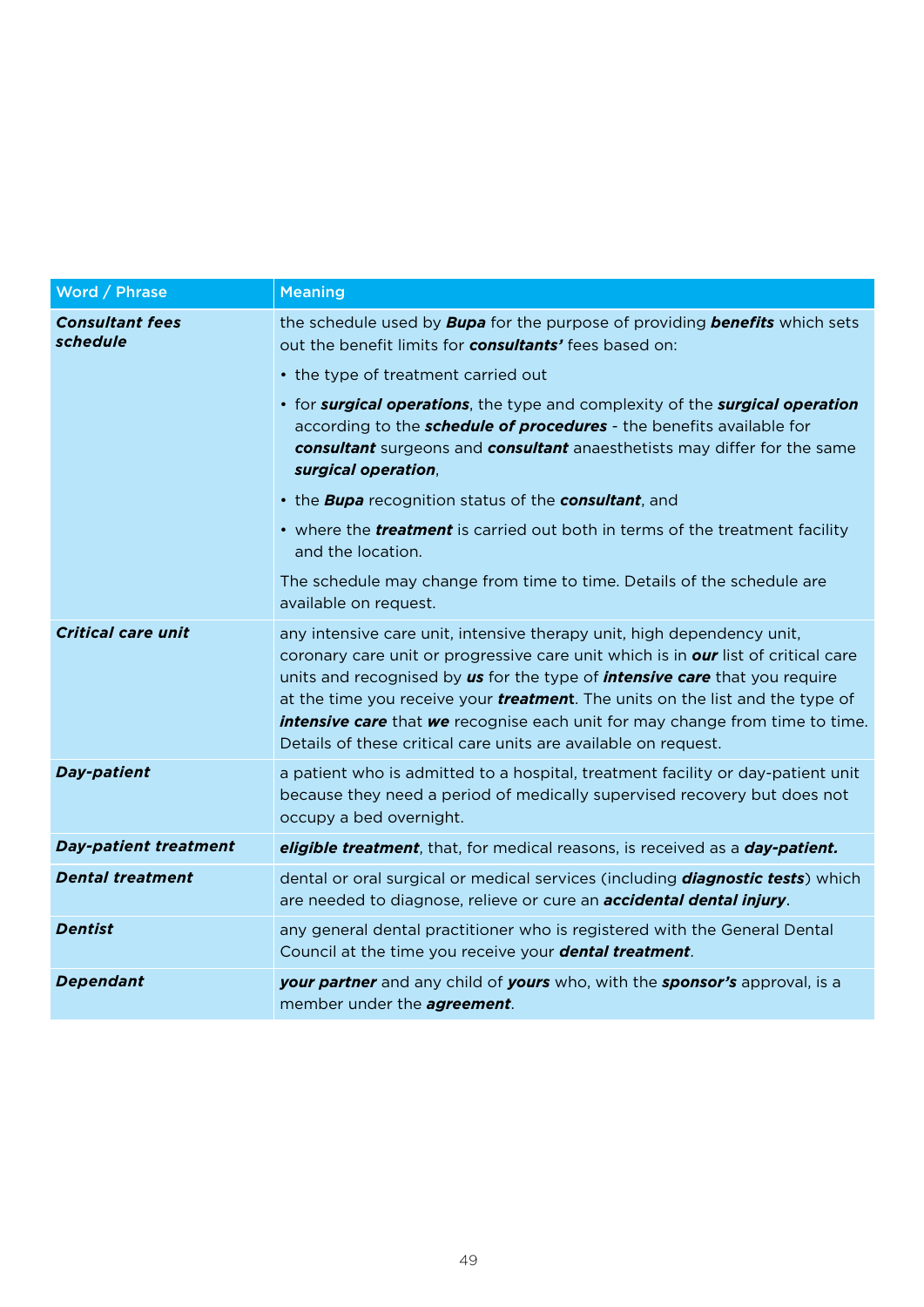| Word / Phrase                      | <b>Meaning</b>                                                                                                                                                                                                                                                                                                                                                                                                                                                                                                   |
|------------------------------------|------------------------------------------------------------------------------------------------------------------------------------------------------------------------------------------------------------------------------------------------------------------------------------------------------------------------------------------------------------------------------------------------------------------------------------------------------------------------------------------------------------------|
| <b>Consultant fees</b><br>schedule | the schedule used by <b>Bupa</b> for the purpose of providing <b>benefits</b> which sets<br>out the benefit limits for <b>consultants'</b> fees based on:                                                                                                                                                                                                                                                                                                                                                        |
|                                    | • the type of treatment carried out                                                                                                                                                                                                                                                                                                                                                                                                                                                                              |
|                                    | • for <b>surgical operations</b> , the type and complexity of the <b>surgical operation</b><br>according to the <b>schedule of procedures</b> - the benefits available for<br>consultant surgeons and consultant anaesthetists may differ for the same<br>surgical operation.                                                                                                                                                                                                                                    |
|                                    | • the <b>Bupa</b> recognition status of the <b>consultant</b> , and                                                                                                                                                                                                                                                                                                                                                                                                                                              |
|                                    | • where the <i>treatment</i> is carried out both in terms of the treatment facility<br>and the location.                                                                                                                                                                                                                                                                                                                                                                                                         |
|                                    | The schedule may change from time to time. Details of the schedule are<br>available on request.                                                                                                                                                                                                                                                                                                                                                                                                                  |
| <b>Critical care unit</b>          | any intensive care unit, intensive therapy unit, high dependency unit,<br>coronary care unit or progressive care unit which is in <b>our</b> list of critical care<br>units and recognised by us for the type of <i>intensive care</i> that you require<br>at the time you receive your <i>treatment</i> . The units on the list and the type of<br><b>intensive care</b> that <b>we</b> recognise each unit for may change from time to time.<br>Details of these critical care units are available on request. |
| <b>Day-patient</b>                 | a patient who is admitted to a hospital, treatment facility or day-patient unit<br>because they need a period of medically supervised recovery but does not<br>occupy a bed overnight.                                                                                                                                                                                                                                                                                                                           |
| <b>Day-patient treatment</b>       | eligible treatment, that, for medical reasons, is received as a <b>day-patient.</b>                                                                                                                                                                                                                                                                                                                                                                                                                              |
| <b>Dental treatment</b>            | dental or oral surgical or medical services (including <b>diagnostic tests</b> ) which<br>are needed to diagnose, relieve or cure an <b>accidental dental injury</b> .                                                                                                                                                                                                                                                                                                                                           |
| <b>Dentist</b>                     | any general dental practitioner who is registered with the General Dental<br>Council at the time you receive your <b>dental treatment</b> .                                                                                                                                                                                                                                                                                                                                                                      |
| <b>Dependant</b>                   | <b>your partner</b> and any child of <b>yours</b> who, with the <b>sponsor's</b> approval, is a<br>member under the <b>agreement</b> .                                                                                                                                                                                                                                                                                                                                                                           |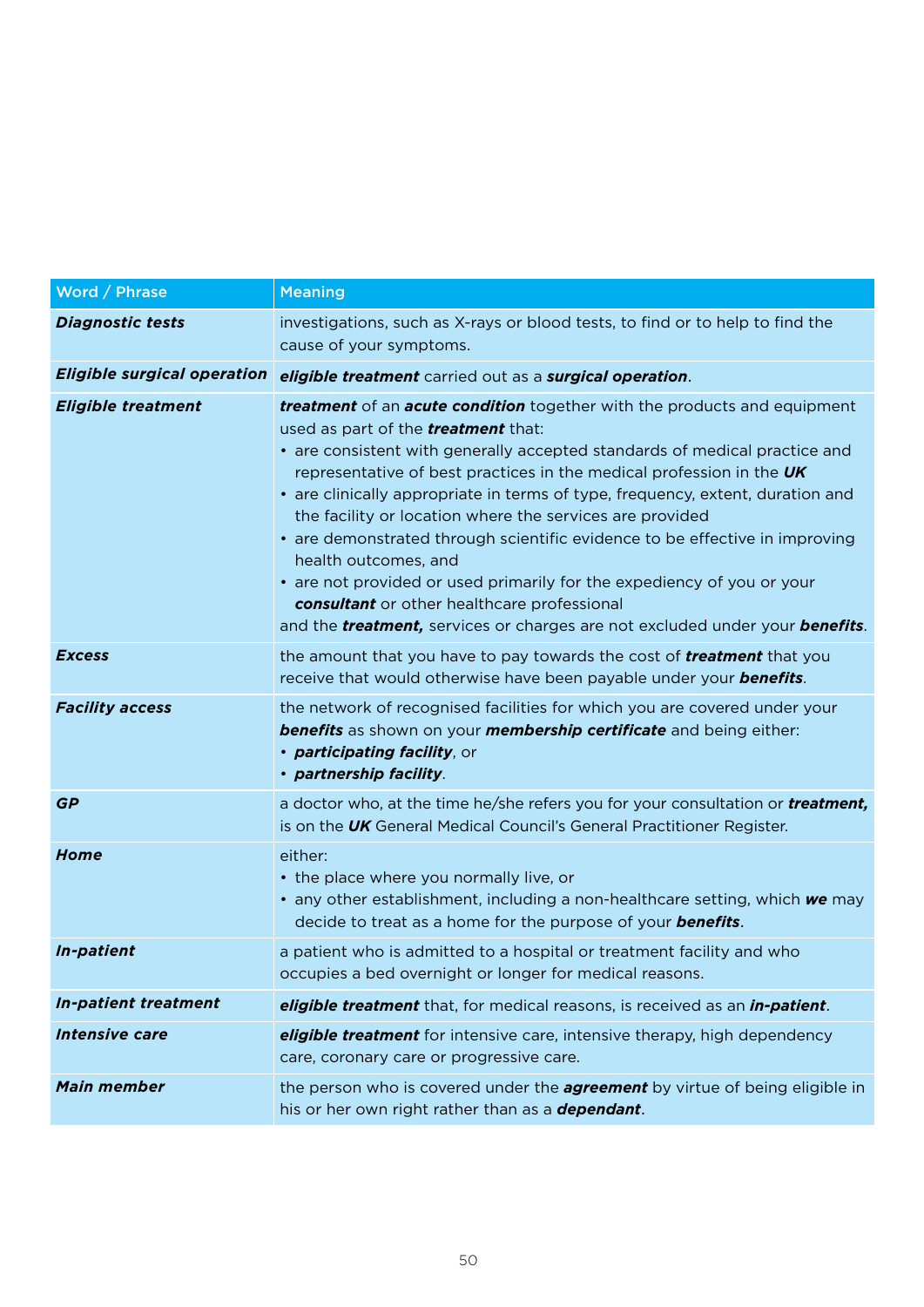| Word / Phrase                      | <b>Meaning</b>                                                                                                                                                                                                                                                                                                                                                                                                                                                                                                                                                                                                                                                                                                                                                           |
|------------------------------------|--------------------------------------------------------------------------------------------------------------------------------------------------------------------------------------------------------------------------------------------------------------------------------------------------------------------------------------------------------------------------------------------------------------------------------------------------------------------------------------------------------------------------------------------------------------------------------------------------------------------------------------------------------------------------------------------------------------------------------------------------------------------------|
| Diagnostic tests                   | investigations, such as X-rays or blood tests, to find or to help to find the<br>cause of your symptoms.                                                                                                                                                                                                                                                                                                                                                                                                                                                                                                                                                                                                                                                                 |
| <b>Eligible surgical operation</b> | eligible treatment carried out as a surgical operation.                                                                                                                                                                                                                                                                                                                                                                                                                                                                                                                                                                                                                                                                                                                  |
| Eligible treatment                 | <b>treatment</b> of an <b>acute condition</b> together with the products and equipment<br>used as part of the <b>treatment</b> that:<br>• are consistent with generally accepted standards of medical practice and<br>representative of best practices in the medical profession in the UK<br>• are clinically appropriate in terms of type, frequency, extent, duration and<br>the facility or location where the services are provided<br>• are demonstrated through scientific evidence to be effective in improving<br>health outcomes, and<br>• are not provided or used primarily for the expediency of you or your<br>consultant or other healthcare professional<br>and the <b>treatment</b> , services or charges are not excluded under your <b>benefits</b> . |
| <b>Excess</b>                      | the amount that you have to pay towards the cost of <b>treatment</b> that you<br>receive that would otherwise have been payable under your <b>benefits</b> .                                                                                                                                                                                                                                                                                                                                                                                                                                                                                                                                                                                                             |
| <b>Facility access</b>             | the network of recognised facilities for which you are covered under your<br><b>benefits</b> as shown on your <b>membership certificate</b> and being either:<br>• <b>participating facility</b> , or<br>· partnership facility.                                                                                                                                                                                                                                                                                                                                                                                                                                                                                                                                         |
| GP                                 | a doctor who, at the time he/she refers you for your consultation or <b>treatment</b> ,<br>is on the UK General Medical Council's General Practitioner Register.                                                                                                                                                                                                                                                                                                                                                                                                                                                                                                                                                                                                         |
| Home                               | either:<br>• the place where you normally live, or<br>• any other establishment, including a non-healthcare setting, which we may<br>decide to treat as a home for the purpose of your <b>benefits</b> .                                                                                                                                                                                                                                                                                                                                                                                                                                                                                                                                                                 |
| In-patient                         | a patient who is admitted to a hospital or treatment facility and who<br>occupies a bed overnight or longer for medical reasons.                                                                                                                                                                                                                                                                                                                                                                                                                                                                                                                                                                                                                                         |
| In-patient treatment               | eligible treatment that, for medical reasons, is received as an in-patient.                                                                                                                                                                                                                                                                                                                                                                                                                                                                                                                                                                                                                                                                                              |
| Intensive care                     | eligible treatment for intensive care, intensive therapy, high dependency<br>care, coronary care or progressive care.                                                                                                                                                                                                                                                                                                                                                                                                                                                                                                                                                                                                                                                    |
| Main member                        | the person who is covered under the <b>agreement</b> by virtue of being eligible in<br>his or her own right rather than as a <b>dependant</b> .                                                                                                                                                                                                                                                                                                                                                                                                                                                                                                                                                                                                                          |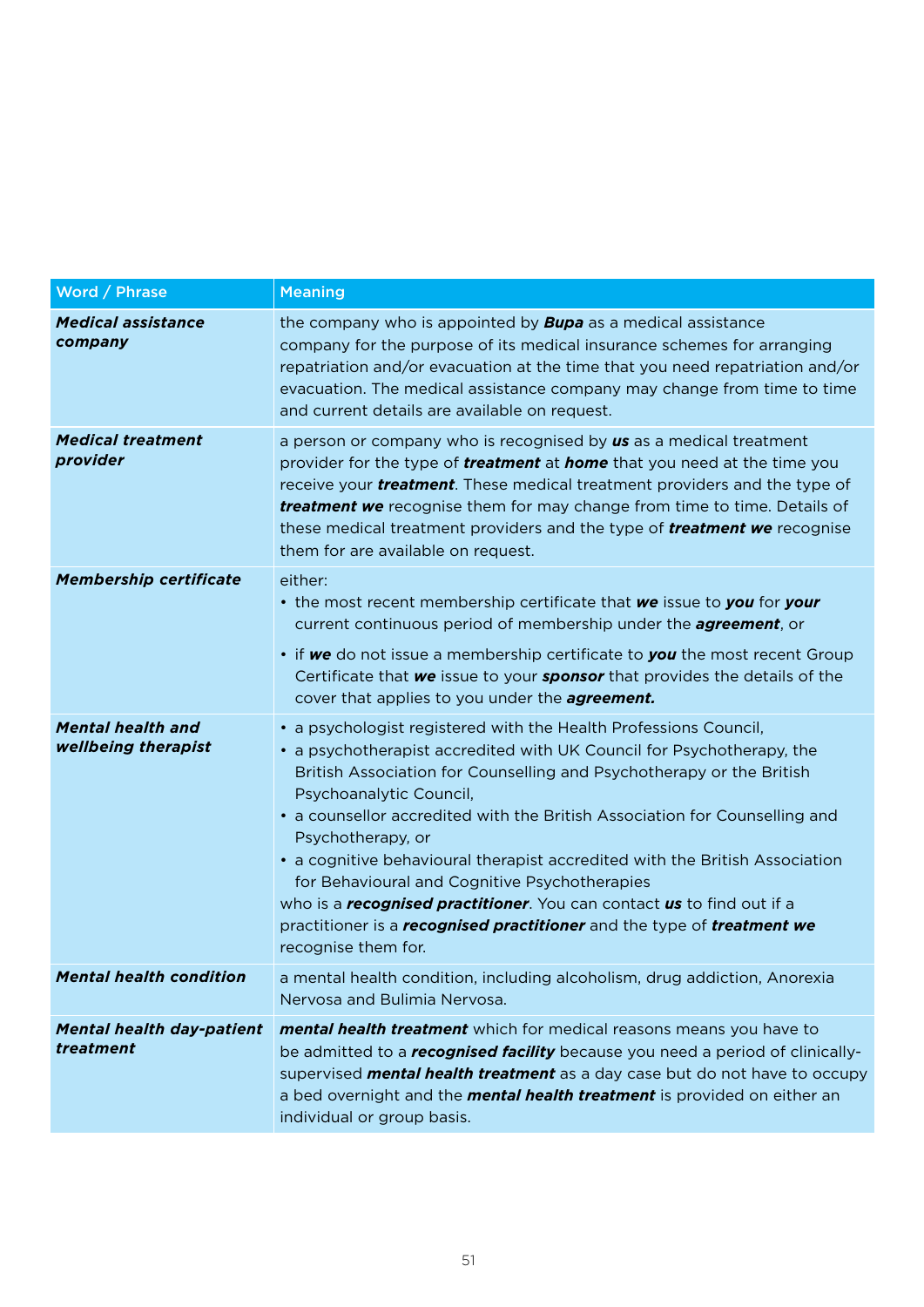| Word / Phrase                                   | <b>Meaning</b>                                                                                                                                                                                                                                                                                                                                                                                                                                                                                                                                                                                                                                                           |
|-------------------------------------------------|--------------------------------------------------------------------------------------------------------------------------------------------------------------------------------------------------------------------------------------------------------------------------------------------------------------------------------------------------------------------------------------------------------------------------------------------------------------------------------------------------------------------------------------------------------------------------------------------------------------------------------------------------------------------------|
| <b>Medical assistance</b><br>company            | the company who is appointed by <b>Bupa</b> as a medical assistance<br>company for the purpose of its medical insurance schemes for arranging<br>repatriation and/or evacuation at the time that you need repatriation and/or<br>evacuation. The medical assistance company may change from time to time<br>and current details are available on request.                                                                                                                                                                                                                                                                                                                |
| <b>Medical treatment</b><br>provider            | a person or company who is recognised by us as a medical treatment<br>provider for the type of <b>treatment</b> at <b>home</b> that you need at the time you<br>receive your <i>treatment</i> . These medical treatment providers and the type of<br><b>treatment we</b> recognise them for may change from time to time. Details of<br>these medical treatment providers and the type of <b>treatment we</b> recognise<br>them for are available on request.                                                                                                                                                                                                            |
| <b>Membership certificate</b>                   | either:<br>• the most recent membership certificate that we issue to you for your<br>current continuous period of membership under the <b>agreement</b> , or<br>• if we do not issue a membership certificate to you the most recent Group<br>Certificate that we issue to your sponsor that provides the details of the<br>cover that applies to you under the <b>agreement</b> .                                                                                                                                                                                                                                                                                       |
| <b>Mental health and</b><br>wellbeing therapist | • a psychologist registered with the Health Professions Council,<br>• a psychotherapist accredited with UK Council for Psychotherapy, the<br>British Association for Counselling and Psychotherapy or the British<br>Psychoanalytic Council,<br>• a counsellor accredited with the British Association for Counselling and<br>Psychotherapy, or<br>• a cognitive behavioural therapist accredited with the British Association<br>for Behavioural and Cognitive Psychotherapies<br>who is a <b>recognised practitioner</b> . You can contact <b>us</b> to find out if a<br>practitioner is a recognised practitioner and the type of treatment we<br>recognise them for. |
| <b>Mental health condition</b>                  | a mental health condition, including alcoholism, drug addiction, Anorexia<br>Nervosa and Bulimia Nervosa.                                                                                                                                                                                                                                                                                                                                                                                                                                                                                                                                                                |
| <b>Mental health day-patient</b><br>treatment   | mental health treatment which for medical reasons means you have to<br>be admitted to a <b>recognised facility</b> because you need a period of clinically-<br>supervised <i>mental health treatment</i> as a day case but do not have to occupy<br>a bed overnight and the <b>mental health treatment</b> is provided on either an<br>individual or group basis.                                                                                                                                                                                                                                                                                                        |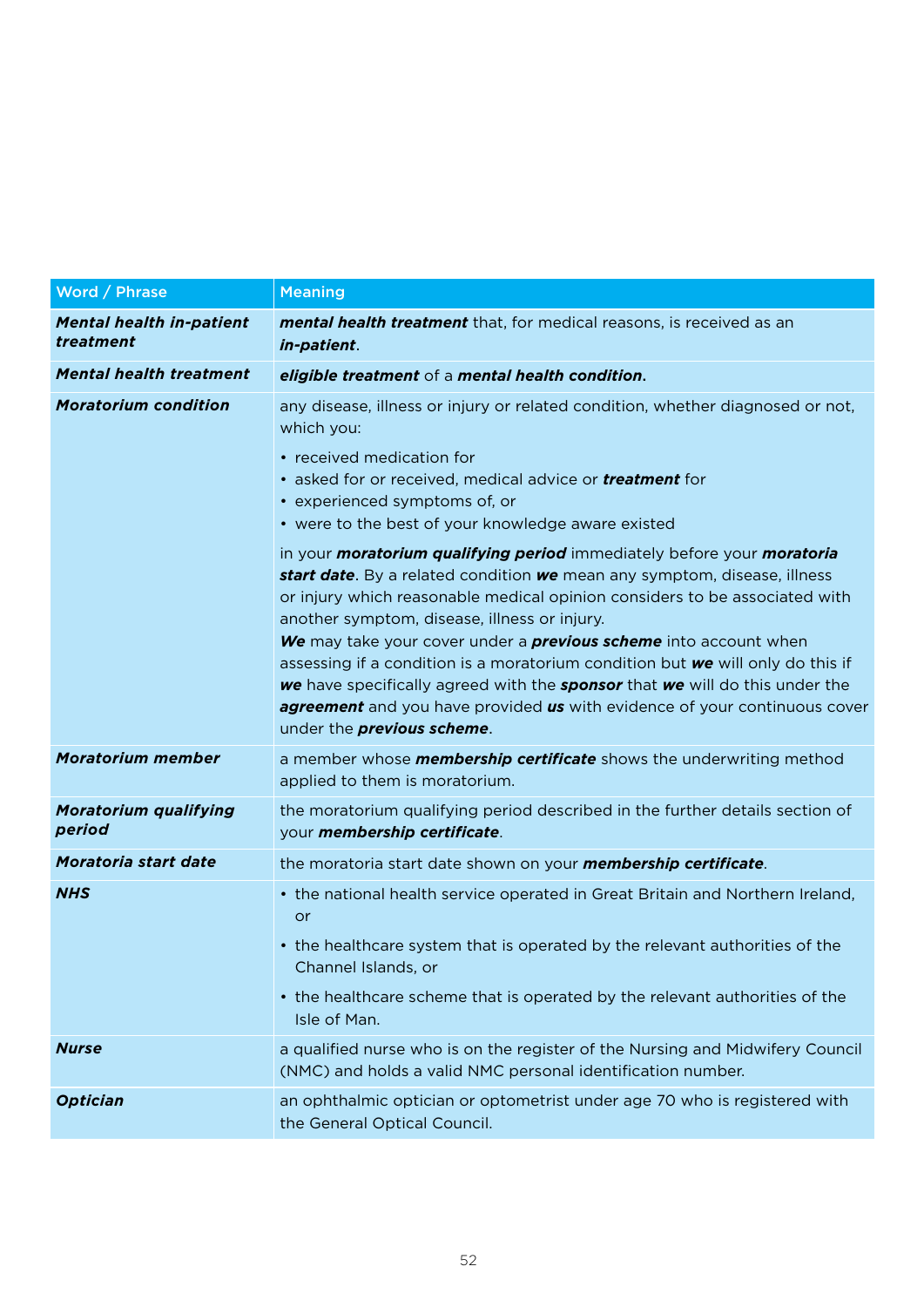| Word / Phrase                                | <b>Meaning</b>                                                                                                                                                                                                                                                                                                                                                                                                                                                                                                                                                                                                                                                      |
|----------------------------------------------|---------------------------------------------------------------------------------------------------------------------------------------------------------------------------------------------------------------------------------------------------------------------------------------------------------------------------------------------------------------------------------------------------------------------------------------------------------------------------------------------------------------------------------------------------------------------------------------------------------------------------------------------------------------------|
| <b>Mental health in-patient</b><br>treatment | <b>mental health treatment</b> that, for medical reasons, is received as an<br>in-patient.                                                                                                                                                                                                                                                                                                                                                                                                                                                                                                                                                                          |
| <b>Mental health treatment</b>               | eligible treatment of a mental health condition.                                                                                                                                                                                                                                                                                                                                                                                                                                                                                                                                                                                                                    |
| <b>Moratorium condition</b>                  | any disease, illness or injury or related condition, whether diagnosed or not,<br>which you:                                                                                                                                                                                                                                                                                                                                                                                                                                                                                                                                                                        |
|                                              | • received medication for<br>• asked for or received, medical advice or <b>treatment</b> for<br>• experienced symptoms of, or<br>• were to the best of your knowledge aware existed                                                                                                                                                                                                                                                                                                                                                                                                                                                                                 |
|                                              | in your <b>moratorium qualifying period</b> immediately before your <b>moratoria</b><br>start date. By a related condition we mean any symptom, disease, illness<br>or injury which reasonable medical opinion considers to be associated with<br>another symptom, disease, illness or injury.<br>We may take your cover under a <i>previous scheme</i> into account when<br>assessing if a condition is a moratorium condition but we will only do this if<br>we have specifically agreed with the <i>sponsor</i> that we will do this under the<br>agreement and you have provided us with evidence of your continuous cover<br>under the <i>previous</i> scheme. |
| <b>Moratorium member</b>                     | a member whose <b>membership certificate</b> shows the underwriting method<br>applied to them is moratorium.                                                                                                                                                                                                                                                                                                                                                                                                                                                                                                                                                        |
| <b>Moratorium qualifying</b><br>period       | the moratorium qualifying period described in the further details section of<br>your membership certificate.                                                                                                                                                                                                                                                                                                                                                                                                                                                                                                                                                        |
| Moratoria start date                         | the moratoria start date shown on your <b>membership certificate</b> .                                                                                                                                                                                                                                                                                                                                                                                                                                                                                                                                                                                              |
| <b>NHS</b>                                   | • the national health service operated in Great Britain and Northern Ireland,<br>or<br>• the healthcare system that is operated by the relevant authorities of the<br>Channel Islands, or<br>• the healthcare scheme that is operated by the relevant authorities of the<br>Isle of Man.                                                                                                                                                                                                                                                                                                                                                                            |
| <b>Nurse</b>                                 | a qualified nurse who is on the register of the Nursing and Midwifery Council<br>(NMC) and holds a valid NMC personal identification number.                                                                                                                                                                                                                                                                                                                                                                                                                                                                                                                        |
| Optician                                     | an ophthalmic optician or optometrist under age 70 who is registered with<br>the General Optical Council.                                                                                                                                                                                                                                                                                                                                                                                                                                                                                                                                                           |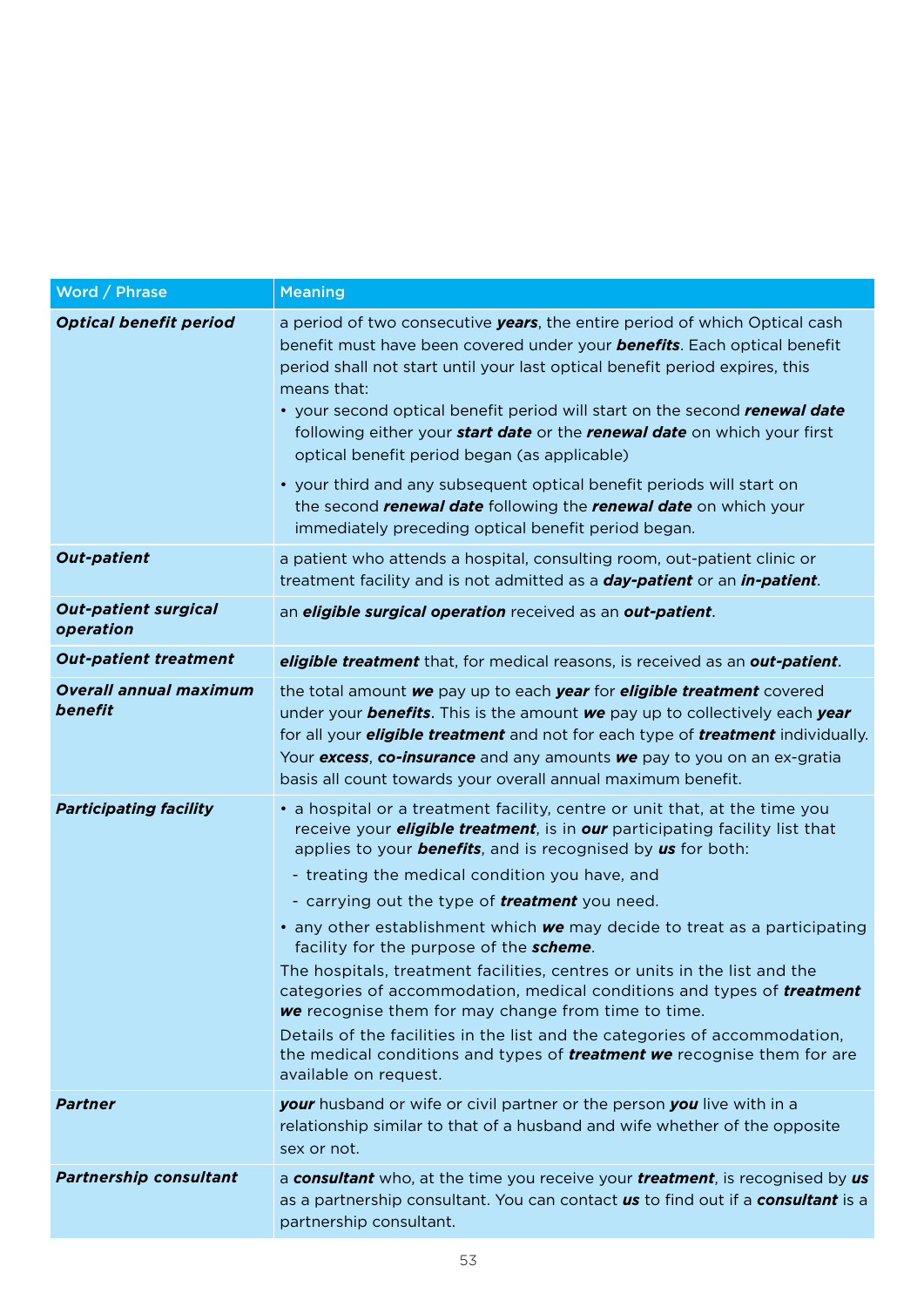| Word / Phrase                            | <b>Meaning</b>                                                                                                                                                                                                                                                                                                                                                                                                                                                                                                                                                                                                                                                                                                                                                                                                                                                                                                 |
|------------------------------------------|----------------------------------------------------------------------------------------------------------------------------------------------------------------------------------------------------------------------------------------------------------------------------------------------------------------------------------------------------------------------------------------------------------------------------------------------------------------------------------------------------------------------------------------------------------------------------------------------------------------------------------------------------------------------------------------------------------------------------------------------------------------------------------------------------------------------------------------------------------------------------------------------------------------|
| Optical benefit period                   | a period of two consecutive <b>years</b> , the entire period of which Optical cash<br>benefit must have been covered under your <b>benefits</b> . Each optical benefit<br>period shall not start until your last optical benefit period expires, this<br>means that:<br>• your second optical benefit period will start on the second renewal date<br>following either your <b>start date</b> or the <b>renewal date</b> on which your first<br>optical benefit period began (as applicable)<br>• your third and any subsequent optical benefit periods will start on<br>the second <b>renewal date</b> following the <b>renewal date</b> on which your<br>immediately preceding optical benefit period began.                                                                                                                                                                                                 |
| <b>Out-patient</b>                       | a patient who attends a hospital, consulting room, out-patient clinic or<br>treatment facility and is not admitted as a <b>day-patient</b> or an <b>in-patient</b> .                                                                                                                                                                                                                                                                                                                                                                                                                                                                                                                                                                                                                                                                                                                                           |
| <b>Out-patient surgical</b><br>operation | an <i>eligible surgical operation</i> received as an <i>out-patient</i> .                                                                                                                                                                                                                                                                                                                                                                                                                                                                                                                                                                                                                                                                                                                                                                                                                                      |
| <b>Out-patient treatment</b>             | eligible treatment that, for medical reasons, is received as an out-patient.                                                                                                                                                                                                                                                                                                                                                                                                                                                                                                                                                                                                                                                                                                                                                                                                                                   |
| <b>Overall annual maximum</b><br>benefit | the total amount <b>we</b> pay up to each <b>year</b> for <b>eligible treatment</b> covered<br>under your <b>benefits</b> . This is the amount we pay up to collectively each year<br>for all your <b>eligible treatment</b> and not for each type of <b>treatment</b> individually.<br>Your excess, co-insurance and any amounts we pay to you on an ex-gratia<br>basis all count towards your overall annual maximum benefit.                                                                                                                                                                                                                                                                                                                                                                                                                                                                                |
| <b>Participating facility</b>            | • a hospital or a treatment facility, centre or unit that, at the time you<br>receive your <i>eligible treatment</i> , is in <i>our</i> participating facility list that<br>applies to your <b>benefits</b> , and is recognised by us for both:<br>- treating the medical condition you have, and<br>- carrying out the type of <b>treatment</b> you need.<br>• any other establishment which <b>we</b> may decide to treat as a participating<br>facility for the purpose of the scheme.<br>The hospitals, treatment facilities, centres or units in the list and the<br>categories of accommodation, medical conditions and types of <b>treatment</b><br><b>we</b> recognise them for may change from time to time.<br>Details of the facilities in the list and the categories of accommodation,<br>the medical conditions and types of <i>treatment we</i> recognise them for are<br>available on request. |
| Partner                                  | <b>your</b> husband or wife or civil partner or the person <b>you</b> live with in a<br>relationship similar to that of a husband and wife whether of the opposite<br>sex or not.                                                                                                                                                                                                                                                                                                                                                                                                                                                                                                                                                                                                                                                                                                                              |
| <b>Partnership consultant</b>            | a consultant who, at the time you receive your treatment, is recognised by us<br>as a partnership consultant. You can contact us to find out if a consultant is a<br>partnership consultant.                                                                                                                                                                                                                                                                                                                                                                                                                                                                                                                                                                                                                                                                                                                   |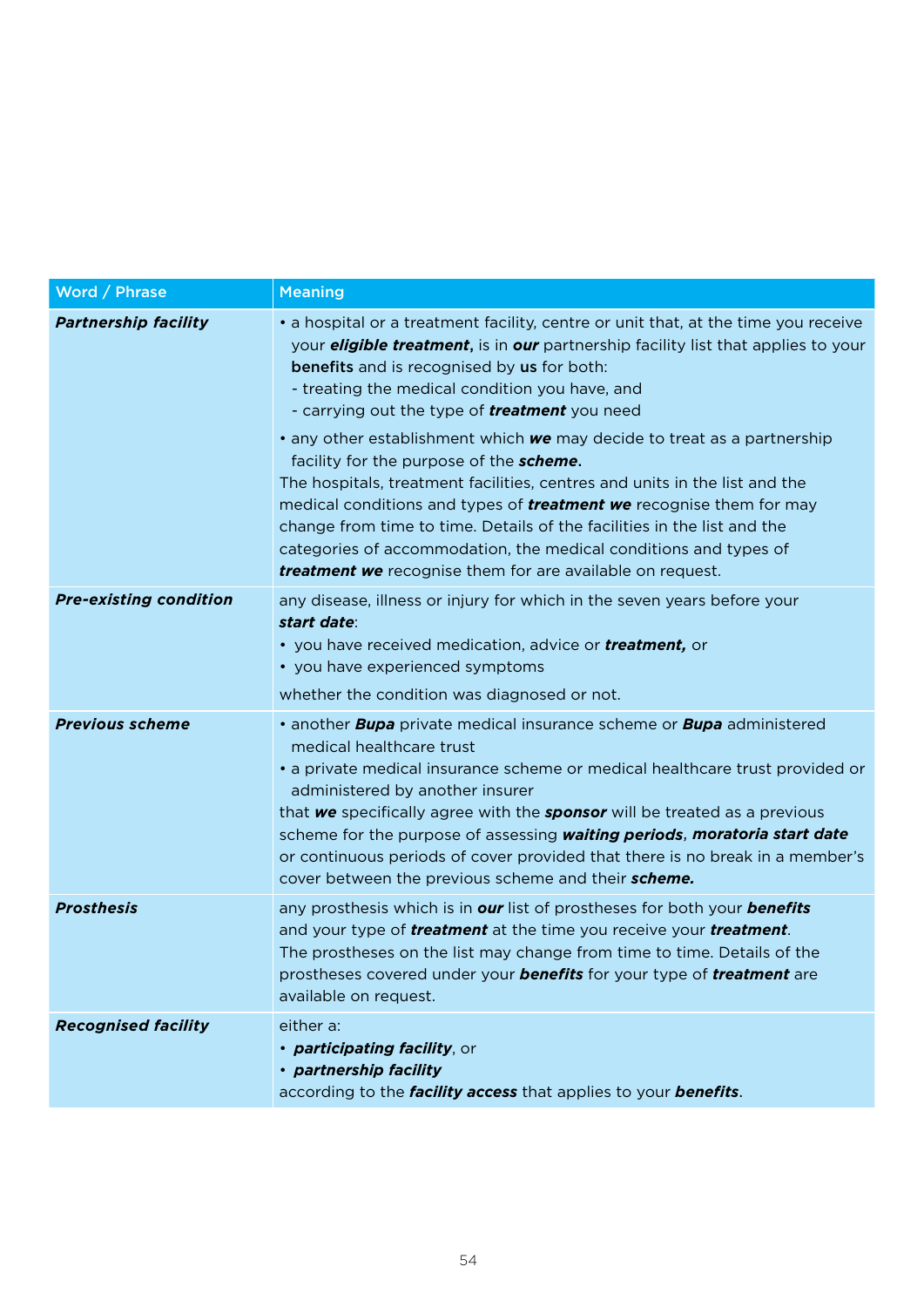| Word / Phrase                 | <b>Meaning</b>                                                                                                                                                                                                                                                                                                                                                                                                                                                                                                                                                                                                                                                                                                                                                                                                                                                    |
|-------------------------------|-------------------------------------------------------------------------------------------------------------------------------------------------------------------------------------------------------------------------------------------------------------------------------------------------------------------------------------------------------------------------------------------------------------------------------------------------------------------------------------------------------------------------------------------------------------------------------------------------------------------------------------------------------------------------------------------------------------------------------------------------------------------------------------------------------------------------------------------------------------------|
| <b>Partnership facility</b>   | • a hospital or a treatment facility, centre or unit that, at the time you receive<br>your <b>eligible treatment</b> , is in <b>our</b> partnership facility list that applies to your<br><b>benefits</b> and is recognised by us for both:<br>- treating the medical condition you have, and<br>- carrying out the type of <b>treatment</b> you need<br>• any other establishment which we may decide to treat as a partnership<br>facility for the purpose of the <b>scheme.</b><br>The hospitals, treatment facilities, centres and units in the list and the<br>medical conditions and types of <b>treatment we</b> recognise them for may<br>change from time to time. Details of the facilities in the list and the<br>categories of accommodation, the medical conditions and types of<br><b>treatment we</b> recognise them for are available on request. |
| <b>Pre-existing condition</b> | any disease, illness or injury for which in the seven years before your<br>start date:<br>• you have received medication, advice or <b>treatment</b> , or<br>• you have experienced symptoms<br>whether the condition was diagnosed or not.                                                                                                                                                                                                                                                                                                                                                                                                                                                                                                                                                                                                                       |
| <b>Previous scheme</b>        | • another <b>Bupa</b> private medical insurance scheme or <b>Bupa</b> administered<br>medical healthcare trust<br>• a private medical insurance scheme or medical healthcare trust provided or<br>administered by another insurer<br>that we specifically agree with the <b>sponsor</b> will be treated as a previous<br>scheme for the purpose of assessing waiting periods, moratoria start date<br>or continuous periods of cover provided that there is no break in a member's<br>cover between the previous scheme and their scheme.                                                                                                                                                                                                                                                                                                                         |
| <b>Prosthesis</b>             | any prosthesis which is in our list of prostheses for both your benefits<br>and your type of <b>treatment</b> at the time you receive your <b>treatment</b> .<br>The prostheses on the list may change from time to time. Details of the<br>prostheses covered under your <b>benefits</b> for your type of <b>treatment</b> are<br>available on request.                                                                                                                                                                                                                                                                                                                                                                                                                                                                                                          |
| <b>Recognised facility</b>    | either a:<br>• participating facility, or<br>· partnership facility<br>according to the <b>facility access</b> that applies to your <b>benefits</b> .                                                                                                                                                                                                                                                                                                                                                                                                                                                                                                                                                                                                                                                                                                             |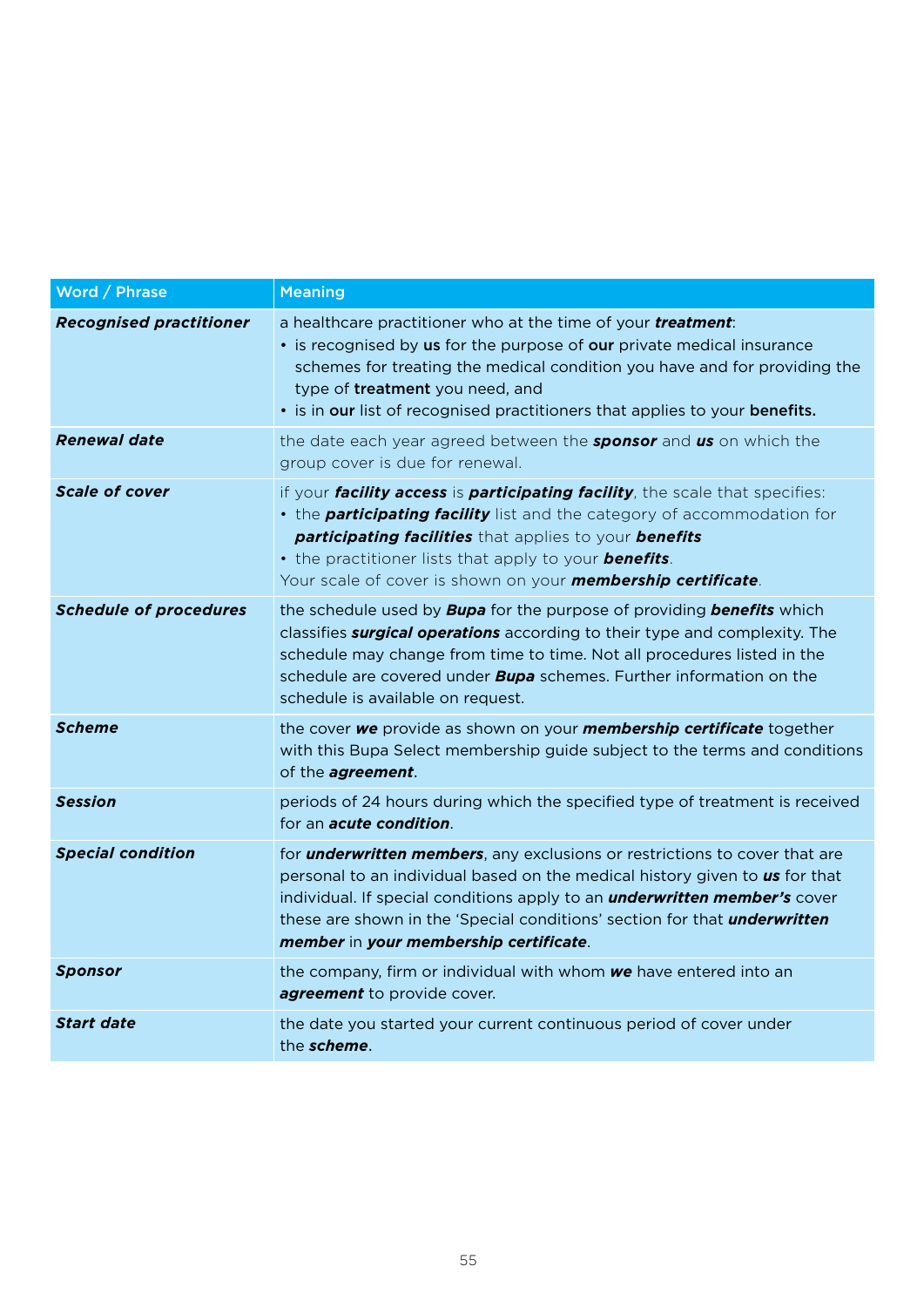| Word / Phrase                  | <b>Meaning</b>                                                                                                                                                                                                                                                                                                                                                                      |
|--------------------------------|-------------------------------------------------------------------------------------------------------------------------------------------------------------------------------------------------------------------------------------------------------------------------------------------------------------------------------------------------------------------------------------|
| <b>Recognised practitioner</b> | a healthcare practitioner who at the time of your treatment:<br>• is recognised by us for the purpose of our private medical insurance<br>schemes for treating the medical condition you have and for providing the<br>type of treatment you need, and<br>• is in our list of recognised practitioners that applies to your benefits.                                               |
| <b>Renewal date</b>            | the date each year agreed between the <b>sponsor</b> and us on which the<br>group cover is due for renewal.                                                                                                                                                                                                                                                                         |
| <b>Scale of cover</b>          | if your <i>facility access</i> is <i>participating facility</i> , the scale that specifies:<br>• the <b>participating facility</b> list and the category of accommodation for<br>participating facilities that applies to your benefits<br>• the practitioner lists that apply to your <b>benefits</b> .<br>Your scale of cover is shown on your <b>membership certificate</b> .    |
| <b>Schedule of procedures</b>  | the schedule used by <b>Bupa</b> for the purpose of providing <b>benefits</b> which<br>classifies <b>surgical operations</b> according to their type and complexity. The<br>schedule may change from time to time. Not all procedures listed in the<br>schedule are covered under <b>Bupa</b> schemes. Further information on the<br>schedule is available on request.              |
| <b>Scheme</b>                  | the cover we provide as shown on your membership certificate together<br>with this Bupa Select membership guide subject to the terms and conditions<br>of the <i>agreement</i> .                                                                                                                                                                                                    |
| <b>Session</b>                 | periods of 24 hours during which the specified type of treatment is received<br>for an <b>acute condition</b>                                                                                                                                                                                                                                                                       |
| <b>Special condition</b>       | for <b>underwritten members</b> , any exclusions or restrictions to cover that are<br>personal to an individual based on the medical history given to us for that<br>individual. If special conditions apply to an <b>underwritten member's</b> cover<br>these are shown in the 'Special conditions' section for that <i>underwritten</i><br>member in your membership certificate. |
| <b>Sponsor</b>                 | the company, firm or individual with whom we have entered into an<br>agreement to provide cover.                                                                                                                                                                                                                                                                                    |
| <b>Start date</b>              | the date you started your current continuous period of cover under<br>the scheme.                                                                                                                                                                                                                                                                                                   |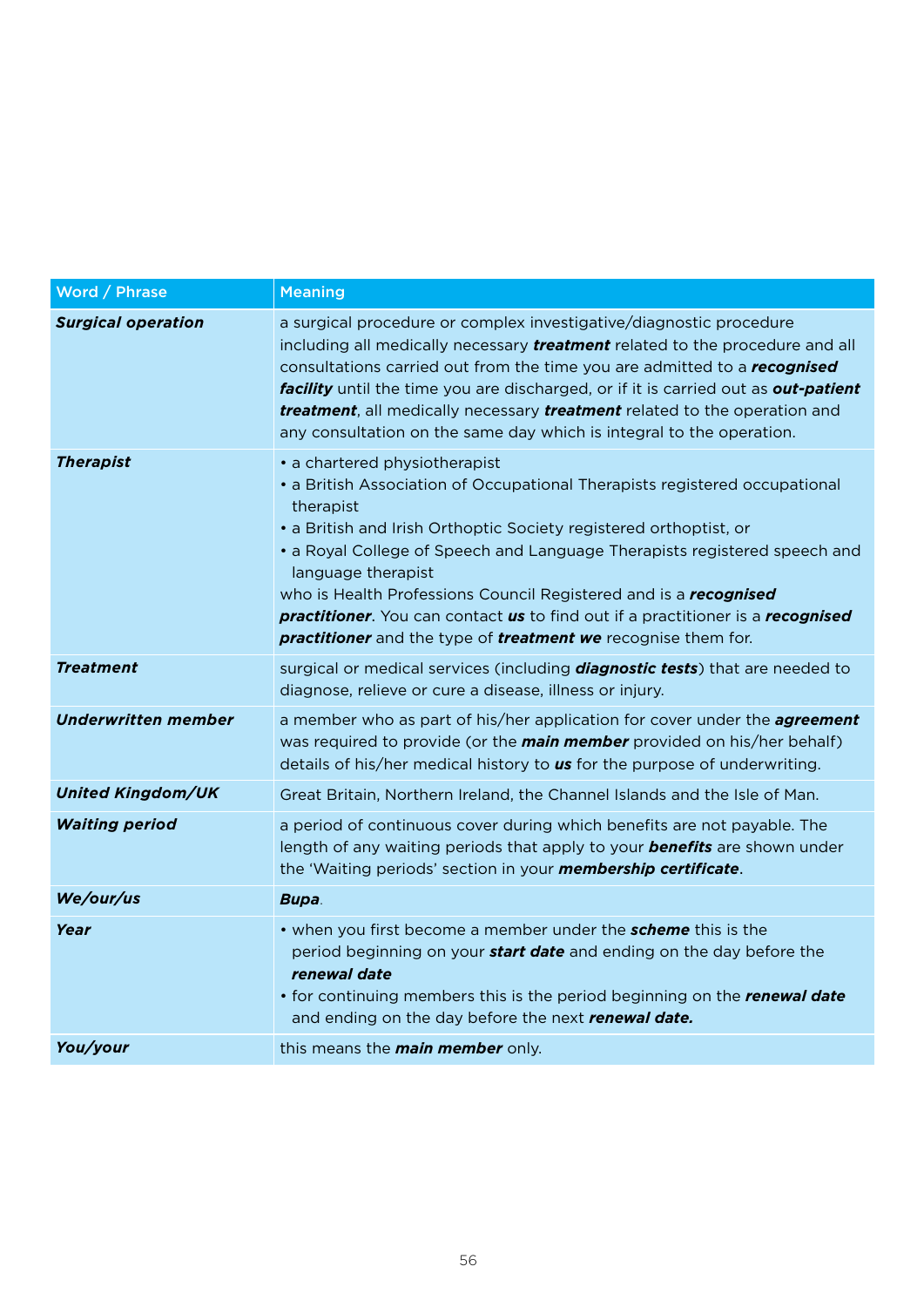| Word / Phrase             | <b>Meaning</b>                                                                                                                                                                                                                                                                                                                                                                                                                                                                                                                                             |
|---------------------------|------------------------------------------------------------------------------------------------------------------------------------------------------------------------------------------------------------------------------------------------------------------------------------------------------------------------------------------------------------------------------------------------------------------------------------------------------------------------------------------------------------------------------------------------------------|
| <b>Surgical operation</b> | a surgical procedure or complex investigative/diagnostic procedure<br>including all medically necessary <b>treatment</b> related to the procedure and all<br>consultations carried out from the time you are admitted to a recognised<br><b>facility</b> until the time you are discharged, or if it is carried out as <b>out-patient</b><br>treatment, all medically necessary treatment related to the operation and<br>any consultation on the same day which is integral to the operation.                                                             |
| <b>Therapist</b>          | • a chartered physiotherapist<br>• a British Association of Occupational Therapists registered occupational<br>therapist<br>• a British and Irish Orthoptic Society registered orthoptist, or<br>• a Royal College of Speech and Language Therapists registered speech and<br>language therapist<br>who is Health Professions Council Registered and is a recognised<br><b>practitioner.</b> You can contact <b>us</b> to find out if a practitioner is a <b>recognised</b><br><b>practitioner</b> and the type of <b>treatment we</b> recognise them for. |
| <b>Treatment</b>          | surgical or medical services (including <b>diagnostic tests</b> ) that are needed to<br>diagnose, relieve or cure a disease, illness or injury.                                                                                                                                                                                                                                                                                                                                                                                                            |
| Underwritten member       | a member who as part of his/her application for cover under the <b>agreement</b><br>was required to provide (or the <b>main member</b> provided on his/her behalf)<br>details of his/her medical history to <b>us</b> for the purpose of underwriting.                                                                                                                                                                                                                                                                                                     |
| <b>United Kingdom/UK</b>  | Great Britain, Northern Ireland, the Channel Islands and the Isle of Man.                                                                                                                                                                                                                                                                                                                                                                                                                                                                                  |
| <b>Waiting period</b>     | a period of continuous cover during which benefits are not payable. The<br>length of any waiting periods that apply to your <b>benefits</b> are shown under<br>the 'Waiting periods' section in your <b>membership certificate</b> .                                                                                                                                                                                                                                                                                                                       |
| We/our/us                 | Bupa.                                                                                                                                                                                                                                                                                                                                                                                                                                                                                                                                                      |
| Year                      | • when you first become a member under the <b>scheme</b> this is the<br>period beginning on your <b>start date</b> and ending on the day before the<br>renewal date<br>• for continuing members this is the period beginning on the renewal date<br>and ending on the day before the next renewal date.                                                                                                                                                                                                                                                    |
| You/your                  | this means the <b>main member</b> only.                                                                                                                                                                                                                                                                                                                                                                                                                                                                                                                    |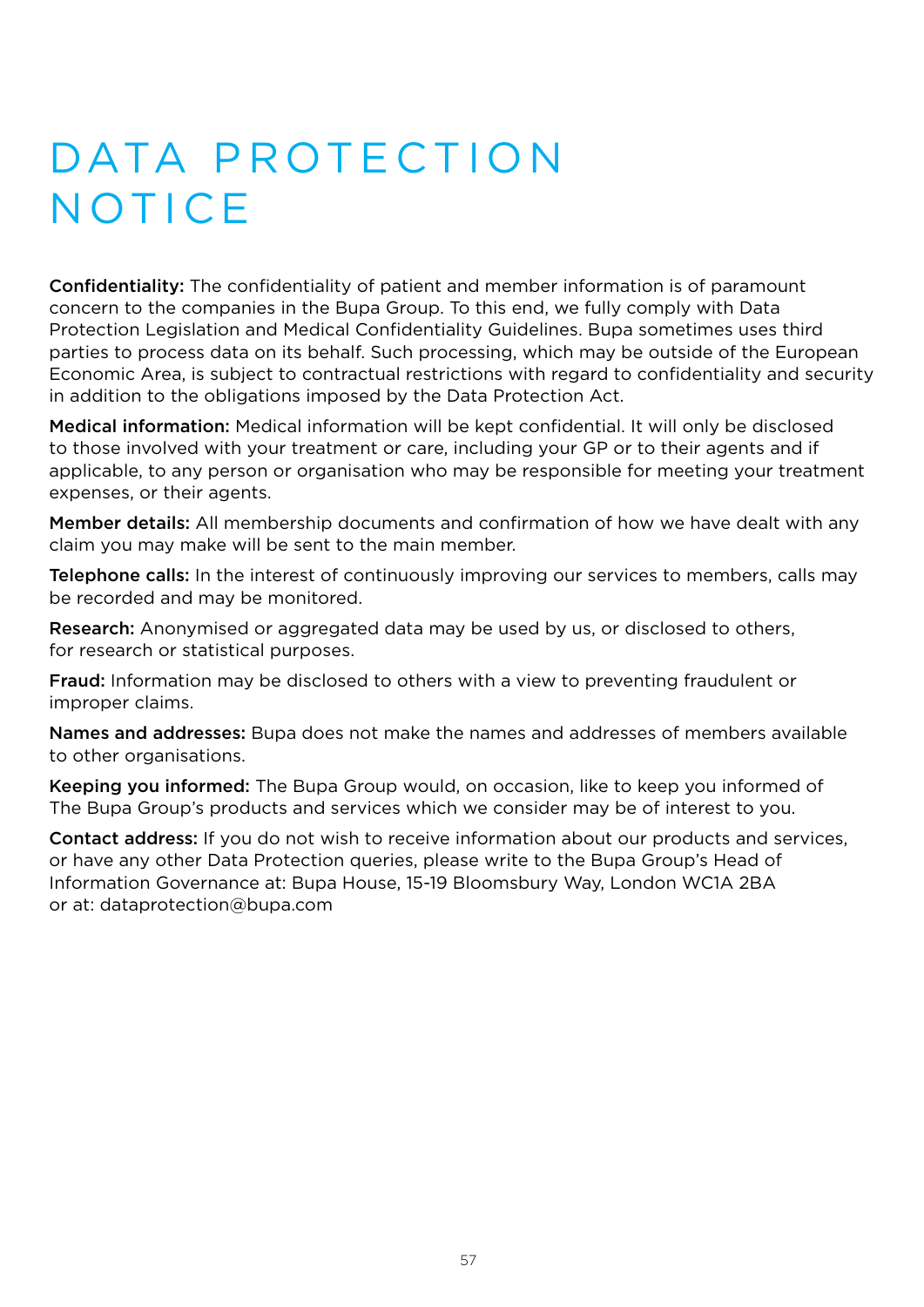# DATA PROTECTION **NOTICE**

Confidentiality: The confidentiality of patient and member information is of paramount concern to the companies in the Bupa Group. To this end, we fully comply with Data Protection Legislation and Medical Confidentiality Guidelines. Bupa sometimes uses third parties to process data on its behalf. Such processing, which may be outside of the European Economic Area, is subject to contractual restrictions with regard to confidentiality and security in addition to the obligations imposed by the Data Protection Act.

Medical information: Medical information will be kept confidential. It will only be disclosed to those involved with your treatment or care, including your GP or to their agents and if applicable, to any person or organisation who may be responsible for meeting your treatment expenses, or their agents.

Member details: All membership documents and confirmation of how we have dealt with any claim you may make will be sent to the main member.

Telephone calls: In the interest of continuously improving our services to members, calls may be recorded and may be monitored.

Research: Anonymised or aggregated data may be used by us, or disclosed to others, for research or statistical purposes.

Fraud: Information may be disclosed to others with a view to preventing fraudulent or improper claims.

Names and addresses: Bupa does not make the names and addresses of members available to other organisations.

Keeping you informed: The Bupa Group would, on occasion, like to keep you informed of The Bupa Group's products and services which we consider may be of interest to you.

Contact address: If you do not wish to receive information about our products and services, or have any other Data Protection queries, please write to the Bupa Group's Head of Information Governance at: Bupa House, 15-19 Bloomsbury Way, London WC1A 2BA or at: dataprotection@bupa.com